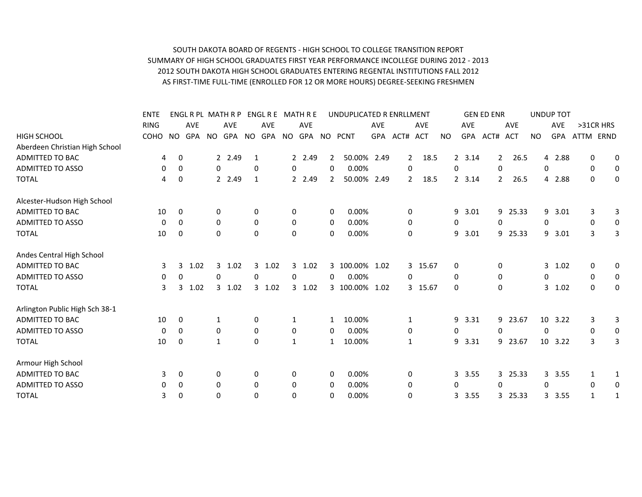## SOUTH DAKOTA BOARD OF REGENTS - HIGH SCHOOL TO COLLEGE TRANSITION REPORT SUMMARY OF HIGH SCHOOL GRADUATES FIRST YEAR PERFORMANCE INCOLLEGE DURING 2012 - 2013 2012 SOUTH DAKOTA HIGH SCHOOL GRADUATES ENTERING REGENTAL INSTITUTIONS FALL 2012 AS FIRST-TIME FULL-TIME (ENROLLED FOR 12 OR MORE HOURS) DEGREE-SEEKING FRESHMEN

|                                | <b>ENTE</b> |                |            |          | ENGL R PL MATH R P |             | ENGL R E MATH R E |              |             |                | UNDUPLICATED R ENRLLMENT |            |                |            |              |            | <b>GEN ED ENR</b> |                |            |                  | <b>UNDUP TOT</b> |              |             |
|--------------------------------|-------------|----------------|------------|----------|--------------------|-------------|-------------------|--------------|-------------|----------------|--------------------------|------------|----------------|------------|--------------|------------|-------------------|----------------|------------|------------------|------------------|--------------|-------------|
|                                | <b>RING</b> |                | <b>AVE</b> |          | <b>AVE</b>         |             | <b>AVE</b>        |              | <b>AVE</b>  |                |                          | <b>AVE</b> |                | <b>AVE</b> |              | <b>AVE</b> |                   |                | <b>AVE</b> |                  | <b>AVE</b>       | >31CR HRS    |             |
| <b>HIGH SCHOOL</b>             | <b>COHO</b> | NO.            | GPA        | NO.      | GPA                | NO.         | <b>GPA</b>        | NO.          | GPA NO PCNT |                |                          | GPA        | ACT#           | <b>ACT</b> | NO.          | <b>GPA</b> | ACT#              |                | <b>ACT</b> | <b>NO</b>        | <b>GPA</b>       | ATTM<br>ERND |             |
| Aberdeen Christian High School |             |                |            |          |                    |             |                   |              |             |                |                          |            |                |            |              |            |                   |                |            |                  |                  |              |             |
| <b>ADMITTED TO BAC</b>         | 4           | 0              |            |          | 2 2.49             | 1           |                   |              | 2 2.49      | $\mathbf{2}$   | 50.00% 2.49              |            | $2^{\circ}$    | 18.5       |              | 2, 3.14    |                   | $2^{\circ}$    | 26.5       |                  | 4 2.88           | 0            | 0           |
| <b>ADMITTED TO ASSO</b>        | 0           | 0              |            | $\Omega$ |                    | 0           |                   | 0            |             | $\Omega$       | 0.00%                    |            | $\mathbf 0$    |            | $\Omega$     |            |                   | $\Omega$       |            | 0                |                  | $\mathbf 0$  | $\mathbf 0$ |
| <b>TOTAL</b>                   | 4           | $\mathbf 0$    |            |          | 2 2.49             | 1           |                   |              | 2 2.49      | $\overline{2}$ | 50.00% 2.49              |            | $\overline{2}$ | 18.5       |              | 2 3.14     |                   | $\overline{2}$ | 26.5       | 4                | 2.88             | 0            | 0           |
| Alcester-Hudson High School    |             |                |            |          |                    |             |                   |              |             |                |                          |            |                |            |              |            |                   |                |            |                  |                  |              |             |
| ADMITTED TO BAC                | 10          | $\overline{0}$ |            | 0        |                    | 0           |                   | 0            |             | 0              | 0.00%                    |            | 0              |            |              | 9<br>3.01  |                   |                | 9 25.33    | 9                | 3.01             | 3            | 3           |
| <b>ADMITTED TO ASSO</b>        | $\mathbf 0$ | 0              |            | 0        |                    | 0           |                   | 0            |             | 0              | 0.00%                    |            | 0              |            | 0            |            |                   | 0              |            | $\boldsymbol{0}$ |                  | 0            | 0           |
| <b>TOTAL</b>                   | 10          | 0              |            | $\Omega$ |                    | 0           |                   | 0            |             | 0              | 0.00%                    |            | 0              |            |              | 9<br>3.01  |                   |                | 9 25.33    | 9                | 3.01             | 3            | 3           |
| Andes Central High School      |             |                |            |          |                    |             |                   |              |             |                |                          |            |                |            |              |            |                   |                |            |                  |                  |              |             |
| <b>ADMITTED TO BAC</b>         | 3           | 3              | 1.02       | 3        | 1.02               | 3           | 1.02              |              | 3 1.02      |                | 3 100.00% 1.02           |            |                | 3 15.67    | 0            |            |                   | 0              |            | 3                | 1.02             | $\mathbf 0$  | 0           |
| <b>ADMITTED TO ASSO</b>        | 0           | 0              |            | 0        |                    | $\Omega$    |                   | 0            |             | 0              | 0.00%                    |            | 0              |            | 0            |            |                   | 0              |            | 0                |                  | $\mathbf 0$  | $\mathbf 0$ |
| <b>TOTAL</b>                   | 3           | 3              | 1.02       |          | 3, 1.02            |             | 3 1.02            |              | 3 1.02      |                | 3 100.00% 1.02           |            |                | 3 15.67    | $\mathbf{0}$ |            |                   | $\mathbf 0$    |            | 3                | 1.02             | $\mathbf 0$  | 0           |
| Arlington Public High Sch 38-1 |             |                |            |          |                    |             |                   |              |             |                |                          |            |                |            |              |            |                   |                |            |                  |                  |              |             |
| ADMITTED TO BAC                | 10          | 0              |            | 1        |                    | 0           |                   | 1            |             | $\mathbf{1}$   | 10.00%                   |            | 1              |            |              | 3.31<br>9  |                   |                | 9 23.67    |                  | 10 3.22          | 3            | 3           |
| <b>ADMITTED TO ASSO</b>        | 0           | $\Omega$       |            | $\Omega$ |                    | 0           |                   | 0            |             | 0              | 0.00%                    |            | 0              |            | 0            |            |                   | 0              |            | $\Omega$         |                  | $\mathbf 0$  | 0           |
| <b>TOTAL</b>                   | 10          | $\overline{0}$ |            | 1        |                    | $\mathbf 0$ |                   | $\mathbf{1}$ |             | 1              | 10.00%                   |            | 1              |            |              | 3.31<br>9  |                   |                | 9 23.67    |                  | 10 3.22          | 3            | 3           |
| Armour High School             |             |                |            |          |                    |             |                   |              |             |                |                          |            |                |            |              |            |                   |                |            |                  |                  |              |             |
| <b>ADMITTED TO BAC</b>         | 3           | 0              |            | 0        |                    | 0           |                   | 0            |             | 0              | 0.00%                    |            | 0              |            |              | 3.55<br>3  |                   |                | 3 25.33    | 3                | 3.55             | 1            | 1           |
| <b>ADMITTED TO ASSO</b>        | 0           | 0              |            | 0        |                    | 0           |                   | 0            |             | 0              | 0.00%                    |            | 0              |            | 0            |            |                   | 0              |            | 0                |                  | 0            | 0           |
| <b>TOTAL</b>                   | 3           | 0              |            | 0        |                    | $\mathbf 0$ |                   | 0            |             | 0              | 0.00%                    |            | 0              |            |              | 3.55<br>3  |                   |                | 3 25.33    | 3.               | 3.55             | 1            | -1          |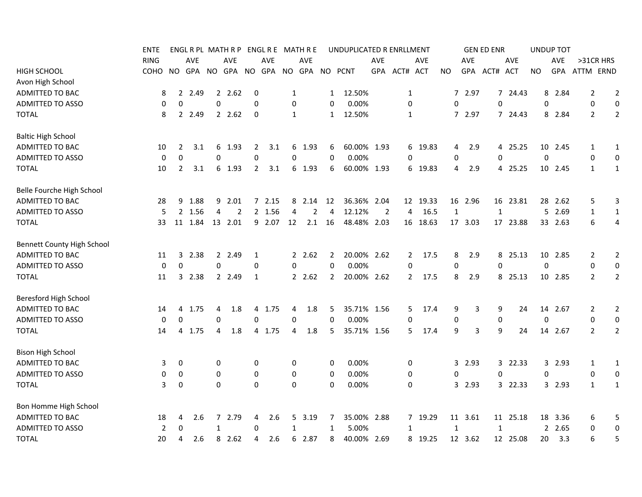|                            | ENTE           |              |            |             | ENGL R PL MATH R P |             |        |              | ENGL R E MATH R E |                | UNDUPLICATED R ENRLLMENT |            |                |          |                  |            | <b>GEN ED ENR</b> |          |             | <b>UNDUP TOT</b> |                |                  |
|----------------------------|----------------|--------------|------------|-------------|--------------------|-------------|--------|--------------|-------------------|----------------|--------------------------|------------|----------------|----------|------------------|------------|-------------------|----------|-------------|------------------|----------------|------------------|
|                            | <b>RING</b>    |              | <b>AVE</b> |             | AVE                |             | AVE    |              | <b>AVE</b>        |                |                          | AVE        |                | AVE      |                  | <b>AVE</b> |                   | AVE      |             | AVE              | >31CR HRS      |                  |
| <b>HIGH SCHOOL</b>         | СОНО           | <b>NO</b>    | GPA        | <b>NO</b>   | GPA NO             |             | GPA    | NO.          | GPA               |                | NO PCNT                  | <b>GPA</b> | ACT# ACT       |          | NO.              | <b>GPA</b> | ACT# ACT          |          | NO.         | <b>GPA</b>       | ATTM ERND      |                  |
| Avon High School           |                |              |            |             |                    |             |        |              |                   |                |                          |            |                |          |                  |            |                   |          |             |                  |                |                  |
| ADMITTED TO BAC            | 8              | $\mathbf{2}$ | 2.49       |             | 2, 2.62            | 0           |        | $\mathbf{1}$ |                   | 1              | 12.50%                   |            | 1              |          |                  | 7 2.97     |                   | 7 24.43  | 8           | 2.84             | 2              | $\overline{2}$   |
| <b>ADMITTED TO ASSO</b>    | $\mathbf 0$    | 0            |            | 0           |                    | $\mathbf 0$ |        | 0            |                   | 0              | 0.00%                    |            | $\mathbf 0$    |          | $\mathbf 0$      |            | 0                 |          | 0           |                  | 0              | $\boldsymbol{0}$ |
| <b>TOTAL</b>               | 8              |              | 2 2.49     |             | 2.62               | $\mathbf 0$ |        | $\mathbf{1}$ |                   | $\mathbf{1}$   | 12.50%                   |            | 1              |          |                  | 7 2.97     |                   | 7 24.43  | 8           | 2.84             | $\overline{2}$ | $\overline{2}$   |
| <b>Baltic High School</b>  |                |              |            |             |                    |             |        |              |                   |                |                          |            |                |          |                  |            |                   |          |             |                  |                |                  |
| ADMITTED TO BAC            | 10             | $\mathbf{2}$ | 3.1        | 6           | 1.93               | 2           | 3.1    | 6            | 1.93              | 6              | 60.00% 1.93              |            |                | 6 19.83  | 4                | 2.9        |                   | 4 25.25  |             | 10 2.45          | 1              | 1                |
| <b>ADMITTED TO ASSO</b>    | 0              | 0            |            | $\mathbf 0$ |                    | $\mathbf 0$ |        | 0            |                   | 0              | 0.00%                    |            | 0              |          | 0                |            | 0                 |          | 0           |                  | 0              | 0                |
| <b>TOTAL</b>               | 10             | 2            | 3.1        |             | 6 1.93             | 2           | 3.1    | 6            | 1.93              | 6              | 60.00% 1.93              |            |                | 6 19.83  | 4                | 2.9        |                   | 4 25.25  |             | 10 2.45          | $\mathbf{1}$   | 1                |
| Belle Fourche High School  |                |              |            |             |                    |             |        |              |                   |                |                          |            |                |          |                  |            |                   |          |             |                  |                |                  |
| ADMITTED TO BAC            | 28             | 9            | 1.88       |             | 9 2.01             |             | 7 2.15 | 8            | 2.14              | 12             | 36.36% 2.04              |            |                | 12 19.33 |                  | 16 2.96    | 16                | 23.81    |             | 28 2.62          | 5              | 3                |
| <b>ADMITTED TO ASSO</b>    | 5              | 2            | 1.56       | 4           | $\overline{2}$     |             | 2 1.56 | 4            | 2                 | $\overline{4}$ | 12.12%                   | 2          | 4              | 16.5     | $\mathbf{1}$     |            | 1                 |          | 5           | 2.69             | $\mathbf{1}$   | 1                |
| <b>TOTAL</b>               | 33             |              | 11 1.84    |             | 13 2.01            |             | 9 2.07 | 12           | 2.1               | 16             | 48.48% 2.03              |            |                | 16 18.63 |                  | 17 3.03    |                   | 17 23.88 |             | 33 2.63          | 6              | 4                |
| Bennett County High School |                |              |            |             |                    |             |        |              |                   |                |                          |            |                |          |                  |            |                   |          |             |                  |                |                  |
| ADMITTED TO BAC            | 11             | 3            | 2.38       |             | 2 2.49             | 1           |        |              | 2.62              | 2              | 20.00% 2.62              |            | $\overline{2}$ | 17.5     | 8                | 2.9        |                   | 8 25.13  |             | 10 2.85          | 2              | 2                |
| <b>ADMITTED TO ASSO</b>    | $\mathbf 0$    | 0            |            | 0           |                    | $\mathbf 0$ |        | 0            |                   | 0              | 0.00%                    |            | $\mathbf 0$    |          | $\boldsymbol{0}$ |            | 0                 |          | $\mathbf 0$ |                  | 0              | $\mathbf 0$      |
| <b>TOTAL</b>               | 11             | 3            | 2.38       |             | 2 2.49             | 1           |        |              | 2.62              | $\overline{2}$ | 20.00% 2.62              |            | $\mathbf{2}$   | 17.5     | 8                | 2.9        |                   | 8 25.13  |             | 10 2.85          | $\overline{2}$ | $\overline{2}$   |
| Beresford High School      |                |              |            |             |                    |             |        |              |                   |                |                          |            |                |          |                  |            |                   |          |             |                  |                |                  |
| ADMITTED TO BAC            | 14             | 4            | 1.75       | 4           | 1.8                |             | 4 1.75 | 4            | 1.8               | 5              | 35.71% 1.56              |            | 5              | 17.4     | 9                | 3          | 9                 | 24       |             | 14 2.67          | 2              | $\overline{2}$   |
| <b>ADMITTED TO ASSO</b>    | 0              | $\Omega$     |            | $\Omega$    |                    | $\Omega$    |        | 0            |                   | $\Omega$       | 0.00%                    |            | 0              |          | 0                |            | 0                 |          | 0           |                  | 0              | $\mathbf 0$      |
| <b>TOTAL</b>               | 14             | 4            | 1.75       | 4           | 1.8                |             | 4 1.75 | 4            | 1.8               | 5              | 35.71% 1.56              |            | 5.             | 17.4     | 9                | 3          | 9                 | 24       |             | 14 2.67          | $\overline{2}$ | $\overline{2}$   |
| <b>Bison High School</b>   |                |              |            |             |                    |             |        |              |                   |                |                          |            |                |          |                  |            |                   |          |             |                  |                |                  |
| ADMITTED TO BAC            | 3              | 0            |            | 0           |                    | 0           |        | 0            |                   | 0              | 0.00%                    |            | 0              |          |                  | 3 2.93     |                   | 3 22.33  |             | 3 2.93           | $\mathbf{1}$   | $\mathbf{1}$     |
| <b>ADMITTED TO ASSO</b>    | 0              | 0            |            | 0           |                    | 0           |        | 0            |                   | $\mathbf 0$    | 0.00%                    |            | 0              |          | 0                |            | 0                 |          | 0           |                  | 0              | 0                |
| <b>TOTAL</b>               | 3              | $\mathbf 0$  |            | $\Omega$    |                    | $\mathbf 0$ |        | $\mathbf 0$  |                   | 0              | 0.00%                    |            | $\mathbf 0$    |          |                  | 3 2.93     |                   | 3 22.33  |             | 3 2.93           | $\mathbf{1}$   | $\mathbf{1}$     |
| Bon Homme High School      |                |              |            |             |                    |             |        |              |                   |                |                          |            |                |          |                  |            |                   |          |             |                  |                |                  |
| ADMITTED TO BAC            | 18             | 4            | 2.6        |             | 7 2.79             | 4           | 2.6    | 5            | 3.19              | 7              | 35.00% 2.88              |            |                | 7 19.29  |                  | 11 3.61    |                   | 11 25.18 |             | 18 3.36          | 6              | 5                |
| <b>ADMITTED TO ASSO</b>    | $\overline{2}$ | 0            |            | 1           |                    | 0           |        | 1            |                   | 1              | 5.00%                    |            | 1              |          | 1                |            | 1                 |          |             | 2 2.65           | 0              | 0                |
| <b>TOTAL</b>               | 20             | 4            | 2.6        |             | 8 2.62             | 4           | 2.6    | 6            | 2.87              | 8              | 40.00% 2.69              |            |                | 8 19.25  |                  | 12 3.62    |                   | 12 25.08 | 20          | 3.3              | 6              | 5                |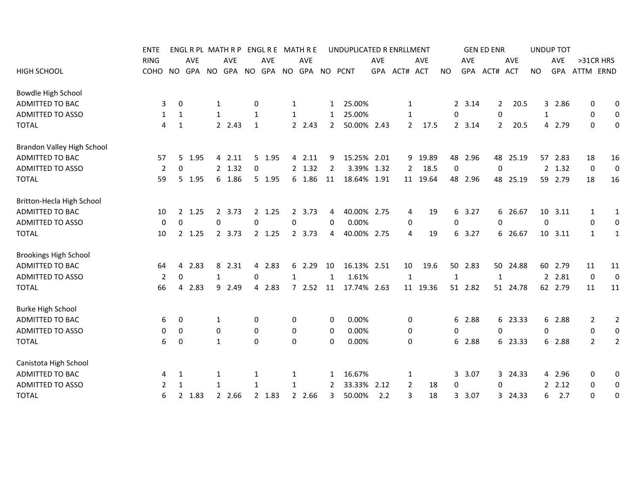|                              | <b>ENTE</b> |                     |                      |              | ENGL R PL MATH R P |             |          |              | ENGL R E MATH R E  |                | UNDUPLICATED R ENRLLMENT |            |                |          |              |         | <b>GEN ED ENR</b> |            |           | <b>UNDUP TOT</b> |                |                |
|------------------------------|-------------|---------------------|----------------------|--------------|--------------------|-------------|----------|--------------|--------------------|----------------|--------------------------|------------|----------------|----------|--------------|---------|-------------------|------------|-----------|------------------|----------------|----------------|
|                              | <b>RING</b> |                     | AVE                  |              | AVE                |             | AVE      |              | AVE                |                |                          | <b>AVE</b> |                | AVE      |              | AVE     |                   | AVE        |           | <b>AVE</b>       | >31CR HRS      |                |
| HIGH SCHOOL                  | COHO        | NO                  | GPA                  |              | NO GPA NO          |             |          |              | GPA NO GPA NO PCNT |                |                          |            | GPA ACT# ACT   |          | <b>NO</b>    |         | GPA ACT#          | <b>ACT</b> | <b>NO</b> | GPA              | ATTM ERND      |                |
| Bowdle High School           |             |                     |                      |              |                    |             |          |              |                    |                |                          |            |                |          |              |         |                   |            |           |                  |                |                |
| ADMITTED TO BAC              |             | 3<br>0              |                      | $\mathbf{1}$ |                    | 0           |          | $\mathbf{1}$ |                    | $\mathbf{1}$   | 25.00%                   |            | 1              |          |              | 2 3.14  | $\mathbf{2}$      | 20.5       |           | 3 2.86           | 0              | 0              |
| <b>ADMITTED TO ASSO</b>      |             | 1<br>1              |                      | $\mathbf{1}$ |                    | 1           |          | $\mathbf{1}$ |                    | $\mathbf{1}$   | 25.00%                   |            | 1              |          | 0            |         | 0                 |            | 1         |                  | 0              | $\mathbf 0$    |
| <b>TOTAL</b>                 |             | 4<br>$\mathbf{1}$   |                      |              | 2.43               | 1           |          |              | 2 2.43             | $\overline{2}$ | 50.00% 2.43              |            | $\overline{2}$ | 17.5     |              | 2 3.14  | $\mathbf{2}$      | 20.5       | 4         | 2.79             | 0              | 0              |
| Brandon Valley High School   |             |                     |                      |              |                    |             |          |              |                    |                |                          |            |                |          |              |         |                   |            |           |                  |                |                |
| ADMITTED TO BAC              | 57          |                     | 5 1.95               |              | 4 2.11             |             | 5 1.95   |              | 4 2.11             | 9              | 15.25% 2.01              |            |                | 9 19.89  |              | 48 2.96 | 48                | 25.19      |           | 57 2.83          | 18             | 16             |
| <b>ADMITTED TO ASSO</b>      |             | 0<br>2              |                      |              | 2 1.32             | 0           |          |              | 2 1.32             | $\overline{2}$ | 3.39% 1.32               |            | $\mathbf{2}$   | 18.5     | 0            |         | $\mathbf 0$       |            |           | 2 1.32           | 0              | $\mathbf 0$    |
| <b>TOTAL</b>                 | 59          |                     | 5 1.95               |              | 6 1.86             |             | 5 1.95   |              | 6 1.86             | 11             | 18.64% 1.91              |            |                | 11 19.64 |              | 48 2.96 | 48                | 25.19      |           | 59 2.79          | 18             | 16             |
| Britton-Hecla High School    |             |                     |                      |              |                    |             |          |              |                    |                |                          |            |                |          |              |         |                   |            |           |                  |                |                |
| ADMITTED TO BAC              | 10          |                     | 1.25<br>$2^{\circ}$  |              | 2 3.73             |             | $2$ 1.25 |              | 2 3.73             | 4              | 40.00% 2.75              |            | 4              | 19       |              | 6 3.27  |                   | 6 26.67    |           | 10 3.11          | 1              | 1              |
| <b>ADMITTED TO ASSO</b>      |             | $\Omega$<br>0       |                      | $\Omega$     |                    | $\Omega$    |          | $\mathbf 0$  |                    | $\Omega$       | 0.00%                    |            | 0              |          | $\mathbf 0$  |         | $\Omega$          |            | 0         |                  | 0              | $\mathbf 0$    |
| <b>TOTAL</b>                 | 10          |                     | 2 1.25               |              | 2 3.73             |             | 2 1.25   |              | 2 3.73             | 4              | 40.00% 2.75              |            | 4              | 19       |              | 6 3.27  |                   | 6 26.67    |           | 10 3.11          | 1              | $\mathbf{1}$   |
| <b>Brookings High School</b> |             |                     |                      |              |                    |             |          |              |                    |                |                          |            |                |          |              |         |                   |            |           |                  |                |                |
| ADMITTED TO BAC              | 64          | 4                   | 2.83                 |              | 8 2.31             | 4           | 2.83     |              | 6 2.29             | 10             | 16.13% 2.51              |            | 10             | 19.6     |              | 50 2.83 |                   | 50 24.88   |           | 60 2.79          | 11             | 11             |
| <b>ADMITTED TO ASSO</b>      |             | $\overline{2}$<br>0 |                      | $\mathbf{1}$ |                    | 0           |          | $\mathbf{1}$ |                    | 1              | 1.61%                    |            | 1              |          | $\mathbf{1}$ |         | 1                 |            |           | 2 2.81           | $\mathbf 0$    | $\mathbf 0$    |
| <b>TOTAL</b>                 | 66          | 4                   | 2.83                 |              | 9 2.49             | 4           | 2.83     |              | 72.52              | 11             | 17.74% 2.63              |            |                | 11 19.36 |              | 51 2.82 |                   | 51 24.78   |           | 62 2.79          | 11             | 11             |
| <b>Burke High School</b>     |             |                     |                      |              |                    |             |          |              |                    |                |                          |            |                |          |              |         |                   |            |           |                  |                |                |
| ADMITTED TO BAC              |             | 6<br>0              |                      | 1            |                    | 0           |          | 0            |                    | 0              | 0.00%                    |            | 0              |          |              | 6 2.88  |                   | 6 23.33    |           | 6 2.88           | 2              | $\overline{2}$ |
| ADMITTED TO ASSO             |             | 0<br>0              |                      | 0            |                    | 0           |          | 0            |                    | 0              | 0.00%                    |            | 0              |          | 0            |         | 0                 |            | 0         |                  | 0              | $\mathbf 0$    |
| <b>TOTAL</b>                 |             | 0<br>6              |                      | $\mathbf{1}$ |                    | $\mathbf 0$ |          | $\mathbf 0$  |                    | $\Omega$       | 0.00%                    |            | 0              |          |              | 6 2.88  |                   | 6 23.33    |           | 6 2.88           | $\overline{2}$ | $\overline{2}$ |
| Canistota High School        |             |                     |                      |              |                    |             |          |              |                    |                |                          |            |                |          |              |         |                   |            |           |                  |                |                |
| <b>ADMITTED TO BAC</b>       |             | 1<br>4              |                      | 1            |                    | 1           |          | $\mathbf{1}$ |                    | 1              | 16.67%                   |            | 1              |          | 3            | 3.07    |                   | 3 24.33    |           | 4 2.96           | 0              | 0              |
| <b>ADMITTED TO ASSO</b>      |             | 1<br>2              |                      | 1            |                    | 1           |          | 1            |                    | 2              | 33.33%                   | 2.12       | $\overline{2}$ | 18       | 0            |         | 0                 |            |           | 2.12             | 0              | 0              |
| <b>TOTAL</b>                 |             | 6                   | 1.83<br>$\mathbf{2}$ |              | 2 2.66             |             | 2 1.83   | $2^{\circ}$  | 2.66               | 3              | 50.00%                   | 2.2        | 3              | 18       | $\mathbf{3}$ | 3.07    |                   | 3 24.33    | 6         | 2.7              | 0              | 0              |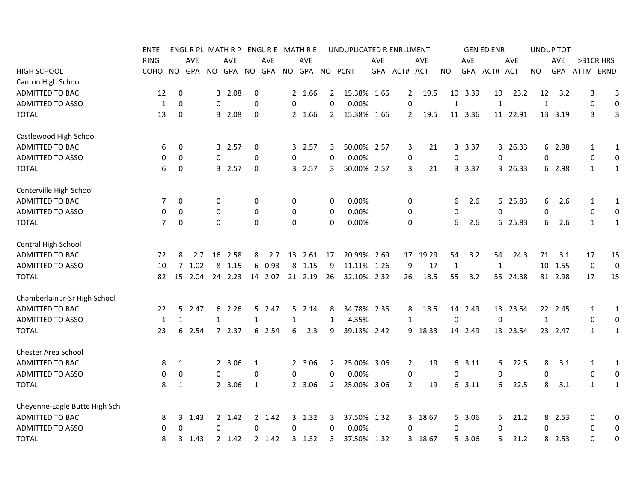|                               | ENTE           |              |            |             | ENGL R PL MATH R P |             |            |             | ENGL R E MATH R E |                | UNDUPLICATED R ENRLLMENT |            |                |            |              |            | <b>GEN ED ENR</b> |            |              | <b>UNDUP TOT</b> |              |                  |
|-------------------------------|----------------|--------------|------------|-------------|--------------------|-------------|------------|-------------|-------------------|----------------|--------------------------|------------|----------------|------------|--------------|------------|-------------------|------------|--------------|------------------|--------------|------------------|
|                               | <b>RING</b>    |              | <b>AVE</b> |             | <b>AVE</b>         |             | <b>AVE</b> |             | <b>AVE</b>        |                |                          | <b>AVE</b> |                | <b>AVE</b> |              | <b>AVE</b> |                   | <b>AVE</b> |              | AVE              | >31CR HRS    |                  |
| <b>HIGH SCHOOL</b>            | COHO           | NO.          | GPA        |             | NO GPA             | NO.         | GPA        |             | NO GPA            |                | NO PCNT                  | GPA        | ACT# ACT       |            | NO.          | <b>GPA</b> | ACT#              | <b>ACT</b> | <b>NO</b>    | <b>GPA</b>       | ATTM ERND    |                  |
| Canton High School            |                |              |            |             |                    |             |            |             |                   |                |                          |            |                |            |              |            |                   |            |              |                  |              |                  |
| ADMITTED TO BAC               | 12             | 0            |            |             | 3 2.08             | 0           |            |             | 2 1.66            | 2              | 15.38% 1.66              |            | $\mathbf{2}$   | 19.5       | 10           | 3.39       | 10                | 23.2       | 12           | 3.2              | 3            | 3                |
| <b>ADMITTED TO ASSO</b>       | 1              | 0            |            | $\mathbf 0$ |                    | 0           |            | 0           |                   | 0              | 0.00%                    |            | 0              |            | $\mathbf{1}$ |            | $\mathbf{1}$      |            | $\mathbf{1}$ |                  | 0            | $\boldsymbol{0}$ |
| <b>TOTAL</b>                  | 13             | 0            |            |             | 3 2.08             | 0           |            |             | 2 1.66            | $\overline{2}$ | 15.38% 1.66              |            | 2              | 19.5       |              | 11 3.36    |                   | 11 22.91   |              | 13 3.19          | 3            | 3                |
| Castlewood High School        |                |              |            |             |                    |             |            |             |                   |                |                          |            |                |            |              |            |                   |            |              |                  |              |                  |
| ADMITTED TO BAC               | 6              | 0            |            |             | 3 2.57             | 0           |            | 3           | 2.57              | 3              | 50.00% 2.57              |            | 3              | 21         | 3            | 3.37       |                   | 3 26.33    | 6            | 2.98             | $\mathbf{1}$ | $\mathbf{1}$     |
| <b>ADMITTED TO ASSO</b>       | 0              | 0            |            | $\mathbf 0$ |                    | $\mathbf 0$ |            | 0           |                   | 0              | 0.00%                    |            | 0              |            | 0            |            | 0                 |            | 0            |                  | 0            | 0                |
| <b>TOTAL</b>                  | 6              | 0            |            |             | 3 2.57             | 0           |            |             | 3 2.57            | 3              | 50.00% 2.57              |            | 3              | 21         |              | 3 3.37     |                   | 3 26.33    |              | 6 2.98           | $\mathbf{1}$ | $\mathbf{1}$     |
| Centerville High School       |                |              |            |             |                    |             |            |             |                   |                |                          |            |                |            |              |            |                   |            |              |                  |              |                  |
| ADMITTED TO BAC               | 7              | 0            |            | 0           |                    | 0           |            | 0           |                   | 0              | $0.00\%$                 |            | 0              |            | 6            | 2.6        |                   | 6 25.83    | 6            | 2.6              | 1            | 1                |
| ADMITTED TO ASSO              | 0              | 0            |            | 0           |                    | 0           |            | 0           |                   | 0              | 0.00%                    |            | 0              |            | 0            |            | 0                 |            | 0            |                  | 0            | $\mathbf 0$      |
| <b>TOTAL</b>                  | $\overline{7}$ | $\mathbf 0$  |            | $\Omega$    |                    | $\mathbf 0$ |            | $\mathbf 0$ |                   | $\Omega$       | 0.00%                    |            | 0              |            | 6            | 2.6        |                   | 6 25.83    | 6            | 2.6              | 1            | 1                |
| Central High School           |                |              |            |             |                    |             |            |             |                   |                |                          |            |                |            |              |            |                   |            |              |                  |              |                  |
| ADMITTED TO BAC               | 72             | 8            | 2.7        |             | 16 2.58            | 8           | 2.7        | 13          | 2.61              | 17             | 20.99% 2.69              |            |                | 17 19.29   | 54           | 3.2        | 54                | 24.3       | 71           | 3.1              | 15<br>17     |                  |
| ADMITTED TO ASSO              | 10             | 7            | 1.02       | 8           | 1.15               | 6           | 0.93       | 8           | 1.15              | 9              | 11.11% 1.26              |            | 9              | 17         | 1            |            | 1                 |            |              | 10 1.55          | $\mathbf 0$  | $\mathbf 0$      |
| <b>TOTAL</b>                  | 82             | 15           | 2.04       |             | 24 2.23            |             | 14 2.07    |             | 21 2.19           | 26             | 32.10% 2.32              |            | 26             | 18.5       | 55           | 3.2        |                   | 55 24.38   |              | 81 2.98          | 17<br>15     |                  |
| Chamberlain Jr-Sr High School |                |              |            |             |                    |             |            |             |                   |                |                          |            |                |            |              |            |                   |            |              |                  |              |                  |
| ADMITTED TO BAC               | 22             | 5            | 2.47       |             | 62.26              |             | 5 2.47     |             | 52.14             | 8              | 34.78% 2.35              |            | 8              | 18.5       |              | 14 2.49    |                   | 13 23.54   |              | 22 2.45          | $\mathbf{1}$ | $\mathbf{1}$     |
| <b>ADMITTED TO ASSO</b>       | $\mathbf{1}$   | $\mathbf{1}$ |            | 1           |                    | 1           |            | 1           |                   | 1              | 4.35%                    |            | 1              |            | 0            |            | 0                 |            | $\mathbf{1}$ |                  | 0            | 0                |
| <b>TOTAL</b>                  | 23             | 6            | 2.54       |             | 7 2.37             |             | 6 2.54     | 6           | 2.3               | 9              | 39.13% 2.42              |            |                | 9 18.33    |              | 14 2.49    |                   | 13 23.54   |              | 23 2.47          | 1            | $\mathbf{1}$     |
| Chester Area School           |                |              |            |             |                    |             |            |             |                   |                |                          |            |                |            |              |            |                   |            |              |                  |              |                  |
| ADMITTED TO BAC               | 8              | 1            |            |             | 2 3.06             | 1           |            |             | 2 3.06            | 2              | 25.00% 3.06              |            | $\overline{2}$ | 19         |              | 6 3.11     | 6                 | 22.5       | 8            | 3.1              | $\mathbf{1}$ | $\mathbf{1}$     |
| <b>ADMITTED TO ASSO</b>       | 0              | 0            |            | $\mathbf 0$ |                    | 0           |            | 0           |                   | 0              | 0.00%                    |            | $\pmb{0}$      |            | 0            |            | 0                 |            | 0            |                  | 0            | $\bf{0}$         |
| <b>TOTAL</b>                  | 8              | 1            |            |             | 2 3.06             | 1           |            |             | 2 3.06            | 2              | 25.00% 3.06              |            | $\overline{2}$ | 19         |              | 6 3.11     | 6                 | 22.5       | 8            | 3.1              | $\mathbf{1}$ | $\mathbf{1}$     |
| Cheyenne-Eagle Butte High Sch |                |              |            |             |                    |             |            |             |                   |                |                          |            |                |            |              |            |                   |            |              |                  |              |                  |
| ADMITTED TO BAC               | 8              |              | 3, 1.43    |             | 2 1.42             |             | 2 1.42     |             | 3 1.32            | 3              | 37.50% 1.32              |            |                | 3 18.67    |              | 5 3.06     | 5.                | 21.2       |              | 8 2.53           | 0            | 0                |
| ADMITTED TO ASSO              | 0              | 0            |            | 0           |                    | 0           |            | 0           |                   | 0              | 0.00%                    |            | 0              |            | 0            |            | $\Omega$          |            | $\Omega$     |                  | 0            | 0                |
| <b>TOTAL</b>                  | 8              | 3            | 1.43       |             | 2 1.42             |             | 2 1.42     |             | 3 1.32            | 3              | 37.50% 1.32              |            |                | 3 18.67    | 5.           | 3.06       | 5                 | 21.2       | 8            | 2.53             | 0            | 0                |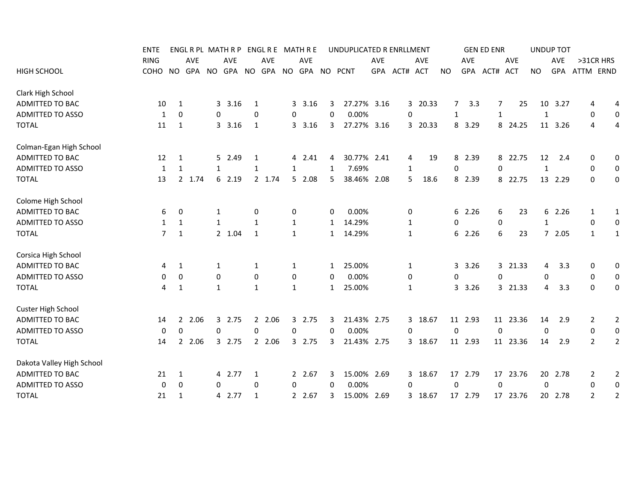|                           | <b>ENTE</b> |                   | ENGL R PL MATH R P   |              |           |   | ENGL R E MATH R E   |              |                    |              | UNDUPLICATED R ENRLLMENT |            |              |         |                |         | <b>GEN ED ENR</b> |            |              | <b>UNDUP TOT</b> |                |                  |
|---------------------------|-------------|-------------------|----------------------|--------------|-----------|---|---------------------|--------------|--------------------|--------------|--------------------------|------------|--------------|---------|----------------|---------|-------------------|------------|--------------|------------------|----------------|------------------|
|                           | <b>RING</b> |                   | AVE                  |              | AVE       |   | AVE                 |              | AVE                |              |                          | <b>AVE</b> |              | AVE     |                | AVE     |                   | AVE        |              | <b>AVE</b>       | >31CR HRS      |                  |
| <b>HIGH SCHOOL</b>        | COHO        | NO                | GPA                  |              | NO GPA NO |   |                     |              | GPA NO GPA NO PCNT |              |                          |            | GPA ACT# ACT |         | <b>NO</b>      |         | GPA ACT#          | <b>ACT</b> | <b>NO</b>    | GPA              | ATTM ERND      |                  |
| Clark High School         |             |                   |                      |              |           |   |                     |              |                    |              |                          |            |              |         |                |         |                   |            |              |                  |                |                  |
| ADMITTED TO BAC           | 10          | 1                 |                      | 3            | 3.16      | 1 |                     |              | 3 3.16             | 3            | 27.27% 3.16              |            |              | 3 20.33 | $\overline{7}$ | 3.3     |                   | 25<br>7    |              | 10 3.27          | 4              | 4                |
| ADMITTED TO ASSO          |             | $\mathbf{1}$<br>0 |                      | $\mathbf 0$  |           | 0 |                     | 0            |                    | 0            | 0.00%                    |            | 0            |         | $\mathbf{1}$   |         | $\mathbf{1}$      |            | $\mathbf{1}$ |                  | 0              | $\mathbf 0$      |
| <b>TOTAL</b>              | 11          | 1                 |                      |              | 3.16      | 1 |                     |              | 3 3.16             | 3            | 27.27% 3.16              |            |              | 3 20.33 |                | 8 3.29  |                   | 8 24.25    |              | 11 3.26          | 4              | 4                |
| Colman-Egan High School   |             |                   |                      |              |           |   |                     |              |                    |              |                          |            |              |         |                |         |                   |            |              |                  |                |                  |
| ADMITTED TO BAC           | 12          | 1                 |                      |              | 5 2.49    | 1 |                     |              | 4 2.41             | 4            | 30.77% 2.41              |            | 4            | 19      | 8              | 2.39    |                   | 8 22.75    | 12           | 2.4              | 0              | 0                |
| <b>ADMITTED TO ASSO</b>   |             | 1<br>1            |                      | $\mathbf{1}$ |           | 1 |                     | $\mathbf{1}$ |                    | 1            | 7.69%                    |            | 1            |         | 0              |         | $\Omega$          |            | $\mathbf{1}$ |                  | 0              | $\mathbf 0$      |
| <b>TOTAL</b>              | 13          |                   | 2 1.74               |              | 6 2.19    |   | 2 1.74              |              | 52.08              | 5            | 38.46% 2.08              |            | 5            | 18.6    |                | 8 2.39  |                   | 8 22.75    |              | 13 2.29          | 0              | 0                |
| Colome High School        |             |                   |                      |              |           |   |                     |              |                    |              |                          |            |              |         |                |         |                   |            |              |                  |                |                  |
| ADMITTED TO BAC           |             | 6<br>0            |                      | 1            |           | 0 |                     | 0            |                    | 0            | 0.00%                    |            | 0            |         |                | 6 2.26  | 6                 | 23         |              | 6 2.26           | 1              | 1                |
| <b>ADMITTED TO ASSO</b>   |             | 1<br>1            |                      | $\mathbf{1}$ |           | 1 |                     | 1            |                    | 1            | 14.29%                   |            | 1            |         | 0              |         | 0                 |            | 1            |                  | 0              | 0                |
| <b>TOTAL</b>              |             | 7<br>1            |                      |              | 2 1.04    | 1 |                     | $\mathbf{1}$ |                    | $\mathbf{1}$ | 14.29%                   |            | 1            |         | 6              | 2.26    |                   | 6<br>23    |              | 72.05            | 1              | 1                |
| Corsica High School       |             |                   |                      |              |           |   |                     |              |                    |              |                          |            |              |         |                |         |                   |            |              |                  |                |                  |
| ADMITTED TO BAC           |             | 1<br>4            |                      | 1            |           | 1 |                     | $\mathbf{1}$ |                    | 1            | 25.00%                   |            | 1            |         |                | 3 3.26  |                   | 3 21.33    | 4            | 3.3              | 0              | 0                |
| <b>ADMITTED TO ASSO</b>   |             | 0<br>0            |                      | $\mathbf 0$  |           | 0 |                     | 0            |                    | 0            | 0.00%                    |            | 0            |         | 0              |         | $\Omega$          |            | 0            |                  | 0              | $\boldsymbol{0}$ |
| <b>TOTAL</b>              |             | 4<br>1            |                      | $\mathbf{1}$ |           | 1 |                     | $\mathbf{1}$ |                    | 1            | 25.00%                   |            | 1            |         |                | 3 3.26  |                   | 3 21.33    | 4            | 3.3              | 0              | 0                |
| <b>Custer High School</b> |             |                   |                      |              |           |   |                     |              |                    |              |                          |            |              |         |                |         |                   |            |              |                  |                |                  |
| ADMITTED TO BAC           | 14          |                   | $\mathbf{2}$<br>2.06 |              | 3 2.75    |   | 2.06<br>$2^{\circ}$ |              | 3 2.75             | 3            | 21.43% 2.75              |            |              | 3 18.67 |                | 11 2.93 |                   | 11 23.36   | 14           | 2.9              | 2              | $\overline{2}$   |
| <b>ADMITTED TO ASSO</b>   |             | 0                 | 0                    | $\mathbf 0$  |           | 0 |                     | $\mathbf 0$  |                    | 0            | 0.00%                    |            | 0            |         | 0              |         | $\mathbf 0$       |            | 0            |                  | 0              | $\boldsymbol{0}$ |
| <b>TOTAL</b>              | 14          |                   | 2 2.06               |              | 3 2.75    |   | 2 2.06              |              | 3 2.75             | 3            | 21.43% 2.75              |            |              | 3 18.67 |                | 11 2.93 |                   | 11 23.36   | 14           | 2.9              | $\overline{2}$ | $\overline{2}$   |
| Dakota Valley High School |             |                   |                      |              |           |   |                     |              |                    |              |                          |            |              |         |                |         |                   |            |              |                  |                |                  |
| ADMITTED TO BAC           | 21          | 1                 |                      |              | 4 2.77    | 1 |                     |              | 2 2.67             | 3            | 15.00% 2.69              |            |              | 3 18.67 |                | 17 2.79 |                   | 17 23.76   |              | 20 2.78          | 2              | $\overline{2}$   |
| ADMITTED TO ASSO          |             | $\mathbf 0$<br>0  |                      | 0            |           | 0 |                     | 0            |                    | 0            | 0.00%                    |            | 0            |         | 0              |         | $\mathbf 0$       |            | 0            |                  | 0              | $\boldsymbol{0}$ |
| <b>TOTAL</b>              | 21          | 1                 |                      |              | 4 2.77    | 1 |                     |              | 2 2.67             | 3            | 15.00% 2.69              |            |              | 3 18.67 |                | 17 2.79 |                   | 17 23.76   |              | 20 2.78          | $\overline{2}$ | $\overline{2}$   |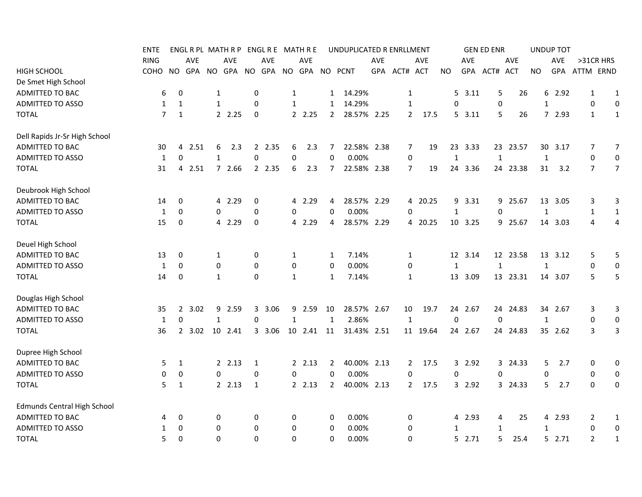|                                    | <b>ENTE</b>    |              |            |              | ENGL R PL MATH R P |                  |            |                  | ENGL R E MATH R E |                | UNDUPLICATED R ENRLLMENT |            |                  |          |              |            | <b>GEN ED ENR</b> |            |              | <b>UNDUP TOT</b> |              |                  |
|------------------------------------|----------------|--------------|------------|--------------|--------------------|------------------|------------|------------------|-------------------|----------------|--------------------------|------------|------------------|----------|--------------|------------|-------------------|------------|--------------|------------------|--------------|------------------|
|                                    | <b>RING</b>    |              | <b>AVE</b> |              | <b>AVE</b>         |                  | <b>AVE</b> |                  | <b>AVE</b>        |                |                          | <b>AVE</b> |                  | AVE      |              | <b>AVE</b> |                   | <b>AVE</b> |              | AVE              | >31CR HRS    |                  |
| <b>HIGH SCHOOL</b>                 | <b>COHO</b>    | NO           | GPA        |              | NO GPA             | <b>NO</b>        | GPA        |                  | NO GPA            |                | NO PCNT                  | GPA        | ACT# ACT         |          | NO.          | <b>GPA</b> | ACT#              | ACT        | <b>NO</b>    | GPA              | ATTM ERND    |                  |
| De Smet High School                |                |              |            |              |                    |                  |            |                  |                   |                |                          |            |                  |          |              |            |                   |            |              |                  |              |                  |
| ADMITTED TO BAC                    | 6              | 0            |            | 1            |                    | 0                |            | $\mathbf{1}$     |                   | $\mathbf{1}$   | 14.29%                   |            | 1                |          |              | 5, 3.11    | 5                 | 26         | 6            | 2.92             | 1            | $\mathbf{1}$     |
| ADMITTED TO ASSO                   | 1              | $\mathbf{1}$ |            | $\mathbf{1}$ |                    | $\mathbf 0$      |            | $\mathbf{1}$     |                   | $\mathbf{1}$   | 14.29%                   |            | $\mathbf{1}$     |          | $\Omega$     |            | 0                 |            | $\mathbf{1}$ |                  | 0            | 0                |
| <b>TOTAL</b>                       | $\overline{7}$ | $\mathbf{1}$ |            |              | 2.25               | 0                |            |                  | 2.25              | $\overline{2}$ | 28.57% 2.25              |            | $\overline{2}$   | 17.5     |              | 5, 3.11    | 5                 | 26         |              | 7 2.93           | 1            | $\mathbf{1}$     |
| Dell Rapids Jr-Sr High School      |                |              |            |              |                    |                  |            |                  |                   |                |                          |            |                  |          |              |            |                   |            |              |                  |              |                  |
| ADMITTED TO BAC                    | 30             | 4            | 2.51       | 6            | 2.3                | 2                | 2.35       | 6                | 2.3               | 7              | 22.58% 2.38              |            | 7                | 19       | 23           | 3.33       |                   | 23 23.57   | 30           | 3.17             | 7            | 7                |
| ADMITTED TO ASSO                   | 1              | $\mathbf 0$  |            | $\mathbf{1}$ |                    | $\boldsymbol{0}$ |            | 0                |                   | $\mathbf 0$    | 0.00%                    |            | 0                |          | $\mathbf{1}$ |            | $\mathbf{1}$      |            | $\mathbf 1$  |                  | 0            | 0                |
| <b>TOTAL</b>                       | 31             | 4            | 2.51       |              | 7 2.66             |                  | 2 2.35     | 6                | 2.3               | 7              | 22.58% 2.38              |            | 7                | 19       |              | 24 3.36    |                   | 24 23.38   | 31           | 3.2              | 7            | $\overline{7}$   |
| Deubrook High School               |                |              |            |              |                    |                  |            |                  |                   |                |                          |            |                  |          |              |            |                   |            |              |                  |              |                  |
| ADMITTED TO BAC                    | 14             | 0            |            |              | 4 2.29             | 0                |            |                  | 4 2.29            | 4              | 28.57% 2.29              |            |                  | 4 20.25  |              | 9 3.31     |                   | 9 25.67    |              | 13 3.05          | 3            | 3                |
| ADMITTED TO ASSO                   | 1              | 0            |            | 0            |                    | $\mathbf 0$      |            | 0                |                   | 0              | 0.00%                    |            | 0                |          | 1            |            | 0                 |            | 1            |                  | $\mathbf{1}$ | $\mathbf{1}$     |
| <b>TOTAL</b>                       | 15             | 0            |            |              | 4 2.29             | 0                |            |                  | 4 2.29            | 4              | 28.57% 2.29              |            |                  | 4 20.25  |              | 10 3.25    |                   | 9 25.67    |              | 14 3.03          | 4            | 4                |
| Deuel High School                  |                |              |            |              |                    |                  |            |                  |                   |                |                          |            |                  |          |              |            |                   |            |              |                  |              |                  |
| ADMITTED TO BAC                    | 13             | 0            |            | 1            |                    | 0                |            | 1                |                   | 1              | 7.14%                    |            | 1                |          |              | 12 3.14    |                   | 12 23.58   |              | 13 3.12          | 5            | 5                |
| <b>ADMITTED TO ASSO</b>            | 1              | 0            |            | $\mathbf 0$  |                    | $\mathbf 0$      |            | $\boldsymbol{0}$ |                   | $\Omega$       | 0.00%                    |            | 0                |          | $\mathbf{1}$ |            | 1                 |            | $\mathbf{1}$ |                  | $\mathbf 0$  | 0                |
| <b>TOTAL</b>                       | 14             | $\mathbf 0$  |            | $\mathbf{1}$ |                    | $\mathbf 0$      |            | $\mathbf{1}$     |                   | 1              | 7.14%                    |            | 1                |          |              | 13 3.09    |                   | 13 23.31   |              | 14 3.07          | 5            | 5                |
| Douglas High School                |                |              |            |              |                    |                  |            |                  |                   |                |                          |            |                  |          |              |            |                   |            |              |                  |              |                  |
| ADMITTED TO BAC                    | 35             |              | 2, 3.02    |              | 9 2.59             | 3                | 3.06       |                  | 9 2.59            | 10             | 28.57% 2.67              |            | 10               | 19.7     |              | 24 2.67    |                   | 24 24.83   |              | 34 2.67          | 3            | 3                |
| <b>ADMITTED TO ASSO</b>            | 1              | 0            |            | 1            |                    | $\Omega$         |            | $\mathbf{1}$     |                   | $\mathbf{1}$   | 2.86%                    |            | 1                |          | 0            |            | $\mathbf 0$       |            | 1            |                  | 0            | 0                |
| <b>TOTAL</b>                       | 36             |              | 2, 3.02    |              | 10 2.41            |                  | 3 3.06     |                  | 10 2.41 11        |                | 31.43% 2.51              |            |                  | 11 19.64 |              | 24 2.67    |                   | 24 24.83   |              | 35 2.62          | 3            | 3                |
| Dupree High School                 |                |              |            |              |                    |                  |            |                  |                   |                |                          |            |                  |          |              |            |                   |            |              |                  |              |                  |
| ADMITTED TO BAC                    | 5              | 1            |            |              | 2, 2.13            | 1                |            |                  | 2.13              | 2              | 40.00% 2.13              |            | $2^{\circ}$      | 17.5     |              | 3 2.92     |                   | 3 24.33    | 5            | 2.7              | 0            | 0                |
| <b>ADMITTED TO ASSO</b>            | 0              | 0            |            | $\mathbf 0$  |                    | 0                |            | 0                |                   | 0              | 0.00%                    |            | 0                |          | 0            |            | 0                 |            | 0            |                  | 0            | $\boldsymbol{0}$ |
| <b>TOTAL</b>                       | 5              | 1            |            |              | 2.13               | 1                |            |                  | 2.13              | $\overline{2}$ | 40.00% 2.13              |            | $\overline{2}$   | 17.5     |              | 3 2.92     |                   | 3 24.33    | 5            | 2.7              | 0            | 0                |
| <b>Edmunds Central High School</b> |                |              |            |              |                    |                  |            |                  |                   |                |                          |            |                  |          |              |            |                   |            |              |                  |              |                  |
| ADMITTED TO BAC                    | 4              | 0            |            | 0            |                    | 0                |            | 0                |                   | 0              | 0.00%                    |            | 0                |          | 4            | 2.93       | 4                 | 25         |              | 4 2.93           | 2            | $\mathbf{1}$     |
| <b>ADMITTED TO ASSO</b>            | 1              | $\mathbf 0$  |            | $\mathbf 0$  |                    | 0                |            | 0                |                   | $\mathbf 0$    | 0.00%                    |            | 0                |          | $\mathbf{1}$ |            | 1                 |            | $\mathbf{1}$ |                  | $\mathbf 0$  | $\boldsymbol{0}$ |
| <b>TOTAL</b>                       | 5              | $\Omega$     |            | $\Omega$     |                    | $\Omega$         |            | $\Omega$         |                   | $\Omega$       | 0.00%                    |            | $\boldsymbol{0}$ |          |              | 5 2.71     | 5                 | 25.4       |              | 52.71            | 2            | $\mathbf{1}$     |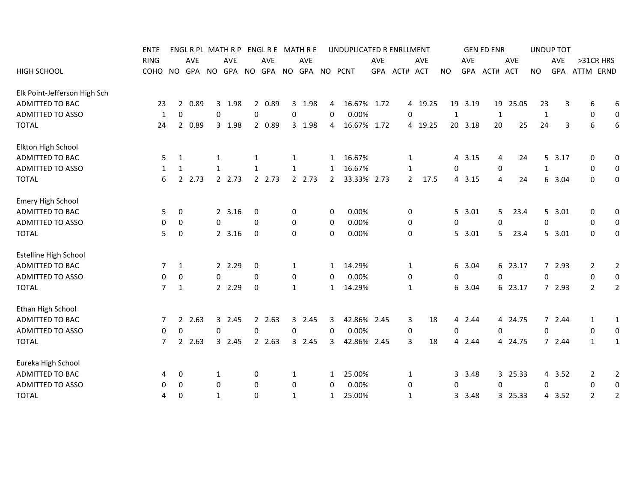|                              | ENTE        |                     | ENGL R PL MATH R P |              |            |                  |            |              | ENGL R E MATH R E                |                | UNDUPLICATED R ENRLLMENT |            |              |            |             |         | <b>GEN ED ENR</b> |         |           | <b>UNDUP TOT</b> |                  |                  |
|------------------------------|-------------|---------------------|--------------------|--------------|------------|------------------|------------|--------------|----------------------------------|----------------|--------------------------|------------|--------------|------------|-------------|---------|-------------------|---------|-----------|------------------|------------------|------------------|
|                              | <b>RING</b> |                     | <b>AVE</b>         |              | <b>AVE</b> |                  | <b>AVE</b> |              | <b>AVE</b>                       |                |                          | <b>AVE</b> |              | <b>AVE</b> |             | AVE     |                   | AVE     |           | <b>AVE</b>       | >31CR HRS        |                  |
| <b>HIGH SCHOOL</b>           | COHO        | NO.                 |                    |              |            |                  |            |              | GPA NO GPA NO GPA NO GPA NO PCNT |                |                          |            | GPA ACT# ACT |            | NO.         |         | GPA ACT# ACT      |         | <b>NO</b> |                  | GPA ATTM ERND    |                  |
| Elk Point-Jefferson High Sch |             |                     |                    |              |            |                  |            |              |                                  |                |                          |            |              |            |             |         |                   |         |           |                  |                  |                  |
| <b>ADMITTED TO BAC</b>       | 23          | $\overline{2}$      | 0.89               |              | 3 1.98     |                  | 2 0.89     |              | 3 1.98                           | 4              | 16.67% 1.72              |            |              | 4 19.25    |             | 19 3.19 | 19                | 25.05   | 23        | 3                | 6                | 6                |
| <b>ADMITTED TO ASSO</b>      |             | 0<br>1              |                    | 0            |            | 0                |            | 0            |                                  | 0              | 0.00%                    |            | 0            |            | 1           |         | 1                 |         | 1         |                  | 0                | 0                |
| <b>TOTAL</b>                 | 24          | $\overline{2}$      | 0.89               |              | 3 1.98     |                  | 2 0.89     |              | 3 1.98                           | 4              | 16.67% 1.72              |            |              | 4 19.25    |             | 20 3.18 | 20                | 25      | 24        | 3                | 6                | 6                |
| Elkton High School           |             |                     |                    |              |            |                  |            |              |                                  |                |                          |            |              |            |             |         |                   |         |           |                  |                  |                  |
| ADMITTED TO BAC              |             | 1<br>5              |                    | 1            |            | 1                |            | 1            |                                  | 1              | 16.67%                   |            | 1            |            |             | 4 3.15  | 4                 | 24      |           | 5, 3.17          | 0                | 0                |
| <b>ADMITTED TO ASSO</b>      |             | 1<br>1              |                    | 1            |            | 1                |            | $\mathbf{1}$ |                                  | 1              | 16.67%                   |            | 1            |            | 0           |         | 0                 |         | 1         |                  | 0                | $\boldsymbol{0}$ |
| <b>TOTAL</b>                 |             | 6                   | 2 2.73             |              | 2 2.73     |                  | 2 2.73     |              | 2 2.73                           | $\overline{2}$ | 33.33% 2.73              |            | $\mathbf{2}$ | 17.5       |             | 4 3.15  | 4                 | 24      |           | 6 3.04           | 0                | 0                |
| Emery High School            |             |                     |                    |              |            |                  |            |              |                                  |                |                          |            |              |            |             |         |                   |         |           |                  |                  |                  |
| <b>ADMITTED TO BAC</b>       |             | 5<br>0              |                    |              | 2, 3.16    | 0                |            | 0            |                                  | 0              | 0.00%                    |            | 0            |            |             | 5, 3.01 | 5.                | 23.4    |           | 5 3.01           | 0                | 0                |
| <b>ADMITTED TO ASSO</b>      |             | 0<br>0              |                    | $\mathbf 0$  |            | 0                |            | 0            |                                  | 0              | 0.00%                    |            | 0            |            | 0           |         | $\Omega$          |         | 0         |                  | 0                | $\overline{0}$   |
| <b>TOTAL</b>                 |             | 5<br>0              |                    |              | 2 3.16     | 0                |            | 0            |                                  | 0              | 0.00%                    |            | 0            |            |             | 5 3.01  | 5.                | 23.4    |           | 5 3.01           | 0                | 0                |
| <b>Estelline High School</b> |             |                     |                    |              |            |                  |            |              |                                  |                |                          |            |              |            |             |         |                   |         |           |                  |                  |                  |
| ADMITTED TO BAC              |             | $\mathbf{1}$<br>7   |                    |              | 2 2.29     | 0                |            | 1            |                                  | 1              | 14.29%                   |            | 1            |            | 6           | 3.04    |                   | 6 23.17 |           | 7 2.93           | 2                | $\overline{2}$   |
| <b>ADMITTED TO ASSO</b>      |             | 0<br>0              |                    | $\mathbf{0}$ |            | $\Omega$         |            | 0            |                                  | 0              | 0.00%                    |            | 0            |            | 0           |         | $\Omega$          |         | 0         |                  | 0                | $\boldsymbol{0}$ |
| <b>TOTAL</b>                 |             | $\overline{7}$<br>1 |                    |              | 2 2.29     | 0                |            | 1            |                                  | $\mathbf{1}$   | 14.29%                   |            | 1            |            |             | 6 3.04  |                   | 6 23.17 |           | 7 2.93           | $\overline{2}$   | 2                |
| Ethan High School            |             |                     |                    |              |            |                  |            |              |                                  |                |                          |            |              |            |             |         |                   |         |           |                  |                  |                  |
| ADMITTED TO BAC              |             | 7                   | 2, 2.63            |              | 3 2.45     |                  | 2, 2.63    |              | 3 2.45                           | 3              | 42.86% 2.45              |            | 3            | 18         |             | 4 2.44  |                   | 4 24.75 |           | 72.44            | 1                | 1                |
| <b>ADMITTED TO ASSO</b>      |             | 0<br>0              |                    | $\mathbf 0$  |            | $\boldsymbol{0}$ |            | 0            |                                  | 0              | 0.00%                    |            | 0            |            | $\mathbf 0$ |         | 0                 |         | 0         |                  | $\boldsymbol{0}$ | $\boldsymbol{0}$ |
| <b>TOTAL</b>                 |             | 7<br>$\mathbf{2}$   | 2.63               |              | 3 2.45     |                  | 2 2.63     |              | 3 2.45                           | 3              | 42.86% 2.45              |            | 3            | 18         |             | 4 2.44  |                   | 4 24.75 |           | 7 2.44           | $\mathbf{1}$     | 1                |
| Eureka High School           |             |                     |                    |              |            |                  |            |              |                                  |                |                          |            |              |            |             |         |                   |         |           |                  |                  |                  |
| ADMITTED TO BAC              |             | 0<br>4              |                    | 1            |            | 0                |            | 1            |                                  | 1              | 25.00%                   |            | 1            |            | 3           | 3.48    |                   | 3 25.33 |           | 4 3.52           | 2                | $\overline{2}$   |
| <b>ADMITTED TO ASSO</b>      |             | 0<br>0              |                    | 0            |            | 0                |            | 0            |                                  | 0              | 0.00%                    |            | 0            |            | 0           |         | 0                 |         | 0         |                  | 0                | 0                |
| <b>TOTAL</b>                 |             | 0<br>4              |                    | 1            |            | $\mathbf 0$      |            | $\mathbf{1}$ |                                  | $\mathbf{1}$   | 25.00%                   |            | 1            |            | 3           | 3.48    |                   | 3 25.33 |           | 4 3.52           | $\overline{2}$   | 2                |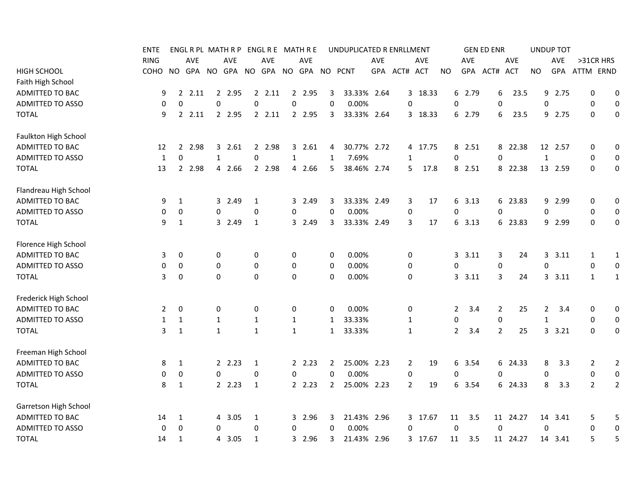|                         | ENTE         |                |            |              | ENGL R PL MATH R P |                  | ENGL R E MATH R E |              |            |                | UNDUPLICATED R ENRLLMENT |     |                |         |                |            | <b>GEN ED ENR</b> |            |                | <b>UNDUP TOT</b> |                |                  |
|-------------------------|--------------|----------------|------------|--------------|--------------------|------------------|-------------------|--------------|------------|----------------|--------------------------|-----|----------------|---------|----------------|------------|-------------------|------------|----------------|------------------|----------------|------------------|
|                         | <b>RING</b>  |                | <b>AVE</b> |              | AVE                |                  | <b>AVE</b>        |              | <b>AVE</b> |                |                          | AVE |                | AVE     |                | <b>AVE</b> |                   | AVE        |                | AVE              | >31CR HRS      |                  |
| <b>HIGH SCHOOL</b>      | соно         | NO.            |            |              | GPA NO GPA NO      |                  |                   |              |            |                | GPA NO GPA NO PCNT       |     | GPA ACT# ACT   |         | NO.            | <b>GPA</b> | ACT#              | <b>ACT</b> | NO.            | <b>GPA</b>       | ATTM ERND      |                  |
| Faith High School       |              |                |            |              |                    |                  |                   |              |            |                |                          |     |                |         |                |            |                   |            |                |                  |                |                  |
| ADMITTED TO BAC         | 9            | $\overline{2}$ | 2.11       |              | 2 2.95             | $\overline{2}$   | 2.11              |              | 2 2.95     | 3              | 33.33% 2.64              |     |                | 3 18.33 |                | 6 2.79     | 6                 | 23.5       | 9              | 2.75             | $\mathbf 0$    | $\mathbf 0$      |
| <b>ADMITTED TO ASSO</b> | 0            | 0              |            | 0            |                    | $\mathbf 0$      |                   | 0            |            | 0              | 0.00%                    |     | 0              |         | 0              |            | 0                 |            | 0              |                  | 0              | $\mathbf 0$      |
| <b>TOTAL</b>            | 9            |                | 22.11      |              | 2 2.95             |                  | 2, 2.11           |              | 2 2.95     | 3              | 33.33% 2.64              |     |                | 3 18.33 |                | 6 2.79     | 6                 | 23.5       | 9              | 2.75             | $\Omega$       | 0                |
| Faulkton High School    |              |                |            |              |                    |                  |                   |              |            |                |                          |     |                |         |                |            |                   |            |                |                  |                |                  |
| ADMITTED TO BAC         | 12           | 2              | 2.98       |              | 3 2.61             | $\mathbf{2}$     | 2.98              | 3            | 2.61       | 4              | 30.77% 2.72              |     |                | 4 17.75 |                | 8 2.51     |                   | 8 22.38    |                | 12 2.57          | 0              | 0                |
| <b>ADMITTED TO ASSO</b> | $\mathbf{1}$ | 0              |            | $\mathbf{1}$ |                    | $\mathbf 0$      |                   | 1            |            | 1              | 7.69%                    |     | $\mathbf{1}$   |         | 0              |            | $\mathbf 0$       |            | $\mathbf{1}$   |                  | 0              | 0                |
| <b>TOTAL</b>            | 13           | $\mathbf{2}$   | 2.98       |              | 4 2.66             |                  | 2 2.98            | 4            | 2.66       | 5              | 38.46% 2.74              |     | 5              | 17.8    |                | 8 2.51     |                   | 8 22.38    |                | 13 2.59          | $\mathbf 0$    | 0                |
| Flandreau High School   |              |                |            |              |                    |                  |                   |              |            |                |                          |     |                |         |                |            |                   |            |                |                  |                |                  |
| ADMITTED TO BAC         | 9            | 1              |            |              | 3 2.49             | $\mathbf{1}$     |                   | 3            | 2.49       | 3              | 33.33% 2.49              |     | 3              | 17      |                | 6 3.13     |                   | 6 23.83    |                | 9 2.99           | 0              | 0                |
| ADMITTED TO ASSO        | 0            | 0              |            | 0            |                    | $\boldsymbol{0}$ |                   | 0            |            | 0              | 0.00%                    |     | 0              |         | 0              |            | 0                 |            | 0              |                  | 0              | 0                |
| <b>TOTAL</b>            | 9            | $\mathbf{1}$   |            |              | 3 2.49             | $\mathbf{1}$     |                   |              | 3 2.49     | 3              | 33.33% 2.49              |     | 3              | 17      |                | 6 3.13     |                   | 6 23.83    |                | 9 2.99           | 0              | $\mathbf 0$      |
| Florence High School    |              |                |            |              |                    |                  |                   |              |            |                |                          |     |                |         |                |            |                   |            |                |                  |                |                  |
| ADMITTED TO BAC         | 3            | 0              |            | 0            |                    | 0                |                   | 0            |            | 0              | 0.00%                    |     | 0              |         |                | 3.11       | 3                 | 24         |                | 3 3.11           | $\mathbf{1}$   | 1                |
| <b>ADMITTED TO ASSO</b> | 0            | 0              |            | 0            |                    | 0                |                   | 0            |            | 0              | 0.00%                    |     | 0              |         | 0              |            | 0                 |            | 0              |                  | 0              | $\mathbf 0$      |
| <b>TOTAL</b>            | 3            | 0              |            | $\Omega$     |                    | $\mathbf 0$      |                   | 0            |            | 0              | 0.00%                    |     | 0              |         |                | 3, 3.11    | 3                 | 24         |                | 3, 3.11          | $\mathbf{1}$   | 1                |
| Frederick High School   |              |                |            |              |                    |                  |                   |              |            |                |                          |     |                |         |                |            |                   |            |                |                  |                |                  |
| ADMITTED TO BAC         | 2            | 0              |            | 0            |                    | 0                |                   | 0            |            | 0              | 0.00%                    |     | 0              |         | 2              | 3.4        | $\overline{2}$    | 25         | $\overline{2}$ | 3.4              | 0              | 0                |
| <b>ADMITTED TO ASSO</b> | 1            | 1              |            | $\mathbf{1}$ |                    | $\mathbf{1}$     |                   | $\mathbf{1}$ |            | 1              | 33.33%                   |     | $\mathbf{1}$   |         | 0              |            | 0                 |            | 1              |                  | 0              | 0                |
| <b>TOTAL</b>            | 3            | $\mathbf{1}$   |            | $\mathbf{1}$ |                    | $\mathbf{1}$     |                   | $\mathbf{1}$ |            | $\mathbf{1}$   | 33.33%                   |     | $\mathbf{1}$   |         | $\overline{2}$ | 3.4        | $\overline{2}$    | 25         |                | 3.21             | 0              | 0                |
| Freeman High School     |              |                |            |              |                    |                  |                   |              |            |                |                          |     |                |         |                |            |                   |            |                |                  |                |                  |
| ADMITTED TO BAC         | 8            | 1              |            |              | 2, 2.23            | 1                |                   |              | 2.23       | 2              | 25.00% 2.23              |     | $\overline{2}$ | 19      |                | 6 3.54     |                   | 6 24.33    | 8              | 3.3              | 2              | $\overline{2}$   |
| ADMITTED TO ASSO        | 0            | 0              |            | $\Omega$     |                    | $\mathbf 0$      |                   | 0            |            | $\Omega$       | 0.00%                    |     | 0              |         | 0              |            | 0                 |            | 0              |                  | $\mathbf 0$    | $\boldsymbol{0}$ |
| <b>TOTAL</b>            | 8            | $\mathbf{1}$   |            |              | 2.23               | $\mathbf{1}$     |                   |              | 2.23       | $\overline{2}$ | 25.00% 2.23              |     | $\overline{2}$ | 19      |                | 6 3.54     |                   | 6 24.33    | 8              | 3.3              | $\overline{2}$ | $\overline{2}$   |
| Garretson High School   |              |                |            |              |                    |                  |                   |              |            |                |                          |     |                |         |                |            |                   |            |                |                  |                |                  |
| ADMITTED TO BAC         | 14           | 1              |            |              | 4 3.05             | 1                |                   |              | 3 2.96     | 3              | 21.43% 2.96              |     |                | 3 17.67 | 11             | 3.5        |                   | 11 24.27   |                | 14 3.41          | 5              | 5                |
| <b>ADMITTED TO ASSO</b> | 0            | 0              |            | $\mathbf 0$  |                    | $\boldsymbol{0}$ |                   | 0            |            | 0              | 0.00%                    |     | $\mathbf 0$    |         | $\mathbf 0$    |            | $\mathbf 0$       |            | 0              |                  | $\mathbf 0$    | $\pmb{0}$        |
| <b>TOTAL</b>            | 14           | 1              |            |              | 4 3.05             | 1                |                   |              | 3 2.96     | 3              | 21.43% 2.96              |     |                | 3 17.67 | 11             | 3.5        |                   | 11 24.27   |                | 14 3.41          | 5              | 5                |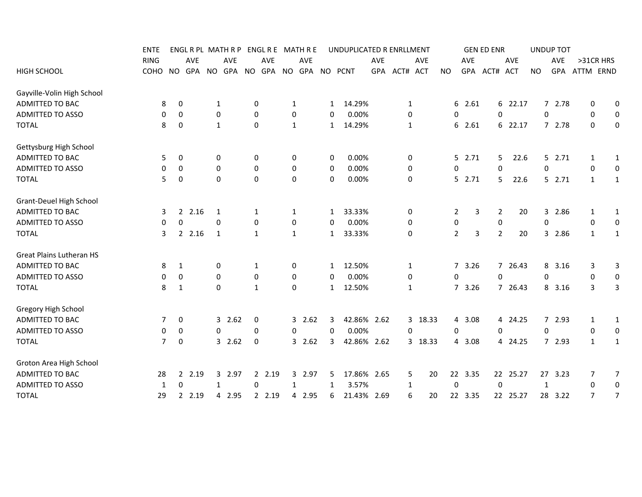|                            | <b>ENTE</b> |                     |         |              | ENGL R PL MATH R P |             |        |              | ENGL R E MATH R E  |   | UNDUPLICATED R ENRLLMENT |            |              |            |                  |            | <b>GEN ED ENR</b> |            |           |             | <b>UNDUP TOT</b> |              |                  |
|----------------------------|-------------|---------------------|---------|--------------|--------------------|-------------|--------|--------------|--------------------|---|--------------------------|------------|--------------|------------|------------------|------------|-------------------|------------|-----------|-------------|------------------|--------------|------------------|
|                            | <b>RING</b> |                     | AVE     |              | AVE                |             | AVE    |              | <b>AVE</b>         |   |                          | <b>AVE</b> |              | <b>AVE</b> |                  | <b>AVE</b> |                   | AVE        |           |             | <b>AVE</b>       | >31CR HRS    |                  |
| <b>HIGH SCHOOL</b>         | COHO        | NO.                 | GPA     |              | NO GPA NO          |             |        |              | GPA NO GPA NO PCNT |   |                          |            | GPA ACT# ACT |            | <b>NO</b>        |            | GPA ACT#          | <b>ACT</b> | <b>NO</b> |             | GPA              | ATTM ERND    |                  |
| Gayville-Volin High School |             |                     |         |              |                    |             |        |              |                    |   |                          |            |              |            |                  |            |                   |            |           |             |                  |              |                  |
| ADMITTED TO BAC            |             | 0<br>8              |         | $\mathbf{1}$ |                    | 0           |        | $\mathbf{1}$ |                    | 1 | 14.29%                   |            | 1            |            |                  | 6 2.61     |                   | 6 22.17    |           |             | 7 2.78           | 0            | 0                |
| ADMITTED TO ASSO           |             | 0<br>0              |         | 0            |                    | 0           |        | 0            |                    | 0 | 0.00%                    |            | 0            |            | 0                |            | 0                 |            |           | 0           |                  | 0            | $\mathbf 0$      |
| <b>TOTAL</b>               |             | 8<br>0              |         | $\mathbf{1}$ |                    | 0           |        | $\mathbf{1}$ |                    | 1 | 14.29%                   |            | $\mathbf{1}$ |            |                  | 6 2.61     |                   | 6 22.17    |           |             | 7 2.78           | 0            | 0                |
| Gettysburg High School     |             |                     |         |              |                    |             |        |              |                    |   |                          |            |              |            |                  |            |                   |            |           |             |                  |              |                  |
| ADMITTED TO BAC            |             | 5<br>0              |         | 0            |                    | 0           |        | 0            |                    | 0 | 0.00%                    |            | 0            |            |                  | $5$ 2.71   |                   | 5.<br>22.6 |           |             | 5 2.71           | 1            | 1                |
| <b>ADMITTED TO ASSO</b>    |             | 0<br>0              |         | $\mathbf 0$  |                    | $\mathbf 0$ |        | 0            |                    | 0 | 0.00%                    |            | 0            |            | 0                |            | $\Omega$          |            |           | 0           |                  | 0            | $\mathbf 0$      |
| <b>TOTAL</b>               |             | 5<br>$\mathbf 0$    |         | $\mathbf 0$  |                    | $\mathbf 0$ |        | $\mathbf 0$  |                    | 0 | 0.00%                    |            | 0            |            |                  | 52.71      |                   | 22.6<br>5. |           |             | 52.71            | $\mathbf{1}$ | 1                |
| Grant-Deuel High School    |             |                     |         |              |                    |             |        |              |                    |   |                          |            |              |            |                  |            |                   |            |           |             |                  |              |                  |
| ADMITTED TO BAC            |             | 3                   | 2, 2.16 | 1            |                    | 1           |        | 1            |                    | 1 | 33.33%                   |            | 0            |            | 2                | 3          | 2                 |            | 20        | 3           | 2.86             | 1            | 1                |
| <b>ADMITTED TO ASSO</b>    |             | 0<br>0              |         | $\mathbf{0}$ |                    | 0           |        | 0            |                    | 0 | 0.00%                    |            | 0            |            | 0                |            | 0                 |            |           | 0           |                  | 0            | 0                |
| <b>TOTAL</b>               |             | 3                   | 2, 2.16 | 1            |                    | 1           |        | $\mathbf{1}$ |                    | 1 | 33.33%                   |            | 0            |            | $\overline{2}$   | 3          | $\overline{2}$    |            | 20        | 3           | 2.86             | $\mathbf{1}$ | 1                |
| Great Plains Lutheran HS   |             |                     |         |              |                    |             |        |              |                    |   |                          |            |              |            |                  |            |                   |            |           |             |                  |              |                  |
| ADMITTED TO BAC            |             | 8<br>1              |         | 0            |                    | 1           |        | 0            |                    | 1 | 12.50%                   |            | 1            |            |                  | 7 3.26     |                   | 7 26.43    |           | 8           | 3.16             | 3            | 3                |
| <b>ADMITTED TO ASSO</b>    |             | 0<br>0              |         | 0            |                    | 0           |        | 0            |                    | 0 | 0.00%                    |            | 0            |            | $\Omega$         |            | $\Omega$          |            |           | 0           |                  | 0            | $\boldsymbol{0}$ |
| <b>TOTAL</b>               |             | 8<br>1              |         | 0            |                    | 1           |        | 0            |                    | 1 | 12.50%                   |            | 1            |            |                  | 7 3.26     |                   | 7 26.43    |           |             | 8 3.16           | 3            | 3                |
| Gregory High School        |             |                     |         |              |                    |             |        |              |                    |   |                          |            |              |            |                  |            |                   |            |           |             |                  |              |                  |
| ADMITTED TO BAC            |             | 0<br>7              |         |              | 32.62              | $\mathbf 0$ |        |              | 2.62<br>3          | 3 | 42.86% 2.62              |            |              | 3 18.33    |                  | 4 3.08     |                   | 4 24.25    |           | $7^{\circ}$ | 2.93             | $\mathbf{1}$ | $\mathbf{1}$     |
| <b>ADMITTED TO ASSO</b>    |             | 0<br>0              |         | $\mathbf 0$  |                    | $\mathbf 0$ |        | 0            |                    | 0 | 0.00%                    |            | 0            |            | 0                |            | $\mathbf 0$       |            |           | 0           |                  | 0            | $\boldsymbol{0}$ |
| <b>TOTAL</b>               |             | 0<br>$\overline{7}$ |         |              | 32.62              | 0           |        |              | 32.62              | 3 | 42.86% 2.62              |            |              | 3 18.33    |                  | 4 3.08     |                   | 4 24.25    |           |             | 7 2.93           | $\mathbf{1}$ | $\mathbf{1}$     |
| Groton Area High School    |             |                     |         |              |                    |             |        |              |                    |   |                          |            |              |            |                  |            |                   |            |           |             |                  |              |                  |
| ADMITTED TO BAC            |             | 28                  | 2 2.19  |              | 3 2.97             |             | 2 2.19 |              | 3 2.97             | 5 | 17.86% 2.65              |            | 5            | 20         |                  | 22 3.35    |                   | 22 25.27   |           |             | 27 3.23          | 7            | 7                |
| <b>ADMITTED TO ASSO</b>    |             | 0<br>1              |         | 1            |                    | 0           |        | 1            |                    | 1 | 3.57%                    |            | 1            |            | $\boldsymbol{0}$ |            | 0                 |            |           | 1           |                  | 0            | $\boldsymbol{0}$ |
| <b>TOTAL</b>               |             | 29                  | 2 2.19  |              | 4 2.95             |             | 2 2.19 |              | 4 2.95             | 6 | 21.43% 2.69              |            | 6            | 20         |                  | 22 3.35    |                   | 22 25.27   |           |             | 28 3.22          | 7            | $\overline{7}$   |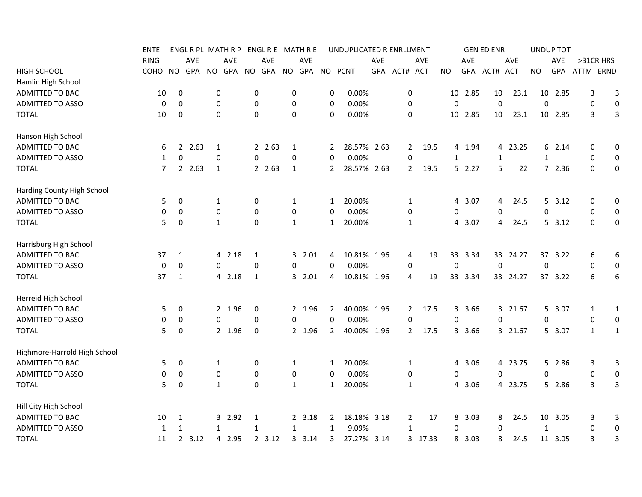|                              | <b>ENTE</b>      |              |            |                  | ENGL R PL MATH R P |                  | ENGL R E |              | MATH R E   |                | UNDUPLICATED R ENRLLMENT |     |                  |         |              |            | <b>GEN ED ENR</b> |            |              | <b>UNDUP TOT</b> |              |              |
|------------------------------|------------------|--------------|------------|------------------|--------------------|------------------|----------|--------------|------------|----------------|--------------------------|-----|------------------|---------|--------------|------------|-------------------|------------|--------------|------------------|--------------|--------------|
|                              | <b>RING</b>      |              | <b>AVE</b> |                  | AVE                |                  | AVE      |              | <b>AVE</b> |                |                          | AVE |                  | AVE     |              | AVE        |                   | AVE        |              | AVE              | >31CR HRS    |              |
| <b>HIGH SCHOOL</b>           | COHO             | <b>NO</b>    | <b>GPA</b> | <b>NO</b>        | GPA                | <b>NO</b>        | GPA      |              | NO GPA     |                | NO PCNT                  | GPA | ACT# ACT         |         | NO           | <b>GPA</b> | ACT#              | <b>ACT</b> | <b>NO</b>    | GPA              | ATTM ERND    |              |
| Hamlin High School           |                  |              |            |                  |                    |                  |          |              |            |                |                          |     |                  |         |              |            |                   |            |              |                  |              |              |
| ADMITTED TO BAC              | 10               | 0            |            | 0                |                    | 0                |          | 0            |            | 0              | 0.00%                    |     | $\pmb{0}$        |         | 10           | 2.85       | 10                | 23.1       | 10           | 2.85             | 3            | 3            |
| <b>ADMITTED TO ASSO</b>      | 0                | $\mathbf 0$  |            | $\boldsymbol{0}$ |                    | $\boldsymbol{0}$ |          | 0            |            | 0              | 0.00%                    |     | $\boldsymbol{0}$ |         | $\mathbf 0$  |            | $\mathbf 0$       |            | $\pmb{0}$    |                  | 0            | $\pmb{0}$    |
| <b>TOTAL</b>                 | 10               | 0            |            | $\mathbf 0$      |                    | $\pmb{0}$        |          | 0            |            | $\mathbf 0$    | 0.00%                    |     | $\mathbf 0$      |         | 10           | 2.85       | 10                | 23.1       |              | 10 2.85          | 3            | 3            |
| Hanson High School           |                  |              |            |                  |                    |                  |          |              |            |                |                          |     |                  |         |              |            |                   |            |              |                  |              |              |
| ADMITTED TO BAC              | 6                | 2            | 2.63       | 1                |                    | 2                | 2.63     | 1            |            | 2              | 28.57% 2.63              |     | 2                | 19.5    |              | 4 1.94     |                   | 4 23.25    |              | 6 2.14           | 0            | 0            |
| <b>ADMITTED TO ASSO</b>      | 1                | 0            |            | 0                |                    | 0                |          | 0            |            | $\Omega$       | 0.00%                    |     | 0                |         | $\mathbf{1}$ |            | $\mathbf{1}$      |            | $\mathbf{1}$ |                  | 0            | 0            |
| <b>TOTAL</b>                 | 7                |              | 2 2.63     | 1                |                    |                  | 2.63     | 1            |            | $\mathbf{2}$   | 28.57% 2.63              |     | $\overline{2}$   | 19.5    |              | 52.27      | 5                 | 22         |              | 72.36            | $\Omega$     | 0            |
| Harding County High School   |                  |              |            |                  |                    |                  |          |              |            |                |                          |     |                  |         |              |            |                   |            |              |                  |              |              |
| ADMITTED TO BAC              | 5                | 0            |            | 1                |                    | 0                |          | 1            |            | 1              | 20.00%                   |     | $\mathbf{1}$     |         | 4            | 3.07       | 4                 | 24.5       |              | $5$ 3.12         | 0            | 0            |
| <b>ADMITTED TO ASSO</b>      | 0                | 0            |            | 0                |                    | 0                |          | 0            |            | 0              | 0.00%                    |     | 0                |         | 0            |            | 0                 |            | 0            |                  | 0            | 0            |
| <b>TOTAL</b>                 | 5                | 0            |            | $\mathbf{1}$     |                    | $\mathbf 0$      |          | $\mathbf{1}$ |            | $\mathbf{1}$   | 20.00%                   |     | $\mathbf{1}$     |         |              | 4 3.07     | 4                 | 24.5       |              | 5, 3.12          | $\mathbf 0$  | 0            |
| Harrisburg High School       |                  |              |            |                  |                    |                  |          |              |            |                |                          |     |                  |         |              |            |                   |            |              |                  |              |              |
| ADMITTED TO BAC              | 37               | 1            |            |                  | 4 2.18             | $\mathbf 1$      |          |              | 32.01      | 4              | 10.81% 1.96              |     | 4                | 19      |              | 33 3.34    |                   | 33 24.27   |              | 37 3.22          | 6            | 6            |
| <b>ADMITTED TO ASSO</b>      | $\boldsymbol{0}$ | $\mathbf 0$  |            | $\mathbf 0$      |                    | $\mathbf 0$      |          | 0            |            | $\Omega$       | 0.00%                    |     | 0                |         | $\mathbf 0$  |            | $\mathbf 0$       |            | $\pmb{0}$    |                  | 0            | 0            |
| <b>TOTAL</b>                 | 37               | $\mathbf{1}$ |            |                  | 4 2.18             | 1                |          |              | 32.01      | 4              | 10.81% 1.96              |     | 4                | 19      |              | 33 3.34    |                   | 33 24.27   |              | 37 3.22          | 6            | 6            |
| Herreid High School          |                  |              |            |                  |                    |                  |          |              |            |                |                          |     |                  |         |              |            |                   |            |              |                  |              |              |
| ADMITTED TO BAC              | 5                | 0            |            |                  | 2 1.96             | 0                |          |              | 2 1.96     | 2              | 40.00% 1.96              |     | $\mathbf{2}$     | 17.5    |              | 3 3.66     |                   | 3 21.67    |              | 5 3.07           | $\mathbf{1}$ | $\mathbf{1}$ |
| <b>ADMITTED TO ASSO</b>      | 0                | 0            |            | $\mathbf 0$      |                    | $\Omega$         |          | 0            |            | $\Omega$       | 0.00%                    |     | 0                |         | 0            |            | 0                 |            | 0            |                  | 0            | 0            |
| <b>TOTAL</b>                 | 5                | 0            |            |                  | 2 1.96             | 0                |          |              | 2 1.96     | $\overline{2}$ | 40.00% 1.96              |     | $\overline{2}$   | 17.5    |              | 3 3.66     |                   | 3 21.67    |              | 5 3.07           | $\mathbf{1}$ | $\mathbf{1}$ |
| Highmore-Harrold High School |                  |              |            |                  |                    |                  |          |              |            |                |                          |     |                  |         |              |            |                   |            |              |                  |              |              |
| ADMITTED TO BAC              | 5                | 0            |            | 1                |                    | 0                |          | 1            |            | 1              | 20.00%                   |     | 1                |         | 4            | 3.06       |                   | 4 23.75    |              | 5 2.86           | 3            | 3            |
| <b>ADMITTED TO ASSO</b>      | 0                | 0            |            | 0                |                    | $\pmb{0}$        |          | $\pmb{0}$    |            | 0              | 0.00%                    |     | $\pmb{0}$        |         | 0            |            | 0                 |            | 0            |                  | 0            | $\bf{0}$     |
| <b>TOTAL</b>                 | 5                | $\mathbf 0$  |            | $\mathbf{1}$     |                    | $\pmb{0}$        |          | $\mathbf{1}$ |            | $\mathbf{1}$   | 20.00%                   |     | $\mathbf{1}$     |         | 4            | 3.06       |                   | 4 23.75    |              | 5 2.86           | 3            | 3            |
| Hill City High School        |                  |              |            |                  |                    |                  |          |              |            |                |                          |     |                  |         |              |            |                   |            |              |                  |              |              |
| ADMITTED TO BAC              | 10               | 1            |            |                  | 3 2.92             | 1                |          |              | 2 3.18     | 2              | 18.18% 3.18              |     | $\overline{2}$   | 17      | 8            | 3.03       | 8                 | 24.5       |              | 10 3.05          | 3            | 3            |
| <b>ADMITTED TO ASSO</b>      | 1                | 1            |            | $\mathbf{1}$     |                    | 1                |          | 1            |            | 1              | 9.09%                    |     | $\mathbf{1}$     |         | 0            |            | $\Omega$          |            | $\mathbf{1}$ |                  | $\mathbf 0$  | 0            |
| <b>TOTAL</b>                 | 11               |              | 2, 3.12    |                  | 4 2.95             |                  | 2, 3.12  |              | 3, 3.14    | 3              | 27.27% 3.14              |     |                  | 3 17.33 | 8            | 3.03       | 8                 | 24.5       |              | 11 3.05          | 3            | 3            |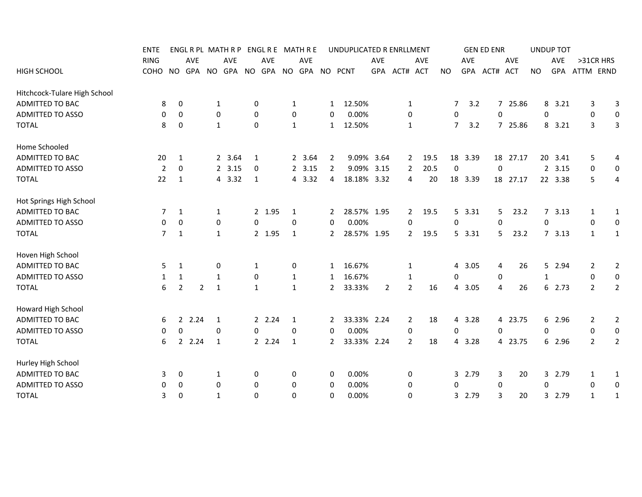|                              | <b>ENTE</b> |                     |                        |                                | ENGL R PL MATH R P |              | ENGL R E MATH R E  |              |            |              | UNDUPLICATED R ENRLLMENT |                |                |            |                |            | <b>GEN ED ENR</b> |            |              | <b>UNDUP TOT</b>       |                |                  |
|------------------------------|-------------|---------------------|------------------------|--------------------------------|--------------------|--------------|--------------------|--------------|------------|--------------|--------------------------|----------------|----------------|------------|----------------|------------|-------------------|------------|--------------|------------------------|----------------|------------------|
|                              | <b>RING</b> |                     | AVE                    |                                | <b>AVE</b>         |              | <b>AVE</b>         |              | <b>AVE</b> |              |                          | <b>AVE</b>     |                | <b>AVE</b> |                | <b>AVE</b> |                   | AVE        |              | AVE                    | >31CR HRS      |                  |
| <b>HIGH SCHOOL</b>           | COHO        | NO.                 |                        |                                | GPA NO GPA NO      |              | GPA NO GPA NO PCNT |              |            |              |                          |                | GPA ACT# ACT   |            | NO.            |            | GPA ACT#          | <b>ACT</b> | <b>NO</b>    |                        | GPA ATTM ERND  |                  |
| Hitchcock-Tulare High School |             |                     |                        |                                |                    |              |                    |              |            |              |                          |                |                |            |                |            |                   |            |              |                        |                |                  |
| ADMITTED TO BAC              |             | 0<br>8              |                        | 1                              |                    | 0            |                    | $\mathbf{1}$ |            | 1            | 12.50%                   |                | 1              |            | 7              | 3.2        |                   | 7 25.86    |              | 8 3.21                 | 3              | 3                |
| <b>ADMITTED TO ASSO</b>      |             | 0<br>0              |                        | 0                              |                    | 0            |                    | 0            |            | 0            | 0.00%                    |                | 0              |            | 0              |            | 0                 |            |              | 0                      | 0              | 0                |
| <b>TOTAL</b>                 |             | 8<br>0              |                        | 1                              |                    | 0            |                    | $\mathbf{1}$ |            | 1            | 12.50%                   |                | 1              |            | $\overline{7}$ | 3.2        |                   | 7 25.86    |              | 8<br>3.21              | 3              | 3                |
| Home Schooled                |             |                     |                        |                                |                    |              |                    |              |            |              |                          |                |                |            |                |            |                   |            |              |                        |                |                  |
| ADMITTED TO BAC              | 20          | 1                   |                        |                                | 2 3.64             | 1            |                    |              | 2 3.64     | 2            | 9.09% 3.64               |                | $2^{\circ}$    | 19.5       |                | 18 3.39    |                   | 18 27.17   |              | 20 3.41                | 5              | 4                |
| <b>ADMITTED TO ASSO</b>      |             | $\overline{2}$<br>0 |                        |                                | 2, 3.15            | 0            |                    |              | 2, 3.15    | 2            | 9.09%                    | 3.15           | 2              | 20.5       | $\mathbf 0$    |            | 0                 |            |              | $\overline{2}$<br>3.15 | $\mathbf 0$    | $\boldsymbol{0}$ |
| <b>TOTAL</b>                 | 22          | $\mathbf{1}$        |                        |                                | 4 3.32             | $\mathbf{1}$ |                    |              | 4 3.32     | 4            | 18.18% 3.32              |                | 4              | 20         |                | 18 3.39    |                   | 18 27.17   |              | 22 3.38                | 5              | 4                |
| Hot Springs High School      |             |                     |                        |                                |                    |              |                    |              |            |              |                          |                |                |            |                |            |                   |            |              |                        |                |                  |
| ADMITTED TO BAC              |             | 7<br>1              |                        | 1                              |                    |              | 2 1.95             | 1            |            | 2            | 28.57% 1.95              |                | 2              | 19.5       |                | 5, 3.31    | 5.                | 23.2       |              | 7, 3.13                | 1              | 1                |
| <b>ADMITTED TO ASSO</b>      |             | 0<br>0              |                        | 0                              |                    | 0            |                    | 0            |            | 0            | 0.00%                    |                | 0              |            | 0              |            | 0                 |            |              | 0                      | 0              | $\mathbf 0$      |
| <b>TOTAL</b>                 |             | 7<br>$\mathbf{1}$   |                        | 1                              |                    |              | 2 1.95             | 1            |            | $\mathbf{2}$ | 28.57% 1.95              |                | $2^{\circ}$    | 19.5       |                | 5 3.31     | 5.                | 23.2       |              | 73.13                  | $\mathbf{1}$   | 1                |
| Hoven High School            |             |                     |                        |                                |                    |              |                    |              |            |              |                          |                |                |            |                |            |                   |            |              |                        |                |                  |
| ADMITTED TO BAC              |             | 5<br>$\mathbf{1}$   |                        | 0                              |                    | 1            |                    | 0            |            | 1            | 16.67%                   |                | 1              |            | 4              | 3.05       | 4                 | 26         |              | 5 2.94                 | 2              | $\overline{2}$   |
| <b>ADMITTED TO ASSO</b>      |             | 1<br>1              |                        | 1                              |                    | 0            |                    | $\mathbf{1}$ |            | 1            | 16.67%                   |                | 1              |            | 0              |            | 0                 |            | $\mathbf{1}$ |                        | $\mathbf 0$    | $\boldsymbol{0}$ |
| <b>TOTAL</b>                 |             | 6<br>$\overline{2}$ |                        | $\overline{2}$<br>$\mathbf{1}$ |                    | $\mathbf{1}$ |                    | $\mathbf{1}$ |            | $\mathbf{2}$ | 33.33%                   | $\overline{2}$ | $\overline{2}$ | 16         | 4              | 3.05       | 4                 | 26         |              | 6 2.73                 | $\overline{2}$ | $\overline{2}$   |
| Howard High School           |             |                     |                        |                                |                    |              |                    |              |            |              |                          |                |                |            |                |            |                   |            |              |                        |                |                  |
| <b>ADMITTED TO BAC</b>       |             | 6                   | 2.24                   | 1                              |                    |              | 2.24               | 1            |            | 2            | 33.33% 2.24              |                | 2              | 18         |                | 4 3.28     |                   | 4 23.75    |              | 6 2.96                 | 2              | $\overline{2}$   |
| ADMITTED TO ASSO             |             | 0                   | 0                      | 0                              |                    | 0            |                    | 0            |            | 0            | 0.00%                    |                | $\pmb{0}$      |            | 0              |            | 0                 |            |              | 0                      | 0              | $\boldsymbol{0}$ |
| <b>TOTAL</b>                 |             | 6                   | 2.24<br>$\overline{2}$ | $\mathbf{1}$                   |                    |              | 2 2.24             | $\mathbf{1}$ |            | $\mathbf{2}$ | 33.33% 2.24              |                | $\overline{2}$ | 18         | 4              | 3.28       |                   | 4 23.75    |              | 6 2.96                 | $\overline{2}$ | $\overline{2}$   |
| Hurley High School           |             |                     |                        |                                |                    |              |                    |              |            |              |                          |                |                |            |                |            |                   |            |              |                        |                |                  |
| ADMITTED TO BAC              |             | 3<br>0              |                        | 1                              |                    | 0            |                    | 0            |            | 0            | 0.00%                    |                | 0              |            | 3              | 2.79       | 3                 | 20         |              | 3<br>2.79              | 1              | 1                |
| ADMITTED TO ASSO             |             | 0<br>0              |                        | 0                              |                    | 0            |                    | 0            |            | 0            | 0.00%                    |                | 0              |            | 0              |            | 0                 |            |              | 0                      | 0              | 0                |
| <b>TOTAL</b>                 |             | 3<br>0              |                        | $\mathbf{1}$                   |                    | $\mathbf 0$  |                    | 0            |            | 0            | 0.00%                    |                | 0              |            |                | 3 2.79     | 3                 | 20         |              | 3 2.79                 | $\mathbf{1}$   | 1                |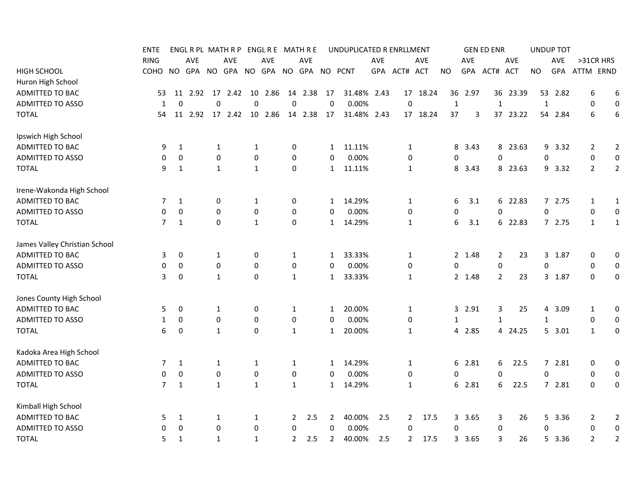|                               | <b>ENTE</b> |                  |         |              | ENGL R PL MATH R P |                  | ENGL R E MATH R E |                |         |              | UNDUPLICATED R ENRLLMENT |             |                |          |              |            | <b>GEN ED ENR</b> |            |              | <b>UNDUP TOT</b> |                |                  |
|-------------------------------|-------------|------------------|---------|--------------|--------------------|------------------|-------------------|----------------|---------|--------------|--------------------------|-------------|----------------|----------|--------------|------------|-------------------|------------|--------------|------------------|----------------|------------------|
|                               | <b>RING</b> |                  | AVE     |              | AVE                |                  | <b>AVE</b>        |                | AVE     |              |                          | AVE         |                | AVE      |              | <b>AVE</b> |                   | AVE        |              | AVE              | >31CR HRS      |                  |
| <b>HIGH SCHOOL</b>            | COHO        | <b>NO</b>        | GPA     |              | NO GPA NO          |                  | GPA               | <b>NO</b>      | GPA     |              | NO PCNT                  | <b>GPA</b>  | ACT# ACT       |          | NO.          | <b>GPA</b> | ACT#              | <b>ACT</b> | NO.          | GPA              | ATTM ERND      |                  |
| Huron High School             |             |                  |         |              |                    |                  |                   |                |         |              |                          |             |                |          |              |            |                   |            |              |                  |                |                  |
| ADMITTED TO BAC               | 53          |                  | 11 2.92 | 17           | 2.42               | 10               | 2.86              | 14             | 2.38    | 17           |                          | 31.48% 2.43 |                | 17 18.24 | 36           | 2.97       | 36                | 23.39      |              | 53 2.82          | 6              | 6                |
| <b>ADMITTED TO ASSO</b>       | 1           | 0                |         | $\mathbf 0$  |                    | $\mathbf 0$      |                   | 0              |         | $\mathbf 0$  | 0.00%                    |             | $\mathbf 0$    |          | $\mathbf{1}$ |            | $\mathbf{1}$      |            | $\mathbf{1}$ |                  | $\mathbf 0$    | $\mathbf 0$      |
| <b>TOTAL</b>                  | 54          |                  |         |              | 11  2.92  17  2.42 |                  | 10 2.86           |                | 14 2.38 | 17           |                          | 31.48% 2.43 |                | 17 18.24 | 37           | 3          | 37                | 23.22      |              | 54 2.84          | 6              | 6                |
| Ipswich High School           |             |                  |         |              |                    |                  |                   |                |         |              |                          |             |                |          |              |            |                   |            |              |                  |                |                  |
| ADMITTED TO BAC               | 9           | $\mathbf{1}$     |         | $\mathbf{1}$ |                    | 1                |                   | 0              |         | $\mathbf{1}$ | 11.11%                   |             | 1              |          | 8            | 3.43       | 8                 | 23.63      | 9            | 3.32             | 2              | $\overline{2}$   |
| <b>ADMITTED TO ASSO</b>       | 0           | $\boldsymbol{0}$ |         | 0            |                    | $\mathbf 0$      |                   | 0              |         | 0            | 0.00%                    |             | $\pmb{0}$      |          | 0            |            | 0                 |            | 0            |                  | 0              | 0                |
| <b>TOTAL</b>                  | 9           | $\mathbf{1}$     |         | $\mathbf{1}$ |                    | $\mathbf{1}$     |                   | 0              |         | $\mathbf{1}$ | 11.11%                   |             | $\mathbf{1}$   |          |              | 8 3.43     |                   | 8 23.63    |              | 9 3.32           | $\overline{2}$ | $\overline{2}$   |
| Irene-Wakonda High School     |             |                  |         |              |                    |                  |                   |                |         |              |                          |             |                |          |              |            |                   |            |              |                  |                |                  |
| <b>ADMITTED TO BAC</b>        | 7           | 1                |         | 0            |                    | 1                |                   | 0              |         | 1            | 14.29%                   |             | 1              |          | 6            | 3.1        |                   | 6 22.83    |              | 72.75            | $\mathbf{1}$   | 1                |
| ADMITTED TO ASSO              | 0           | 0                |         | 0            |                    | $\pmb{0}$        |                   | 0              |         | 0            | 0.00%                    |             | 0              |          | 0            |            | 0                 |            | 0            |                  | $\mathbf 0$    | $\mathbf 0$      |
| <b>TOTAL</b>                  | 7           | $\mathbf{1}$     |         | $\Omega$     |                    | $\mathbf{1}$     |                   | 0              |         | $\mathbf{1}$ | 14.29%                   |             | 1              |          | 6            | 3.1        |                   | 6 22.83    |              | 72.75            | $\mathbf{1}$   | 1                |
| James Valley Christian School |             |                  |         |              |                    |                  |                   |                |         |              |                          |             |                |          |              |            |                   |            |              |                  |                |                  |
| ADMITTED TO BAC               | 3           | 0                |         | 1            |                    | 0                |                   | 1              |         | $\mathbf{1}$ | 33.33%                   |             | 1              |          |              | 2 1.48     | $\overline{2}$    | 23         |              | 3 1.87           | 0              | $\mathbf 0$      |
| <b>ADMITTED TO ASSO</b>       | 0           | 0                |         | 0            |                    | 0                |                   | 0              |         | 0            | 0.00%                    |             | $\mathbf 0$    |          | 0            |            | 0                 |            | 0            |                  | 0              | $\mathbf 0$      |
| <b>TOTAL</b>                  | 3           | 0                |         | 1            |                    | $\mathbf 0$      |                   | $\mathbf{1}$   |         | $\mathbf{1}$ | 33.33%                   |             | 1              |          |              | 2 1.48     | $\overline{2}$    | 23         |              | 3 1.87           | 0              | 0                |
| Jones County High School      |             |                  |         |              |                    |                  |                   |                |         |              |                          |             |                |          |              |            |                   |            |              |                  |                |                  |
| ADMITTED TO BAC               | 5           | 0                |         | 1            |                    | 0                |                   | $\mathbf{1}$   |         | $\mathbf{1}$ | 20.00%                   |             | 1              |          |              | 3 2.91     | 3                 | 25         |              | 4 3.09           | 1              | 0                |
| ADMITTED TO ASSO              | 1           | 0                |         | 0            |                    | 0                |                   | 0              |         | 0            | 0.00%                    |             | $\mathbf 0$    |          | 1            |            | $\mathbf{1}$      |            | 1            |                  | 0              | 0                |
| <b>TOTAL</b>                  | 6           | 0                |         | $\mathbf{1}$ |                    | $\mathbf 0$      |                   | $\mathbf{1}$   |         | $\mathbf{1}$ | 20.00%                   |             | 1              |          |              | 4 2.85     |                   | 4 24.25    |              | 5 3.01           | $\mathbf{1}$   | $\boldsymbol{0}$ |
| Kadoka Area High School       |             |                  |         |              |                    |                  |                   |                |         |              |                          |             |                |          |              |            |                   |            |              |                  |                |                  |
| ADMITTED TO BAC               | 7           | 1                |         | 1            |                    | 1                |                   | $\mathbf{1}$   |         | 1            | 14.29%                   |             | 1              |          |              | 6 2.81     | 6                 | 22.5       |              | 7 2.81           | 0              | 0                |
| <b>ADMITTED TO ASSO</b>       | 0           | 0                |         | $\mathbf 0$  |                    | $\pmb{0}$        |                   | 0              |         | 0            | 0.00%                    |             | 0              |          | 0            |            | 0                 |            | 0            |                  | 0              | 0                |
| <b>TOTAL</b>                  | 7           | 1                |         | $\mathbf{1}$ |                    | $\mathbf{1}$     |                   | $\mathbf{1}$   |         | $\mathbf{1}$ | 14.29%                   |             | 1              |          |              | 6 2.81     | 6                 | 22.5       |              | 72.81            | 0              | 0                |
| Kimball High School           |             |                  |         |              |                    |                  |                   |                |         |              |                          |             |                |          |              |            |                   |            |              |                  |                |                  |
| ADMITTED TO BAC               | 5           | 1                |         | 1            |                    | 1                |                   | $\overline{2}$ | 2.5     | 2            | 40.00%                   | 2.5         | $\overline{2}$ | 17.5     |              | 3 3.65     | 3                 | 26         |              | 5 3.36           | 2              | $\overline{2}$   |
| <b>ADMITTED TO ASSO</b>       | 0           | 0                |         | $\mathbf 0$  |                    | $\boldsymbol{0}$ |                   | 0              |         | 0            | 0.00%                    |             | $\mathbf 0$    |          | 0            |            | 0                 |            | 0            |                  | 0              | $\pmb{0}$        |
| <b>TOTAL</b>                  | 5           | $\mathbf{1}$     |         | $\mathbf{1}$ |                    | $\mathbf{1}$     |                   | $\mathbf{2}$   | 2.5     | 2            | 40.00%                   | 2.5         | 2              | 17.5     |              | 3 3.65     | 3                 | 26         |              | 5 3.36           | $\overline{2}$ | $\overline{2}$   |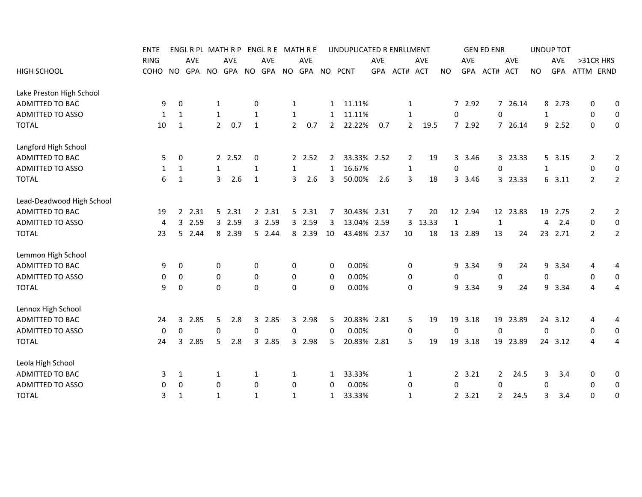| <b>ENTE</b> |                                                                                                            |                                                                                                                   |                                         |                                                                                                                                                                                              |            |                                                                                                         |                                             |                                                                                                                                |                                                                                                      |                                                                                                                                                            |                                                                                                                 |                                                                                                      |                                                                                                                                                                 |                                                     |                                                                            |                                                                                                                              |                                                                                                                |                                                                                                             |                                                                                                                                                                                                                              |
|-------------|------------------------------------------------------------------------------------------------------------|-------------------------------------------------------------------------------------------------------------------|-----------------------------------------|----------------------------------------------------------------------------------------------------------------------------------------------------------------------------------------------|------------|---------------------------------------------------------------------------------------------------------|---------------------------------------------|--------------------------------------------------------------------------------------------------------------------------------|------------------------------------------------------------------------------------------------------|------------------------------------------------------------------------------------------------------------------------------------------------------------|-----------------------------------------------------------------------------------------------------------------|------------------------------------------------------------------------------------------------------|-----------------------------------------------------------------------------------------------------------------------------------------------------------------|-----------------------------------------------------|----------------------------------------------------------------------------|------------------------------------------------------------------------------------------------------------------------------|----------------------------------------------------------------------------------------------------------------|-------------------------------------------------------------------------------------------------------------|------------------------------------------------------------------------------------------------------------------------------------------------------------------------------------------------------------------------------|
| <b>RING</b> | <b>AVE</b>                                                                                                 |                                                                                                                   | <b>AVE</b>                              |                                                                                                                                                                                              | <b>AVE</b> |                                                                                                         | <b>AVE</b>                                  |                                                                                                                                |                                                                                                      | <b>AVE</b>                                                                                                                                                 |                                                                                                                 | <b>AVE</b>                                                                                           |                                                                                                                                                                 | <b>AVE</b>                                          |                                                                            | AVE                                                                                                                          |                                                                                                                | <b>AVE</b>                                                                                                  | >31CR HRS                                                                                                                                                                                                                    |
|             | GPA                                                                                                        |                                                                                                                   |                                         |                                                                                                                                                                                              |            |                                                                                                         |                                             |                                                                                                                                |                                                                                                      |                                                                                                                                                            |                                                                                                                 |                                                                                                      | NO.                                                                                                                                                             |                                                     |                                                                            | ACT                                                                                                                          | <b>NO</b>                                                                                                      |                                                                                                             | ATTM ERND                                                                                                                                                                                                                    |
|             |                                                                                                            |                                                                                                                   |                                         |                                                                                                                                                                                              |            |                                                                                                         |                                             |                                                                                                                                |                                                                                                      |                                                                                                                                                            |                                                                                                                 |                                                                                                      |                                                                                                                                                                 |                                                     |                                                                            |                                                                                                                              |                                                                                                                |                                                                                                             |                                                                                                                                                                                                                              |
|             |                                                                                                            |                                                                                                                   |                                         |                                                                                                                                                                                              |            |                                                                                                         |                                             |                                                                                                                                |                                                                                                      |                                                                                                                                                            |                                                                                                                 |                                                                                                      |                                                                                                                                                                 |                                                     |                                                                            |                                                                                                                              |                                                                                                                |                                                                                                             | 0<br>0                                                                                                                                                                                                                       |
|             |                                                                                                            |                                                                                                                   |                                         |                                                                                                                                                                                              |            |                                                                                                         |                                             |                                                                                                                                |                                                                                                      |                                                                                                                                                            |                                                                                                                 |                                                                                                      |                                                                                                                                                                 |                                                     |                                                                            |                                                                                                                              |                                                                                                                |                                                                                                             | 0<br>$\mathbf 0$                                                                                                                                                                                                             |
|             |                                                                                                            |                                                                                                                   | 0.7                                     |                                                                                                                                                                                              |            |                                                                                                         |                                             |                                                                                                                                |                                                                                                      |                                                                                                                                                            |                                                                                                                 |                                                                                                      |                                                                                                                                                                 |                                                     |                                                                            |                                                                                                                              |                                                                                                                |                                                                                                             | $\mathbf 0$<br>0                                                                                                                                                                                                             |
|             |                                                                                                            |                                                                                                                   |                                         |                                                                                                                                                                                              |            |                                                                                                         |                                             |                                                                                                                                |                                                                                                      |                                                                                                                                                            |                                                                                                                 |                                                                                                      |                                                                                                                                                                 |                                                     |                                                                            |                                                                                                                              |                                                                                                                |                                                                                                             |                                                                                                                                                                                                                              |
|             |                                                                                                            |                                                                                                                   |                                         |                                                                                                                                                                                              |            |                                                                                                         |                                             |                                                                                                                                |                                                                                                      |                                                                                                                                                            |                                                                                                                 |                                                                                                      |                                                                                                                                                                 |                                                     |                                                                            |                                                                                                                              |                                                                                                                |                                                                                                             | $\overline{2}$<br>2                                                                                                                                                                                                          |
|             |                                                                                                            |                                                                                                                   |                                         |                                                                                                                                                                                              |            |                                                                                                         |                                             |                                                                                                                                |                                                                                                      |                                                                                                                                                            |                                                                                                                 |                                                                                                      |                                                                                                                                                                 |                                                     |                                                                            |                                                                                                                              |                                                                                                                |                                                                                                             | $\pmb{0}$<br>$\boldsymbol{0}$                                                                                                                                                                                                |
|             |                                                                                                            |                                                                                                                   |                                         |                                                                                                                                                                                              |            |                                                                                                         |                                             |                                                                                                                                |                                                                                                      |                                                                                                                                                            |                                                                                                                 |                                                                                                      |                                                                                                                                                                 |                                                     |                                                                            |                                                                                                                              |                                                                                                                |                                                                                                             | $\overline{2}$<br>2                                                                                                                                                                                                          |
|             |                                                                                                            |                                                                                                                   |                                         |                                                                                                                                                                                              |            |                                                                                                         |                                             |                                                                                                                                |                                                                                                      |                                                                                                                                                            |                                                                                                                 |                                                                                                      |                                                                                                                                                                 |                                                     |                                                                            |                                                                                                                              |                                                                                                                |                                                                                                             |                                                                                                                                                                                                                              |
|             |                                                                                                            |                                                                                                                   |                                         |                                                                                                                                                                                              |            |                                                                                                         |                                             |                                                                                                                                |                                                                                                      |                                                                                                                                                            |                                                                                                                 |                                                                                                      |                                                                                                                                                                 |                                                     |                                                                            |                                                                                                                              |                                                                                                                |                                                                                                             | $\overline{2}$<br>2                                                                                                                                                                                                          |
|             |                                                                                                            |                                                                                                                   |                                         |                                                                                                                                                                                              |            |                                                                                                         |                                             |                                                                                                                                |                                                                                                      |                                                                                                                                                            |                                                                                                                 |                                                                                                      |                                                                                                                                                                 |                                                     |                                                                            |                                                                                                                              |                                                                                                                |                                                                                                             | 0<br>0                                                                                                                                                                                                                       |
|             |                                                                                                            |                                                                                                                   |                                         |                                                                                                                                                                                              |            |                                                                                                         |                                             |                                                                                                                                |                                                                                                      |                                                                                                                                                            |                                                                                                                 |                                                                                                      |                                                                                                                                                                 |                                                     |                                                                            |                                                                                                                              |                                                                                                                |                                                                                                             | $\overline{2}$<br>2                                                                                                                                                                                                          |
|             |                                                                                                            |                                                                                                                   |                                         |                                                                                                                                                                                              |            |                                                                                                         |                                             |                                                                                                                                |                                                                                                      |                                                                                                                                                            |                                                                                                                 |                                                                                                      |                                                                                                                                                                 |                                                     |                                                                            |                                                                                                                              |                                                                                                                |                                                                                                             |                                                                                                                                                                                                                              |
|             |                                                                                                            |                                                                                                                   |                                         |                                                                                                                                                                                              |            |                                                                                                         |                                             |                                                                                                                                |                                                                                                      |                                                                                                                                                            |                                                                                                                 |                                                                                                      |                                                                                                                                                                 |                                                     |                                                                            |                                                                                                                              |                                                                                                                |                                                                                                             | 4<br>4                                                                                                                                                                                                                       |
|             |                                                                                                            |                                                                                                                   |                                         |                                                                                                                                                                                              |            |                                                                                                         |                                             |                                                                                                                                |                                                                                                      |                                                                                                                                                            |                                                                                                                 |                                                                                                      |                                                                                                                                                                 |                                                     |                                                                            |                                                                                                                              |                                                                                                                |                                                                                                             | 0<br>$\mathbf 0$                                                                                                                                                                                                             |
|             |                                                                                                            |                                                                                                                   |                                         |                                                                                                                                                                                              |            |                                                                                                         |                                             |                                                                                                                                |                                                                                                      |                                                                                                                                                            |                                                                                                                 |                                                                                                      |                                                                                                                                                                 |                                                     |                                                                            |                                                                                                                              |                                                                                                                |                                                                                                             | 4<br>4                                                                                                                                                                                                                       |
|             |                                                                                                            |                                                                                                                   |                                         |                                                                                                                                                                                              |            |                                                                                                         |                                             |                                                                                                                                |                                                                                                      |                                                                                                                                                            |                                                                                                                 |                                                                                                      |                                                                                                                                                                 |                                                     |                                                                            |                                                                                                                              |                                                                                                                |                                                                                                             |                                                                                                                                                                                                                              |
|             |                                                                                                            |                                                                                                                   |                                         |                                                                                                                                                                                              |            |                                                                                                         |                                             |                                                                                                                                |                                                                                                      |                                                                                                                                                            |                                                                                                                 |                                                                                                      |                                                                                                                                                                 |                                                     |                                                                            |                                                                                                                              |                                                                                                                |                                                                                                             | 4<br>4                                                                                                                                                                                                                       |
|             |                                                                                                            |                                                                                                                   |                                         |                                                                                                                                                                                              |            |                                                                                                         |                                             |                                                                                                                                |                                                                                                      |                                                                                                                                                            |                                                                                                                 |                                                                                                      |                                                                                                                                                                 |                                                     |                                                                            |                                                                                                                              |                                                                                                                |                                                                                                             | 0<br>$\mathbf 0$                                                                                                                                                                                                             |
|             |                                                                                                            |                                                                                                                   |                                         |                                                                                                                                                                                              |            |                                                                                                         |                                             |                                                                                                                                |                                                                                                      |                                                                                                                                                            |                                                                                                                 |                                                                                                      |                                                                                                                                                                 |                                                     |                                                                            |                                                                                                                              |                                                                                                                |                                                                                                             | 4<br>4                                                                                                                                                                                                                       |
|             |                                                                                                            |                                                                                                                   |                                         |                                                                                                                                                                                              |            |                                                                                                         |                                             |                                                                                                                                |                                                                                                      |                                                                                                                                                            |                                                                                                                 |                                                                                                      |                                                                                                                                                                 |                                                     |                                                                            |                                                                                                                              |                                                                                                                |                                                                                                             |                                                                                                                                                                                                                              |
|             |                                                                                                            |                                                                                                                   |                                         |                                                                                                                                                                                              |            |                                                                                                         |                                             |                                                                                                                                |                                                                                                      |                                                                                                                                                            |                                                                                                                 |                                                                                                      |                                                                                                                                                                 |                                                     |                                                                            |                                                                                                                              |                                                                                                                |                                                                                                             | 0<br>0                                                                                                                                                                                                                       |
|             |                                                                                                            |                                                                                                                   |                                         |                                                                                                                                                                                              |            |                                                                                                         |                                             | 0                                                                                                                              |                                                                                                      |                                                                                                                                                            |                                                                                                                 |                                                                                                      |                                                                                                                                                                 |                                                     |                                                                            |                                                                                                                              |                                                                                                                |                                                                                                             | 0<br>0                                                                                                                                                                                                                       |
|             |                                                                                                            | 1                                                                                                                 |                                         |                                                                                                                                                                                              |            |                                                                                                         |                                             |                                                                                                                                |                                                                                                      |                                                                                                                                                            |                                                                                                                 |                                                                                                      |                                                                                                                                                                 |                                                     |                                                                            |                                                                                                                              |                                                                                                                |                                                                                                             | 0<br>0                                                                                                                                                                                                                       |
|             | COHO<br>NO.<br>9<br>1<br>10<br>5<br>1<br>6<br>19<br>4<br>23<br>9<br>0<br>9<br>24<br>0<br>24<br>3<br>0<br>3 | 0<br>1<br>1<br>0<br>1<br>$\mathbf{1}$<br>3<br>5<br>0<br>0<br>$\mathbf 0$<br>3<br>0<br>3<br>1<br>0<br>$\mathbf{1}$ | 2, 2.31<br>2.59<br>2.44<br>2.85<br>2.85 | $\mathbf{1}$<br>$\mathbf{1}$<br>$\overline{2}$<br>2 2.52<br>$\mathbf{1}$<br>2.6<br>3<br>$5$ 2.31<br>3 2.59<br>8 2.39<br>0<br>0<br>$\Omega$<br>2.8<br>5.<br>0<br>2.8<br>5<br>1<br>$\mathbf 0$ | NO GPA NO  | 0<br>$\mathbf{1}$<br>1<br>0<br>$\mathbf{1}$<br>1<br>0<br>0<br>$\mathbf 0$<br>3<br>0<br>3<br>1<br>0<br>1 | 2, 2.31<br>3 2.59<br>5 2.44<br>2.85<br>2.85 | $\mathbf{1}$<br>$\mathbf{1}$<br>$\mathbf{2}$<br>$\mathbf{1}$<br>3<br>0<br>0<br>$\mathbf 0$<br>0<br>3<br>$\mathbf{1}$<br>0<br>1 | ENGLRPL MATHRP ENGLRE MATHRE<br>0.7<br>2.52<br>2.6<br>$5$ 2.31<br>3 2.59<br>8 2.39<br>3 2.98<br>2.98 | GPA NO GPA NO PCNT<br>1<br>1<br>$\mathbf{2}$<br>$\mathbf{2}$<br>$\mathbf{1}$<br>3<br>7<br>3<br>10<br>0<br>$\mathbf 0$<br>$\Omega$<br>5<br>0<br>5<br>1<br>1 | 11.11%<br>11.11%<br>22.22%<br>16.67%<br>50.00%<br>0.00%<br>0.00%<br>0.00%<br>0.00%<br>33.33%<br>0.00%<br>33.33% | 0.7<br>33.33% 2.52<br>2.6<br>30.43% 2.31<br>13.04% 2.59<br>43.48% 2.37<br>20.83% 2.81<br>20.83% 2.81 | UNDUPLICATED R ENRLLMENT<br>GPA ACT# ACT<br>1<br>1<br>$\overline{2}$<br>2<br>$\mathbf 1$<br>3<br>7<br>10<br>0<br>0<br>$\mathbf 0$<br>5<br>0<br>5<br>1<br>0<br>1 | 19.5<br>19<br>18<br>20<br>3 13.33<br>18<br>19<br>19 | 0<br>0<br>$\mathbf{1}$<br>9<br>0<br>9<br>19<br>$\boldsymbol{0}$<br>19<br>0 | GPA ACT#<br>7 2.92<br>7 2.92<br>3 3.46<br>3 3.46<br>12 2.94<br>13 2.89<br>3.34<br>3.34<br>3.18<br>3.18<br>2, 3.21<br>2, 3.21 | <b>GEN ED ENR</b><br>0<br>0<br>1<br>13<br>9<br>0<br>9<br>0<br>19<br>$\mathbf{2}$<br>$\Omega$<br>$\overline{2}$ | 7 26.14<br>7 26.14<br>3 23.33<br>3 23.33<br>12 23.83<br>24<br>24<br>24<br>19 23.89<br>23.89<br>24.5<br>24.5 | <b>UNDUP TOT</b><br><b>GPA</b><br>8 2.73<br>$\mathbf{1}$<br>9 2.52<br>5, 3.15<br>$\mathbf{1}$<br>63.11<br>19 2.75<br>2.4<br>4<br>23 2.71<br>9 3.34<br>0<br>9<br>3.34<br>24 3.12<br>0<br>24 3.12<br>3.4<br>3<br>0<br>3<br>3.4 |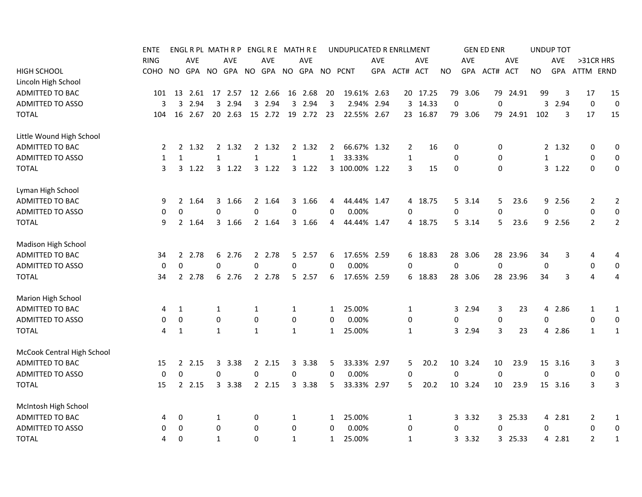|                            | ENTE        |                |            |              | ENGL R PL MATH R P |                |            |              | ENGL R E MATH R E |              | UNDUPLICATED R ENRLLMENT |      |                |            |           |            | <b>GEN ED ENR</b> |            |             | <b>UNDUP TOT</b> |                |                  |
|----------------------------|-------------|----------------|------------|--------------|--------------------|----------------|------------|--------------|-------------------|--------------|--------------------------|------|----------------|------------|-----------|------------|-------------------|------------|-------------|------------------|----------------|------------------|
|                            | <b>RING</b> |                | <b>AVE</b> |              | <b>AVE</b>         |                | <b>AVE</b> |              | <b>AVE</b>        |              |                          | AVE  |                | <b>AVE</b> |           | AVE        |                   | <b>AVE</b> |             | <b>AVE</b>       | >31CR HRS      |                  |
| HIGH SCHOOL                | <b>COHO</b> | NO.            | GPA        |              | NO GPA NO GPA      |                |            |              | NO GPA            |              | NO PCNT                  | GPA  | ACT# ACT       |            | <b>NO</b> | <b>GPA</b> | ACT#              | ACT        | <b>NO</b>   | <b>GPA</b>       | ATTM ERND      |                  |
| Lincoln High School        |             |                |            |              |                    |                |            |              |                   |              |                          |      |                |            |           |            |                   |            |             |                  |                |                  |
| ADMITTED TO BAC            | 101         | 13             | 2.61       | 17           | 2.57               |                | 12 2.66    |              | 16 2.68           | 20           | 19.61% 2.63              |      |                | 20 17.25   | 79        | 3.06       | 79                | 24.91      | 99          | 3                | 17             | 15               |
| ADMITTED TO ASSO           | 3           | 3              | 2.94       | 3            | 2.94               |                | 3 2.94     | 3            | 2.94              | 3            | 2.94%                    | 2.94 |                | 3 14.33    | 0         |            | 0                 |            | 3           | 2.94             | 0              | $\boldsymbol{0}$ |
| <b>TOTAL</b>               | 104         | 16             | 2.67       |              | 20 2.63            |                | 15 2.72    | 19           | 2.72              | 23           | 22.55% 2.67              |      |                | 23 16.87   | 79        | 3.06       |                   | 79 24.91   | 102         | 3                | 17             | 15               |
| Little Wound High School   |             |                |            |              |                    |                |            |              |                   |              |                          |      |                |            |           |            |                   |            |             |                  |                |                  |
| ADMITTED TO BAC            | 2           | $\overline{2}$ | 1.32       | $\mathbf{2}$ | 1.32               | $\overline{2}$ | 1.32       |              | 2 1.32            | 2            | 66.67% 1.32              |      | $\overline{2}$ | 16         | 0         |            | 0                 |            |             | 2 1.32           | 0              | 0                |
| ADMITTED TO ASSO           | 1           | $\mathbf{1}$   |            | $\mathbf{1}$ |                    | $\mathbf{1}$   |            | 1            |                   | $\mathbf{1}$ | 33.33%                   |      | $\mathbf{1}$   |            | 0         |            | 0                 |            | 1           |                  | 0              | 0                |
| <b>TOTAL</b>               | 3           | 3              | 1.22       |              | 3, 1.22            |                | 3, 1.22    |              | 3, 1.22           |              | 3 100.00% 1.22           |      | 3              | 15         | 0         |            | $\mathbf 0$       |            |             | 3, 1.22          | $\mathbf 0$    | 0                |
| Lyman High School          |             |                |            |              |                    |                |            |              |                   |              |                          |      |                |            |           |            |                   |            |             |                  |                |                  |
| ADMITTED TO BAC            | 9           | 2              | 1.64       |              | 3 1.66             |                | 2 1.64     |              | 3 1.66            | 4            | 44.44% 1.47              |      |                | 4 18.75    |           | 5 3.14     | 5                 | 23.6       | 9           | 2.56             | 2              | 2                |
| <b>ADMITTED TO ASSO</b>    | 0           | 0              |            | $\mathbf 0$  |                    | 0              |            | 0            |                   | 0            | 0.00%                    |      | 0              |            | 0         |            | $\mathbf 0$       |            | 0           |                  | $\mathbf 0$    | $\mathbf 0$      |
| <b>TOTAL</b>               | 9           |                | 2 1.64     |              | 3 1.66             |                | 2 1.64     |              | 3 1.66            | 4            | 44.44% 1.47              |      |                | 4 18.75    |           | 53.14      | 5                 | 23.6       |             | 9 2.56           | $\overline{2}$ | 2                |
| Madison High School        |             |                |            |              |                    |                |            |              |                   |              |                          |      |                |            |           |            |                   |            |             |                  |                |                  |
| <b>ADMITTED TO BAC</b>     | 34          | $\mathbf{2}$   | 2.78       |              | 6 2.76             |                | 2 2.78     |              | 5 2.57            | 6            | 17.65% 2.59              |      |                | 6 18.83    |           | 28 3.06    | 28                | 23.96      | 34          | 3                | 4              | 4                |
| ADMITTED TO ASSO           | 0           | $\Omega$       |            | $\Omega$     |                    | $\Omega$       |            | 0            |                   | $\Omega$     | 0.00%                    |      | 0              |            | $\Omega$  |            | $\Omega$          |            | $\mathbf 0$ |                  | 0              | 0                |
| <b>TOTAL</b>               | 34          |                | 2 2.78     |              | 6 2.76             |                | 2 2.78     |              | 5 2.57            | 6            | 17.65% 2.59              |      |                | 6 18.83    |           | 28 3.06    |                   | 28 23.96   | 34          | 3                | 4              | 4                |
| Marion High School         |             |                |            |              |                    |                |            |              |                   |              |                          |      |                |            |           |            |                   |            |             |                  |                |                  |
| ADMITTED TO BAC            | 4           | 1              |            | 1            |                    | 1              |            | 1            |                   | $\mathbf{1}$ | 25.00%                   |      | 1              |            |           | 3 2.94     | 3                 | 23         |             | 4 2.86           | $\mathbf{1}$   | $\mathbf{1}$     |
| ADMITTED TO ASSO           | 0           | 0              |            | 0            |                    | 0              |            | 0            |                   | 0            | 0.00%                    |      | 0              |            | 0         |            | 0                 |            | 0           |                  | 0              | 0                |
| <b>TOTAL</b>               | 4           | 1              |            | $\mathbf{1}$ |                    | 1              |            | $\mathbf{1}$ |                   | $\mathbf{1}$ | 25.00%                   |      | 1              |            |           | 3 2.94     | 3                 | 23         |             | 4 2.86           | $\mathbf{1}$   | $\mathbf{1}$     |
| McCook Central High School |             |                |            |              |                    |                |            |              |                   |              |                          |      |                |            |           |            |                   |            |             |                  |                |                  |
| ADMITTED TO BAC            | 15          |                | 2, 2.15    |              | 3 3.38             |                | 2 2.15     |              | 3 3.38            | 5            | 33.33% 2.97              |      | 5              | 20.2       |           | 10 3.24    | 10                | 23.9       |             | 15 3.16          | 3              | 3                |
| <b>ADMITTED TO ASSO</b>    | 0           | 0              |            | 0            |                    | 0              |            | 0            |                   | 0            | 0.00%                    |      | $\pmb{0}$      |            | 0         |            | $\mathbf 0$       |            | 0           |                  | $\mathbf 0$    | $\boldsymbol{0}$ |
| <b>TOTAL</b>               | 15          |                | 2.15       |              | 3 3.38             |                | 2.15       |              | 3 3.38            | 5            | 33.33% 2.97              |      | 5              | 20.2       |           | 10 3.24    | 10                | 23.9       |             | 15 3.16          | 3              | 3                |
| McIntosh High School       |             |                |            |              |                    |                |            |              |                   |              |                          |      |                |            |           |            |                   |            |             |                  |                |                  |
| <b>ADMITTED TO BAC</b>     | 4           | 0              |            | 1            |                    | 0              |            | 1            |                   | 1            | 25.00%                   |      | 1              |            |           | 3.32       |                   | 3 25.33    |             | 4 2.81           | 2              | $\mathbf{1}$     |
| <b>ADMITTED TO ASSO</b>    | 0           | 0              |            | 0            |                    | 0              |            | 0            |                   | 0            | 0.00%                    |      | 0              |            | 0         |            | 0                 |            | 0           |                  | $\mathbf 0$    | 0                |
| <b>TOTAL</b>               | 4           | $\Omega$       |            | 1            |                    | 0              |            | $\mathbf{1}$ |                   | $\mathbf{1}$ | 25.00%                   |      | 1              |            |           | 3 3.32     |                   | 3 25.33    |             | 4 2.81           | $\overline{2}$ | $\mathbf 1$      |
|                            |             |                |            |              |                    |                |            |              |                   |              |                          |      |                |            |           |            |                   |            |             |                  |                |                  |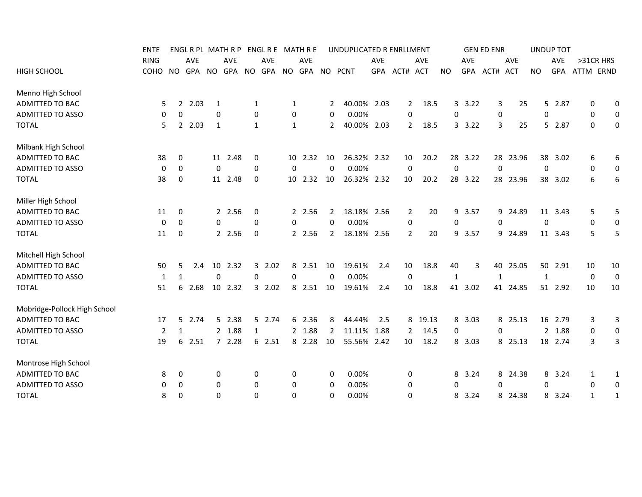|                              | <b>ENTE</b> |                     |        |             | ENGLRPL MATHRP ENGLRE MATHRE |             |            |              |                    |                | UNDUPLICATED R ENRLLMENT |            |                |            |              |            | <b>GEN ED ENR</b> |            |              | <b>UNDUP TOT</b> |              |                  |
|------------------------------|-------------|---------------------|--------|-------------|------------------------------|-------------|------------|--------------|--------------------|----------------|--------------------------|------------|----------------|------------|--------------|------------|-------------------|------------|--------------|------------------|--------------|------------------|
|                              | <b>RING</b> |                     | AVE    |             | <b>AVE</b>                   |             | <b>AVE</b> |              | <b>AVE</b>         |                |                          | <b>AVE</b> |                | <b>AVE</b> |              | <b>AVE</b> |                   | <b>AVE</b> |              | <b>AVE</b>       | >31CR HRS    |                  |
| <b>HIGH SCHOOL</b>           | COHO        | NO.                 |        |             | GPA NO GPA NO                |             |            |              | GPA NO GPA NO PCNT |                |                          |            | GPA ACT# ACT   |            | NO.          |            | GPA ACT#          | ACT        | <b>NO</b>    | <b>GPA</b>       | ATTM ERND    |                  |
| Menno High School            |             |                     |        |             |                              |             |            |              |                    |                |                          |            |                |            |              |            |                   |            |              |                  |              |                  |
| ADMITTED TO BAC              |             | 5<br>$\overline{2}$ | 2.03   | 1           |                              | 1           |            | 1            |                    | 2              | 40.00% 2.03              |            | 2              | 18.5       |              | 3.22       | 3                 | 25         |              | 5 2.87           | 0            | 0                |
| <b>ADMITTED TO ASSO</b>      |             | 0<br>0              |        | 0           |                              | 0           |            | 0            |                    | 0              | 0.00%                    |            | 0              |            | 0            |            | 0                 |            | 0            |                  | 0            | 0                |
| <b>TOTAL</b>                 |             | 5<br>$\mathbf{2}$   | 2.03   | 1           |                              | 1           |            | $\mathbf{1}$ |                    | $\mathbf{2}$   | 40.00% 2.03              |            | $\overline{2}$ | 18.5       |              | 3.3.22     | 3                 | 25         |              | 5 2.87           | $\mathbf 0$  | $\mathbf 0$      |
| Milbank High School          |             |                     |        |             |                              |             |            |              |                    |                |                          |            |                |            |              |            |                   |            |              |                  |              |                  |
| ADMITTED TO BAC              | 38          | 0                   |        |             | 11 2.48                      | 0           |            |              | 10 2.32            | 10             | 26.32% 2.32              |            | 10             | 20.2       |              | 28 3.22    |                   | 28 23.96   |              | 38 3.02          | 6            | 6                |
| <b>ADMITTED TO ASSO</b>      |             | 0<br>0              |        | $\mathbf 0$ |                              | 0           |            | 0            |                    | 0              | 0.00%                    |            | $\mathbf 0$    |            | $\mathbf 0$  |            | $\Omega$          |            | $\mathbf{0}$ |                  | 0            | $\boldsymbol{0}$ |
| <b>TOTAL</b>                 | 38          | 0                   |        |             | 11 2.48                      | 0           |            |              | 10 2.32            | 10             | 26.32% 2.32              |            | 10             | 20.2       |              | 28 3.22    |                   | 28 23.96   |              | 38 3.02          | 6            | 6                |
| Miller High School           |             |                     |        |             |                              |             |            |              |                    |                |                          |            |                |            |              |            |                   |            |              |                  |              |                  |
| ADMITTED TO BAC              | 11          | 0                   |        |             | 2 2.56                       | 0           |            |              | 2 2.56             | 2              | 18.18% 2.56              |            | $\overline{2}$ | 20         | 9            | 3.57       |                   | 9 24.89    |              | 11 3.43          | 5            | 5                |
| <b>ADMITTED TO ASSO</b>      |             | 0<br>0              |        | $\mathbf 0$ |                              | $\mathbf 0$ |            | 0            |                    | $\Omega$       | 0.00%                    |            | 0              |            | $\mathbf 0$  |            | 0                 |            | 0            |                  | 0            | $\mathbf 0$      |
| <b>TOTAL</b>                 | 11          | 0                   |        |             | 2 2.56                       | 0           |            |              | 2 2.56             | $\mathbf{2}$   | 18.18% 2.56              |            | $\overline{2}$ | 20         |              | 9 3.57     |                   | 9 24.89    |              | 11 3.43          | 5            | 5                |
| Mitchell High School         |             |                     |        |             |                              |             |            |              |                    |                |                          |            |                |            |              |            |                   |            |              |                  |              |                  |
| ADMITTED TO BAC              | 50          | 5                   | 2.4    | 10          | 2.32                         | 3           | 2.02       | 8            | 2.51               | 10             | 19.61%                   | 2.4        | 10             | 18.8       | 40           | 3          | 40                | 25.05      |              | 50 2.91          | 10           | 10               |
| <b>ADMITTED TO ASSO</b>      |             | $\mathbf{1}$<br>1   |        | $\mathbf 0$ |                              | 0           |            | 0            |                    | 0              | 0.00%                    |            | $\mathbf 0$    |            | $\mathbf{1}$ |            | 1                 |            | $\mathbf{1}$ |                  | 0            | $\mathbf 0$      |
| <b>TOTAL</b>                 | 51          | 6                   | 2.68   |             | 10 2.32                      |             | 32.02      | 8            | 2.51               | 10             | 19.61%                   | 2.4        | 10             | 18.8       |              | 41 3.02    |                   | 41 24.85   |              | 51 2.92          | 10           | 10               |
| Mobridge-Pollock High School |             |                     |        |             |                              |             |            |              |                    |                |                          |            |                |            |              |            |                   |            |              |                  |              |                  |
| ADMITTED TO BAC              | 17          |                     | 5 2.74 |             | 5 2.38                       |             | 5 2.74     |              | 6 2.36             | 8              | 44.44%                   | 2.5        |                | 8 19.13    |              | 8 3.03     |                   | 8 25.13    |              | 16 2.79          | 3            | 3                |
| ADMITTED TO ASSO             |             | $\overline{2}$<br>1 |        |             | 2 1.88                       | 1           |            |              | 2 1.88             | $\overline{2}$ | 11.11% 1.88              |            | $\overline{2}$ | 14.5       | 0            |            | 0                 |            |              | 2 1.88           | 0            | $\boldsymbol{0}$ |
| <b>TOTAL</b>                 | 19          | 6                   | 2.51   |             | 72.28                        |             | 6 2.51     |              | 8 2.28             | 10             | 55.56% 2.42              |            | 10             | 18.2       |              | 8 3.03     |                   | 8 25.13    |              | 18 2.74          | 3            | 3                |
| Montrose High School         |             |                     |        |             |                              |             |            |              |                    |                |                          |            |                |            |              |            |                   |            |              |                  |              |                  |
| ADMITTED TO BAC              |             | 8<br>0              |        | 0           |                              | 0           |            | 0            |                    | 0              | 0.00%                    |            | 0              |            | 8            | 3.24       | 8                 | 24.38      | 8            | 3.24             | 1            | 1                |
| <b>ADMITTED TO ASSO</b>      |             | 0<br>0              |        | 0           |                              | 0           |            | 0            |                    | 0              | 0.00%                    |            | 0              |            | 0            |            | 0                 |            | 0            |                  | 0            | 0                |
| <b>TOTAL</b>                 |             | 0<br>8              |        | $\Omega$    |                              | 0           |            | 0            |                    | 0              | 0.00%                    |            | 0              |            | 8            | 3.24       |                   | 8 24.38    |              | 8 3.24           | $\mathbf{1}$ | 1                |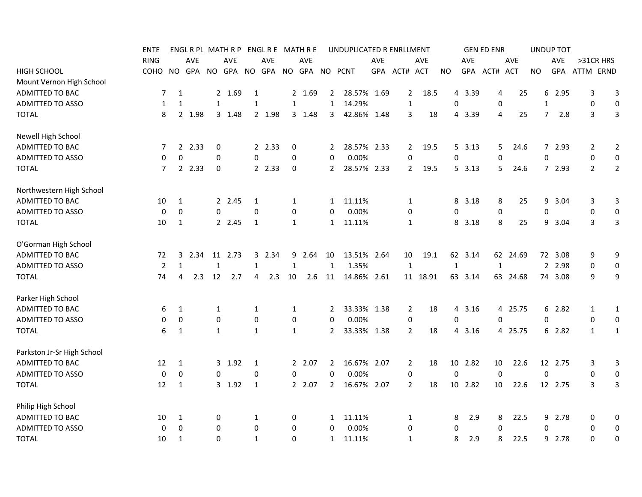|                            | <b>ENTE</b>    |                |        |              | ENGL R PL MATH R P |              |        |              | ENGL R E MATH R E |                | UNDUPLICATED R ENRLLMENT |     |                |          |                  |            | <b>GEN ED ENR</b> |            |                  | <b>UNDUP TOT</b> |                                  |
|----------------------------|----------------|----------------|--------|--------------|--------------------|--------------|--------|--------------|-------------------|----------------|--------------------------|-----|----------------|----------|------------------|------------|-------------------|------------|------------------|------------------|----------------------------------|
|                            | <b>RING</b>    |                | AVE    |              | AVE                |              | AVE    |              | <b>AVE</b>        |                |                          | AVE |                | AVE      |                  | AVE        |                   | AVE        |                  | AVE              | >31CR HRS                        |
| <b>HIGH SCHOOL</b>         | COHO           | <b>NO</b>      | GPA    |              | NO GPA             | <b>NO</b>    | GPA    |              | NO GPA NO PCNT    |                |                          |     | GPA ACT# ACT   |          | NO.              | <b>GPA</b> | ACT#              | <b>ACT</b> | <b>NO</b>        | GPA              | ATTM ERND                        |
| Mount Vernon High School   |                |                |        |              |                    |              |        |              |                   |                |                          |     |                |          |                  |            |                   |            |                  |                  |                                  |
| ADMITTED TO BAC            | 7              | $\mathbf{1}$   |        |              | 2 1.69             | 1            |        |              | 2 1.69            | $\mathbf{2}$   | 28.57% 1.69              |     | $\overline{2}$ | 18.5     | 4                | 3.39       | 4                 | 25         | 6                | 2.95             | 3<br>3                           |
| <b>ADMITTED TO ASSO</b>    | 1              | 1              |        | $\mathbf{1}$ |                    | $\mathbf{1}$ |        | $\mathbf{1}$ |                   | $\mathbf{1}$   | 14.29%                   |     | 1              |          | 0                |            | $\boldsymbol{0}$  |            | $\mathbf{1}$     |                  | $\pmb{0}$<br>0                   |
| <b>TOTAL</b>               | 8              |                | 2 1.98 |              | 3 1.48             |              | 2 1.98 |              | 3 1.48            | 3              | 42.86% 1.48              |     | 3              | 18       |                  | 4 3.39     | 4                 | 25         | $\overline{7}$   | 2.8              | 3<br>3                           |
| Newell High School         |                |                |        |              |                    |              |        |              |                   |                |                          |     |                |          |                  |            |                   |            |                  |                  |                                  |
| ADMITTED TO BAC            | 7              | $\overline{2}$ | 2.33   | 0            |                    |              | 2 2.33 | 0            |                   | 2              | 28.57% 2.33              |     | 2              | 19.5     |                  | 5, 3.13    | 5.                | 24.6       | 7                | 2.93             | 2<br>2                           |
| <b>ADMITTED TO ASSO</b>    | 0              | 0              |        | 0            |                    | $\mathbf 0$  |        | 0            |                   | $\mathbf{0}$   | 0.00%                    |     | 0              |          | 0                |            | 0                 |            | 0                |                  | $\boldsymbol{0}$<br>0            |
| <b>TOTAL</b>               | $\overline{7}$ |                | 2 2.33 | 0            |                    |              | 2 2.33 | $\mathbf 0$  |                   | $\mathbf{2}$   | 28.57% 2.33              |     | $\overline{2}$ | 19.5     |                  | 5, 3.13    | 5.                | 24.6       |                  | 7 2.93           | $\overline{2}$<br>$\overline{2}$ |
| Northwestern High School   |                |                |        |              |                    |              |        |              |                   |                |                          |     |                |          |                  |            |                   |            |                  |                  |                                  |
| ADMITTED TO BAC            | 10             | 1              |        |              | 2 2.45             | $\mathbf{1}$ |        | $\mathbf{1}$ |                   | 1              | 11.11%                   |     | 1              |          | 8                | 3.18       | 8                 | 25         | 9                | 3.04             | $\mathsf{3}$<br>3                |
| <b>ADMITTED TO ASSO</b>    | 0              | 0              |        | $\mathbf 0$  |                    | $\mathbf 0$  |        | 0            |                   | 0              | 0.00%                    |     | 0              |          | 0                |            | 0                 |            | $\boldsymbol{0}$ |                  | 0<br>0                           |
| <b>TOTAL</b>               | 10             | $\mathbf{1}$   |        |              | 2 2.45             | 1            |        | 1            |                   | $\mathbf{1}$   | 11.11%                   |     | 1              |          |                  | 8 3.18     | 8                 | 25         | 9                | 3.04             | 3<br>3                           |
| O'Gorman High School       |                |                |        |              |                    |              |        |              |                   |                |                          |     |                |          |                  |            |                   |            |                  |                  |                                  |
| ADMITTED TO BAC            | 72             | 3              | 2.34   | 11           | 2.73               |              | 3 2.34 | 9            | 2.64              | 10             | 13.51% 2.64              |     | 10             | 19.1     |                  | 62 3.14    |                   | 62 24.69   |                  | 72 3.08          | 9<br>9                           |
| <b>ADMITTED TO ASSO</b>    | $\overline{2}$ | $\mathbf{1}$   |        | $\mathbf{1}$ |                    | 1            |        | 1            |                   | $\mathbf{1}$   | 1.35%                    |     | $\mathbf{1}$   |          | $\mathbf{1}$     |            | 1                 |            |                  | 2 2.98           | 0<br>0                           |
| <b>TOTAL</b>               | 74             | 4              | 2.3    | 12           | 2.7                | 4            | 2.3    | 10           | 2.6               | 11             | 14.86% 2.61              |     |                | 11 18.91 |                  | 63 3.14    |                   | 63 24.68   |                  | 74 3.08          | 9<br>9                           |
| Parker High School         |                |                |        |              |                    |              |        |              |                   |                |                          |     |                |          |                  |            |                   |            |                  |                  |                                  |
| ADMITTED TO BAC            | 6              | $\mathbf{1}$   |        | 1            |                    | 1            |        | $\mathbf{1}$ |                   | 2              | 33.33% 1.38              |     | $\overline{2}$ | 18       |                  | 4 3.16     |                   | 4 25.75    |                  | 6 2.82           | $\mathbf{1}$<br>$\mathbf{1}$     |
| <b>ADMITTED TO ASSO</b>    | 0              | 0              |        | 0            |                    | $\mathbf 0$  |        | 0            |                   | $\Omega$       | 0.00%                    |     | $\pmb{0}$      |          | 0                |            | $\Omega$          |            | 0                |                  | 0<br>0                           |
| <b>TOTAL</b>               | 6              | 1              |        | $\mathbf{1}$ |                    | $\mathbf{1}$ |        | $\mathbf{1}$ |                   | $\mathbf{2}$   | 33.33% 1.38              |     | 2              | 18       |                  | 4 3.16     |                   | 4 25.75    |                  | 6 2.82           | $\mathbf{1}$<br>$\mathbf{1}$     |
| Parkston Jr-Sr High School |                |                |        |              |                    |              |        |              |                   |                |                          |     |                |          |                  |            |                   |            |                  |                  |                                  |
| ADMITTED TO BAC            | 12             | 1              |        |              | 3 1.92             | 1            |        |              | 2 2.07            | $\mathbf{2}$   | 16.67% 2.07              |     | $\overline{2}$ | 18       |                  | 10 2.82    | 10                | 22.6       |                  | 12 2.75          | 3<br>3                           |
| <b>ADMITTED TO ASSO</b>    | $\mathbf 0$    | 0              |        | 0            |                    | 0            |        | 0            |                   | 0              | 0.00%                    |     | $\pmb{0}$      |          | $\boldsymbol{0}$ |            | $\mathbf 0$       |            | $\boldsymbol{0}$ |                  | 0<br>$\boldsymbol{0}$            |
| <b>TOTAL</b>               | 12             | 1              |        |              | 3 1.92             | 1            |        |              | 2 2.07            | $\overline{2}$ | 16.67% 2.07              |     | $\overline{2}$ | 18       |                  | 10 2.82    | 10                | 22.6       |                  | 12 2.75          | 3<br>3                           |
| Philip High School         |                |                |        |              |                    |              |        |              |                   |                |                          |     |                |          |                  |            |                   |            |                  |                  |                                  |
| ADMITTED TO BAC            | 10             | 1              |        | 0            |                    | 1            |        | 0            |                   | 1              | 11.11%                   |     | 1              |          | 8                | 2.9        | 8                 | 22.5       |                  | 9 2.78           | 0<br>0                           |
| <b>ADMITTED TO ASSO</b>    | 0              | 0              |        | 0            |                    | 0            |        | 0            |                   | 0              | 0.00%                    |     | 0              |          | 0                |            | $\Omega$          |            | $\Omega$         |                  | 0<br>0                           |
| <b>TOTAL</b>               | 10             | 1              |        | $\Omega$     |                    | $\mathbf{1}$ |        | $\Omega$     |                   | $\mathbf{1}$   | 11.11%                   |     | 1              |          | 8                | 2.9        | 8                 | 22.5       |                  | 9 2.78           | 0<br>0                           |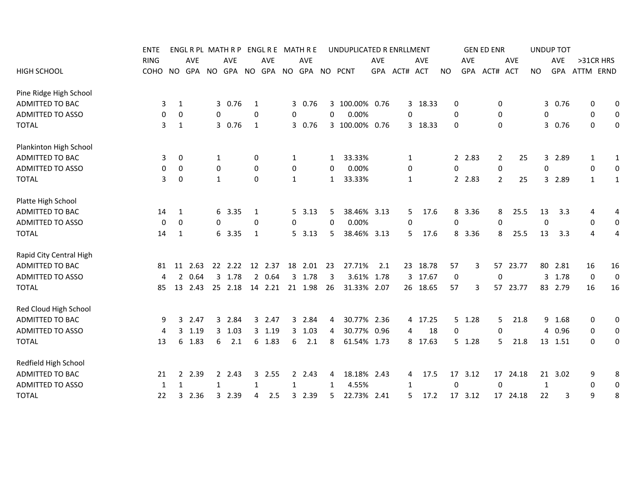|                         | <b>ENTE</b> |                | ENGL R PL MATH R P |              |               |              |         |              | ENGL R E MATH R E  |              | UNDUPLICATED R ENRLLMENT |            |              |            |           |         | <b>GEN ED ENR</b> |                      |           |              | <b>UNDUP TOT</b> |              |                  |
|-------------------------|-------------|----------------|--------------------|--------------|---------------|--------------|---------|--------------|--------------------|--------------|--------------------------|------------|--------------|------------|-----------|---------|-------------------|----------------------|-----------|--------------|------------------|--------------|------------------|
|                         | <b>RING</b> |                | AVE                |              | AVE           |              | AVE     |              | <b>AVE</b>         |              |                          | <b>AVE</b> |              | <b>AVE</b> |           | AVE     |                   | AVE                  |           |              | <b>AVE</b>       | >31CR HRS    |                  |
| <b>HIGH SCHOOL</b>      | COHO        | NO.            |                    |              | GPA NO GPA NO |              |         |              | GPA NO GPA NO PCNT |              |                          |            | GPA ACT# ACT |            | <b>NO</b> |         | GPA ACT#          | <b>ACT</b>           | <b>NO</b> |              | GPA              | ATTM ERND    |                  |
| Pine Ridge High School  |             |                |                    |              |               |              |         |              |                    |              |                          |            |              |            |           |         |                   |                      |           |              |                  |              |                  |
| ADMITTED TO BAC         | 3           | 1              |                    |              | 3 0.76        | 1            |         |              | 3 0.76             |              | 3 100.00% 0.76           |            |              | 3 18.33    | 0         |         |                   | 0                    |           |              | 3 0.76           | 0            | 0                |
| <b>ADMITTED TO ASSO</b> | 0           | 0              |                    | 0            |               | 0            |         | 0            |                    | 0            | 0.00%                    |            | 0            |            | 0         |         | 0                 |                      |           | 0            |                  | 0            | 0                |
| <b>TOTAL</b>            | 3           | 1              |                    |              | 3 0.76        | 1            |         |              | 3 0.76             |              | 3 100.00%                | 0.76       |              | 3 18.33    | 0         |         |                   | 0                    |           | 3            | 0.76             | 0            | 0                |
| Plankinton High School  |             |                |                    |              |               |              |         |              |                    |              |                          |            |              |            |           |         |                   |                      |           |              |                  |              |                  |
| ADMITTED TO BAC         | 3           | 0              |                    | 1            |               | 0            |         | 1            |                    | 1            | 33.33%                   |            | 1            |            |           | 2 2.83  |                   | 2<br>25              |           | 3            | 2.89             | 1            | $\mathbf{1}$     |
| <b>ADMITTED TO ASSO</b> | 0           | 0              |                    | 0            |               | 0            |         | $\pmb{0}$    |                    | 0            | 0.00%                    |            | 0            |            | 0         |         |                   | 0                    |           | 0            |                  | 0            | $\boldsymbol{0}$ |
| <b>TOTAL</b>            |             | 3<br>0         |                    | $\mathbf{1}$ |               | $\mathbf 0$  |         | 1            |                    | $\mathbf{1}$ | 33.33%                   |            | $\mathbf{1}$ |            |           | 2 2.83  |                   | $\overline{2}$<br>25 |           | 3            | 2.89             | 1            | $\mathbf{1}$     |
| Platte High School      |             |                |                    |              |               |              |         |              |                    |              |                          |            |              |            |           |         |                   |                      |           |              |                  |              |                  |
| ADMITTED TO BAC         | 14          | 1              |                    |              | 6 3.35        | 1            |         |              | 5, 3.13            | 5            | 38.46% 3.13              |            | 5            | 17.6       | 8         | 3.36    |                   | 25.5<br>8            |           | 13           | 3.3              | 4            | 4                |
| <b>ADMITTED TO ASSO</b> | 0           | 0              |                    | $\mathbf{0}$ |               | $\Omega$     |         | 0            |                    | $\Omega$     | 0.00%                    |            | $\Omega$     |            | 0         |         |                   | 0                    |           | $\Omega$     |                  | 0            | 0                |
| <b>TOTAL</b>            | 14          | 1              |                    |              | 6 3.35        | 1            |         |              | 5, 3.13            | 5            | 38.46% 3.13              |            | 5            | 17.6       | 8         | 3.36    |                   | 25.5<br>8            |           | 13           | 3.3              | 4            | 4                |
| Rapid City Central High |             |                |                    |              |               |              |         |              |                    |              |                          |            |              |            |           |         |                   |                      |           |              |                  |              |                  |
| ADMITTED TO BAC         | 81          |                | 11 2.63            |              | 22 2.22       |              | 12 2.37 |              | 18 2.01            | 23           | 27.71%                   | 2.1        |              | 23 18.78   | 57        |         | 3                 | 57 23.77             |           |              | 80 2.81          | 16           | 16               |
| <b>ADMITTED TO ASSO</b> | 4           | $\overline{2}$ | 0.64               | $\mathbf{3}$ | 1.78          |              | 20.64   |              | 3 1.78             | 3            | 3.61% 1.78               |            |              | 3 17.67    | 0         |         | 0                 |                      |           | $\mathbf{3}$ | 1.78             | $\mathbf 0$  | $\boldsymbol{0}$ |
| <b>TOTAL</b>            | 85          | 13             | 2.43               |              | 25 2.18       |              | 14 2.21 |              | 21 1.98            | 26           | 31.33% 2.07              |            |              | 26 18.65   | 57        |         | 3                 | 57 23.77             |           |              | 83 2.79          | 16           | 16               |
| Red Cloud High School   |             |                |                    |              |               |              |         |              |                    |              |                          |            |              |            |           |         |                   |                      |           |              |                  |              |                  |
| <b>ADMITTED TO BAC</b>  | 9           | 3              | 2.47               |              | 3 2.84        |              | 3 2.47  |              | 3 2.84             | 4            | 30.77% 2.36              |            |              | 4 17.25    |           | 5 1.28  |                   | 5<br>21.8            |           |              | 9 1.68           | 0            | 0                |
| <b>ADMITTED TO ASSO</b> | 4           | 3              | 1.19               |              | 3 1.03        |              | 3 1.19  |              | 3, 1.03            | 4            | 30.77% 0.96              |            | 4            | 18         | 0         |         |                   | 0                    |           | 4            | 0.96             | 0            | 0                |
| <b>TOTAL</b>            | 13          |                | 6 1.83             | 6            | 2.1           |              | 6 1.83  | 6            | 2.1                | 8            | 61.54% 1.73              |            |              | 8 17.63    |           | 5 1.28  |                   | 21.8<br>5.           |           |              | 13 1.51          | $\mathbf{0}$ | 0                |
| Redfield High School    |             |                |                    |              |               |              |         |              |                    |              |                          |            |              |            |           |         |                   |                      |           |              |                  |              |                  |
| ADMITTED TO BAC         | 21          | $\mathbf{2}$   | 2.39               |              | 2, 2.43       | $\mathbf{3}$ | 2.55    |              | 2 2.43             | 4            | 18.18% 2.43              |            | 4            | 17.5       |           | 17 3.12 |                   | 17 24.18             |           |              | 21 3.02          | 9            | 8                |
| <b>ADMITTED TO ASSO</b> | 1           | $\mathbf{1}$   |                    | 1            |               | 1            |         | $\mathbf{1}$ |                    | 1            | 4.55%                    |            | 1            |            | 0         |         | $\mathbf 0$       |                      |           | $\mathbf{1}$ |                  | 0            | $\boldsymbol{0}$ |
| <b>TOTAL</b>            | 22          |                | 2.36<br>3          |              | 3 2.39        | 4            | 2.5     |              | 3 2.39             | 5            | 22.73% 2.41              |            | 5            | 17.2       |           | 17 3.12 |                   | 17 24.18             |           | 22           | 3                | 9            | 8                |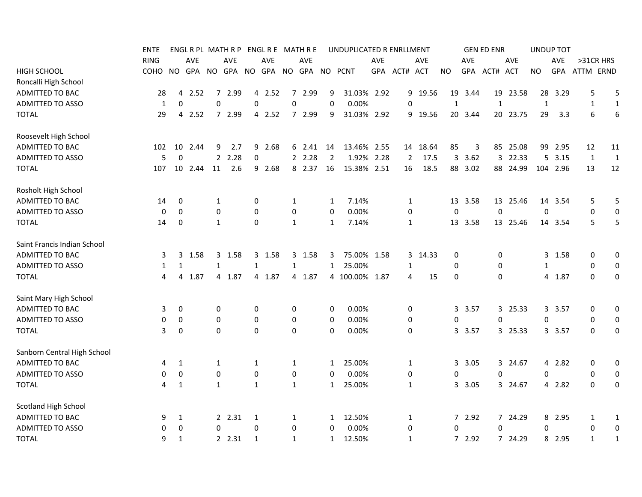|                             | <b>ENTE</b> |              |            |                | ENGL R PL MATH R P |              |        |                  | ENGL R E MATH R E |                | UNDUPLICATED R ENRLLMENT |      |                |          |              |            | <b>GEN ED ENR</b> |            |              | <b>UNDUP TOT</b> |              |                  |
|-----------------------------|-------------|--------------|------------|----------------|--------------------|--------------|--------|------------------|-------------------|----------------|--------------------------|------|----------------|----------|--------------|------------|-------------------|------------|--------------|------------------|--------------|------------------|
|                             | <b>RING</b> |              | <b>AVE</b> |                | AVE                |              | AVE    |                  | <b>AVE</b>        |                |                          | AVE  |                | AVE      |              | AVE        |                   | <b>AVE</b> |              | AVE              | >31CR HRS    |                  |
| <b>HIGH SCHOOL</b>          | COHO        | NO.          | <b>GPA</b> |                | NO GPA             | <b>NO</b>    | GPA    |                  | NO GPA NO PCNT    |                |                          |      | GPA ACT# ACT   |          | NO.          | <b>GPA</b> | ACT# ACT          |            | NO.          | GPA              | ATTM ERND    |                  |
| Roncalli High School        |             |              |            |                |                    |              |        |                  |                   |                |                          |      |                |          |              |            |                   |            |              |                  |              |                  |
| ADMITTED TO BAC             | 28          | 4            | 2.52       | 7 <sup>7</sup> | 2.99               | 4            | 2.52   | $\overline{7}$   | 2.99              | 9              | 31.03% 2.92              |      |                | 9 19.56  | 19           | 3.44       | 19                | 23.58      | 28           | 3.29             | 5            | 5                |
| <b>ADMITTED TO ASSO</b>     | 1           | $\mathbf 0$  |            | $\mathbf 0$    |                    | 0            |        | $\mathbf 0$      |                   | $\mathbf 0$    | 0.00%                    |      | 0              |          | $\mathbf{1}$ |            | $\mathbf{1}$      |            | $\mathbf{1}$ |                  | $\mathbf{1}$ | $\mathbf{1}$     |
| <b>TOTAL</b>                | 29          | 4            | 2.52       |                | 7 2.99             |              | 4 2.52 |                  | 7 2.99            | 9              | 31.03% 2.92              |      |                | 9 19.56  |              | 20 3.44    |                   | 20 23.75   | 29           | 3.3              | 6            | 6                |
| Roosevelt High School       |             |              |            |                |                    |              |        |                  |                   |                |                          |      |                |          |              |            |                   |            |              |                  |              |                  |
| <b>ADMITTED TO BAC</b>      | 102         | 10           | 2.44       | 9              | 2.7                | 9            | 2.68   |                  | 6 2.41            | 14             | 13.46% 2.55              |      |                | 14 18.64 | 85           | 3          | 85                | 25.08      |              | 99 2.95          | 12           | 11               |
| ADMITTED TO ASSO            | 5           | $\Omega$     |            |                | 2 2.28             | $\mathbf 0$  |        |                  | 2.28              | $\overline{2}$ | 1.92%                    | 2.28 | $\overline{2}$ | 17.5     | 3            | 3.62       | 3                 | 22.33      |              | 5 3.15           | $\mathbf{1}$ | $\mathbf{1}$     |
| <b>TOTAL</b>                | 107         | 10           | 2.44       | 11             | 2.6                |              | 9 2.68 |                  | 8 2.37            | 16             | 15.38% 2.51              |      | 16             | 18.5     |              | 88 3.02    |                   | 88 24.99   |              | 104 2.96         | 13           | 12               |
| Rosholt High School         |             |              |            |                |                    |              |        |                  |                   |                |                          |      |                |          |              |            |                   |            |              |                  |              |                  |
| ADMITTED TO BAC             | 14          | 0            |            | 1              |                    | 0            |        | $\mathbf{1}$     |                   | $\mathbf{1}$   | 7.14%                    |      | 1              |          |              | 13 3.58    |                   | 13 25.46   |              | 14 3.54          | 5            | 5                |
| <b>ADMITTED TO ASSO</b>     | 0           | $\mathbf 0$  |            | $\mathbf 0$    |                    | 0            |        | $\boldsymbol{0}$ |                   | 0              | 0.00%                    |      | 0              |          | $\mathbf 0$  |            | $\mathbf 0$       |            | $\mathbf 0$  |                  | $\mathbf 0$  | $\mathbf 0$      |
| <b>TOTAL</b>                | 14          | 0            |            | $\mathbf{1}$   |                    | 0            |        | $\mathbf{1}$     |                   | $\mathbf{1}$   | 7.14%                    |      | 1              |          |              | 13 3.58    |                   | 13 25.46   |              | 14 3.54          | 5            | 5                |
| Saint Francis Indian School |             |              |            |                |                    |              |        |                  |                   |                |                          |      |                |          |              |            |                   |            |              |                  |              |                  |
| ADMITTED TO BAC             | 3           | 3            | 1.58       |                | 3 1.58             | 3            | 1.58   |                  | 3 1.58            | 3              | 75.00% 1.58              |      |                | 3 14.33  | 0            |            | 0                 |            |              | 3 1.58           | 0            | $\mathbf 0$      |
| <b>ADMITTED TO ASSO</b>     | 1           | 1            |            | $\mathbf{1}$   |                    | 1            |        | 1                |                   | $\mathbf{1}$   | 25.00%                   |      | 1              |          | 0            |            | 0                 |            | 1            |                  | 0            | $\mathbf 0$      |
| <b>TOTAL</b>                | 4           | 4            | 1.87       |                | 4 1.87             |              | 4 1.87 |                  | 4 1.87            |                | 4 100.00% 1.87           |      | 4              | 15       | 0            |            | $\mathbf 0$       |            |              | 4 1.87           | $\mathbf 0$  | 0                |
| Saint Mary High School      |             |              |            |                |                    |              |        |                  |                   |                |                          |      |                |          |              |            |                   |            |              |                  |              |                  |
| <b>ADMITTED TO BAC</b>      | 3           | 0            |            | 0              |                    | 0            |        | 0                |                   | 0              | 0.00%                    |      | 0              |          |              | 3 3.57     |                   | 3 25.33    |              | 3 3.57           | 0            | 0                |
| <b>ADMITTED TO ASSO</b>     | 0           | 0            |            | $\mathbf 0$    |                    | 0            |        | 0                |                   | 0              | 0.00%                    |      | 0              |          | 0            |            | 0                 |            | 0            |                  | 0            | 0                |
| <b>TOTAL</b>                | 3           | $\mathbf 0$  |            | $\mathbf{0}$   |                    | $\Omega$     |        | $\mathbf 0$      |                   | $\Omega$       | 0.00%                    |      | 0              |          |              | 3 3.57     |                   | 3 25.33    |              | 3 3.57           | 0            | 0                |
| Sanborn Central High School |             |              |            |                |                    |              |        |                  |                   |                |                          |      |                |          |              |            |                   |            |              |                  |              |                  |
| ADMITTED TO BAC             | 4           | 1            |            | 1              |                    | 1            |        | $\mathbf{1}$     |                   | $\mathbf{1}$   | 25.00%                   |      | 1              |          |              | 3 3.05     |                   | 3 24.67    |              | 4 2.82           | 0            | 0                |
| ADMITTED TO ASSO            | 0           | 0            |            | 0              |                    | $\pmb{0}$    |        | 0                |                   | 0              | 0.00%                    |      | 0              |          | 0            |            | 0                 |            | 0            |                  | 0            | 0                |
| <b>TOTAL</b>                | 4           | 1            |            | $\mathbf{1}$   |                    | $\mathbf{1}$ |        | $\mathbf{1}$     |                   | $\mathbf{1}$   | 25.00%                   |      | 1              |          |              | 3 3.05     |                   | 3 24.67    |              | 4 2.82           | 0            | 0                |
| <b>Scotland High School</b> |             |              |            |                |                    |              |        |                  |                   |                |                          |      |                |          |              |            |                   |            |              |                  |              |                  |
| ADMITTED TO BAC             | 9           | $\mathbf{1}$ |            |                | 2.31               | 1            |        | 1                |                   | 1              | 12.50%                   |      | 1              |          |              | 7 2.92     |                   | 7 24.29    |              | 8 2.95           | 1            | 1                |
| <b>ADMITTED TO ASSO</b>     | 0           | 0            |            | $\mathbf 0$    |                    | 0            |        | 0                |                   | 0              | 0.00%                    |      | 0              |          | $\mathbf 0$  |            | 0                 |            | 0            |                  | $\mathbf 0$  | $\boldsymbol{0}$ |
| <b>TOTAL</b>                | 9           | 1            |            |                | 2, 2.31            | 1            |        | 1                |                   | 1              | 12.50%                   |      | 1              |          |              | 7 2.92     |                   | 7 24.29    |              | 8 2.95           | $\mathbf{1}$ | 1                |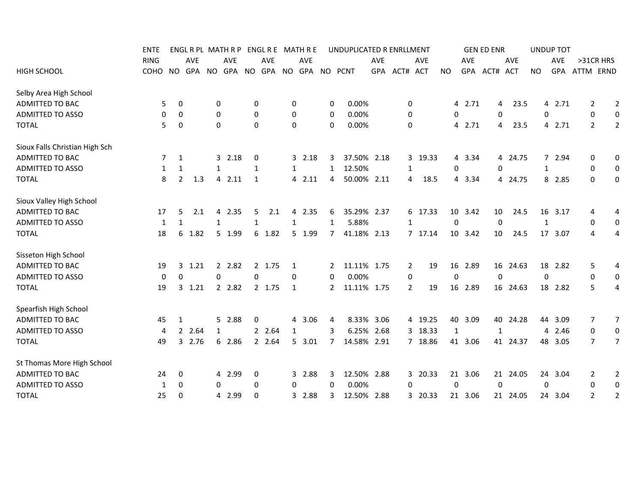|                                | ENTE        |                     |        |              | ENGL R PL MATH R P |                | ENGL R E MATH R E |              |           |                | UNDUPLICATED R ENRLLMENT |            |                |         |                  |            | <b>GEN ED ENR</b> |            |              | <b>UNDUP TOT</b> |                |                  |
|--------------------------------|-------------|---------------------|--------|--------------|--------------------|----------------|-------------------|--------------|-----------|----------------|--------------------------|------------|----------------|---------|------------------|------------|-------------------|------------|--------------|------------------|----------------|------------------|
|                                | <b>RING</b> |                     | AVE    |              | <b>AVE</b>         |                | AVE               |              | AVE       |                |                          | <b>AVE</b> |                | AVE     |                  | <b>AVE</b> |                   | AVE        |              | <b>AVE</b>       | >31CR HRS      |                  |
| <b>HIGH SCHOOL</b>             | COHO        | <b>NO</b>           |        |              | GPA NO GPA NO      |                |                   |              |           |                | GPA NO GPA NO PCNT       |            | GPA ACT# ACT   |         | <b>NO</b>        |            | GPA ACT#          | <b>ACT</b> | <b>NO</b>    | GPA              | ATTM ERND      |                  |
| Selby Area High School         |             |                     |        |              |                    |                |                   |              |           |                |                          |            |                |         |                  |            |                   |            |              |                  |                |                  |
| ADMITTED TO BAC                |             | 5<br>0              |        | 0            |                    | 0              |                   | 0            |           | 0              | 0.00%                    |            | 0              |         |                  | 4 2.71     |                   | 23.5<br>4  |              | 4 2.71           | 2              | $\overline{2}$   |
| <b>ADMITTED TO ASSO</b>        |             | 0<br>0              |        | 0            |                    | 0              |                   | 0            |           | 0              | 0.00%                    |            | 0              |         | 0                |            | 0                 |            | 0            |                  | 0              | $\boldsymbol{0}$ |
| <b>TOTAL</b>                   |             | 5<br>0              |        | $\Omega$     |                    | $\mathbf 0$    |                   | 0            |           | 0              | 0.00%                    |            | 0              |         | 4                | 2.71       |                   | 23.5<br>4  |              | 4<br>2.71        | $\overline{2}$ | $\overline{2}$   |
| Sioux Falls Christian High Sch |             |                     |        |              |                    |                |                   |              |           |                |                          |            |                |         |                  |            |                   |            |              |                  |                |                  |
| ADMITTED TO BAC                |             | $\mathbf{1}$<br>7   |        |              | 32.18              | 0              |                   |              | 32.18     | 3              | 37.50% 2.18              |            |                | 3 19.33 |                  | 4 3.34     |                   | 4 24.75    |              | 7 2.94           | 0              | 0                |
| <b>ADMITTED TO ASSO</b>        |             | 1<br>1              |        | $\mathbf{1}$ |                    | 1              |                   | $\mathbf{1}$ |           | $\mathbf{1}$   | 12.50%                   |            | 1              |         | 0                |            | 0                 |            | $\mathbf{1}$ |                  | 0              | $\mathbf 0$      |
| <b>TOTAL</b>                   |             | $\overline{2}$<br>8 | 1.3    |              | 4 2.11             | $\mathbf{1}$   |                   |              | 4 2.11    | 4              | 50.00% 2.11              |            | 4              | 18.5    |                  | 4 3.34     |                   | 4 24.75    |              | 8 2.85           | 0              | $\mathbf 0$      |
| Sioux Valley High School       |             |                     |        |              |                    |                |                   |              |           |                |                          |            |                |         |                  |            |                   |            |              |                  |                |                  |
| ADMITTED TO BAC                | 17          | 5                   | 2.1    |              | 4 2.35             | 5              | 2.1               | 4            | 2.35      | 6              | 35.29% 2.37              |            |                | 6 17.33 |                  | 10 3.42    | 10                | 24.5       |              | 16 3.17          | 4              | 4                |
| <b>ADMITTED TO ASSO</b>        |             | 1<br>1              |        | $\mathbf{1}$ |                    | 1              |                   | 1            |           | $\mathbf{1}$   | 5.88%                    |            | 1              |         | $\mathbf 0$      |            | $\Omega$          |            | 1            |                  | 0              | 0                |
| <b>TOTAL</b>                   | 18          | 6                   | 1.82   |              | 5 1.99             |                | 6 1.82            |              | 5 1.99    | $\overline{7}$ | 41.18% 2.13              |            |                | 7 17.14 |                  | 10 3.42    | 10                | 24.5       |              | 17 3.07          | 4              | 4                |
| Sisseton High School           |             |                     |        |              |                    |                |                   |              |           |                |                          |            |                |         |                  |            |                   |            |              |                  |                |                  |
| ADMITTED TO BAC                | 19          | 3                   | 1.21   |              | 2 2.82             |                | 2 1.75            | 1            |           | 2              | 11.11% 1.75              |            | $\overline{2}$ | 19      |                  | 16 2.89    |                   | 16 24.63   |              | 18 2.82          | 5              | 4                |
| <b>ADMITTED TO ASSO</b>        |             | $\mathbf 0$<br>0    |        | 0            |                    | $\mathbf 0$    |                   | 0            |           | 0              | 0.00%                    |            | 0              |         | 0                |            | $\mathbf 0$       |            |              | 0                | 0              | $\mathbf 0$      |
| <b>TOTAL</b>                   | 19          |                     | 3 1.21 |              | 2 2.82             |                | 2 1.75            | 1            |           | $2^{\circ}$    | 11.11% 1.75              |            | $\overline{2}$ | 19      |                  | 16 2.89    |                   | 16 24.63   |              | 18 2.82          | 5              | 4                |
| Spearfish High School          |             |                     |        |              |                    |                |                   |              |           |                |                          |            |                |         |                  |            |                   |            |              |                  |                |                  |
| ADMITTED TO BAC                | 45          | 1                   |        |              | 5 2.88             | 0              |                   | 4            | 3.06      | 4              | 8.33% 3.06               |            |                | 4 19.25 | 40               | 3.09       | 40                | 24.28      | 44           | 3.09             | 7              | $\overline{7}$   |
| <b>ADMITTED TO ASSO</b>        |             | $\mathbf{2}$<br>4   | 2.64   | 1            |                    | $\overline{2}$ | 2.64              | $\mathbf{1}$ |           | 3              | 6.25% 2.68               |            |                | 3 18.33 | $\mathbf{1}$     |            | 1                 |            |              | 4 2.46           | 0              | $\mathbf 0$      |
| <b>TOTAL</b>                   | 49          |                     | 3 2.76 |              | 6 2.86             |                | 2 2.64            |              | 5, 3.01   | $\overline{7}$ | 14.58% 2.91              |            |                | 7 18.86 |                  | 41 3.06    |                   | 41 24.37   |              | 48 3.05          | $\overline{7}$ | $\overline{7}$   |
| St Thomas More High School     |             |                     |        |              |                    |                |                   |              |           |                |                          |            |                |         |                  |            |                   |            |              |                  |                |                  |
| ADMITTED TO BAC                | 24          | 0                   |        |              | 4 2.99             | 0              |                   |              | 3 2.88    | 3              | 12.50% 2.88              |            |                | 3 20.33 |                  | 21 3.06    |                   | 21 24.05   |              | 24 3.04          | 2              | $\overline{2}$   |
| <b>ADMITTED TO ASSO</b>        |             | 0<br>1              |        | 0            |                    | 0              |                   | 0            |           | 0              | 0.00%                    |            | 0              |         | $\boldsymbol{0}$ |            | 0                 |            | 0            |                  | 0              | $\boldsymbol{0}$ |
| <b>TOTAL</b>                   | 25          | $\Omega$            |        |              | 4 2.99             | $\mathbf 0$    |                   |              | 2.88<br>3 | 3              | 12.50% 2.88              |            |                | 3 20.33 |                  | 21 3.06    |                   | 21 24.05   |              | 24 3.04          | $\overline{2}$ | $\overline{2}$   |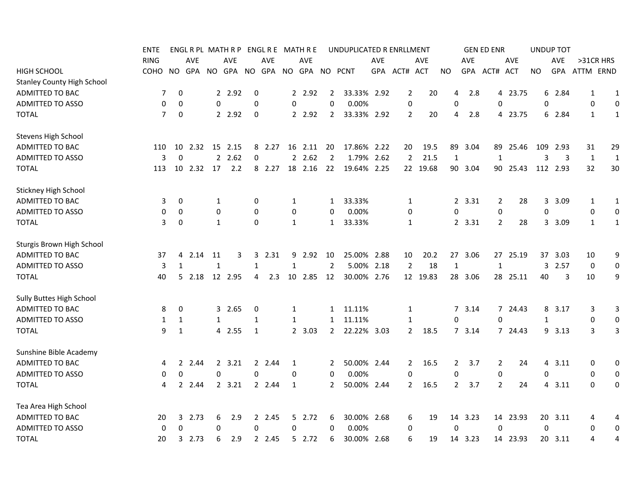|                                   | ENTE           |                |            |              | ENGL R PL MATH R P |             |            |              | ENGL R E MATH R E |                | UNDUPLICATED R ENRLLMENT |     |                |          |                  |            | <b>GEN ED ENR</b> |            |     | <b>UNDUP TOT</b> |              |                  |
|-----------------------------------|----------------|----------------|------------|--------------|--------------------|-------------|------------|--------------|-------------------|----------------|--------------------------|-----|----------------|----------|------------------|------------|-------------------|------------|-----|------------------|--------------|------------------|
|                                   | <b>RING</b>    |                | <b>AVE</b> |              | AVE                |             | <b>AVE</b> |              | <b>AVE</b>        |                |                          | AVE |                | AVE      |                  | <b>AVE</b> |                   | <b>AVE</b> |     | AVE              | >31CR HRS    |                  |
| <b>HIGH SCHOOL</b>                | COHO           | NO.            | GPA        |              | NO GPA NO          |             | GPA        | NO.          | GPA               |                | NO PCNT                  | GPA | ACT# ACT       |          | NO.              | <b>GPA</b> | ACT#              | <b>ACT</b> | NO. | <b>GPA</b>       | ATTM ERND    |                  |
| <b>Stanley County High School</b> |                |                |            |              |                    |             |            |              |                   |                |                          |     |                |          |                  |            |                   |            |     |                  |              |                  |
| ADMITTED TO BAC                   | 7              | 0              |            |              | 2 2.92             | 0           |            |              | 2 2.92            | 2              | 33.33% 2.92              |     | $\overline{2}$ | 20       | 4                | 2.8        |                   | 4 23.75    | 6   | 2.84             | 1            | 1                |
| <b>ADMITTED TO ASSO</b>           | 0              | 0              |            | $\mathbf 0$  |                    | $\mathbf 0$ |            | 0            |                   | 0              | 0.00%                    |     | $\pmb{0}$      |          | $\mathbf 0$      |            | 0                 |            | 0   |                  | 0            | 0                |
| <b>TOTAL</b>                      | $\overline{7}$ | 0              |            |              | 2 2.92             | $\mathbf 0$ |            |              | 2 2.92            | $\overline{2}$ | 33.33% 2.92              |     | $\overline{2}$ | 20       | 4                | 2.8        |                   | 4 23.75    | 6   | 2.84             | 1            | $\mathbf{1}$     |
| <b>Stevens High School</b>        |                |                |            |              |                    |             |            |              |                   |                |                          |     |                |          |                  |            |                   |            |     |                  |              |                  |
| ADMITTED TO BAC                   | 110            | 10             | 2.32       | 15           | 2.15               | 8           | 2.27       | 16           | 2.11              | -20            | 17.86% 2.22              |     | 20             | 19.5     | 89               | 3.04       | 89                | 25.46      | 109 | - 2.93           | 31           | 29               |
| <b>ADMITTED TO ASSO</b>           | 3              | 0              |            |              | 2.62               | 0           |            |              | 2.62              | $\overline{2}$ | 1.79% 2.62               |     | $\overline{2}$ | 21.5     | $\mathbf{1}$     |            | 1                 |            | 3   | 3                | $\mathbf{1}$ | $\mathbf{1}$     |
| <b>TOTAL</b>                      | 113            | -10            | 2.32       | 17           | 2.2                |             | 8 2.27     | 18           | 2.16              | 22             | 19.64% 2.25              |     |                | 22 19.68 |                  | 90 3.04    | 90                | 25.43      |     | 112 2.93         | 32           | 30               |
| Stickney High School              |                |                |            |              |                    |             |            |              |                   |                |                          |     |                |          |                  |            |                   |            |     |                  |              |                  |
| ADMITTED TO BAC                   | 3              | 0              |            | 1            |                    | 0           |            | 1            |                   | 1              | 33.33%                   |     | 1              |          |                  | 2 3.31     | 2                 | 28         | 3   | 3.09             | 1            | 1                |
| <b>ADMITTED TO ASSO</b>           | 0              | 0              |            | 0            |                    | 0           |            | 0            |                   | 0              | 0.00%                    |     | 0              |          | 0                |            | 0                 |            | 0   |                  | 0            | $\mathbf 0$      |
| <b>TOTAL</b>                      | 3              | 0              |            | $\mathbf{1}$ |                    | $\mathbf 0$ |            | $\mathbf{1}$ |                   | $\mathbf{1}$   | 33.33%                   |     | 1              |          |                  | 2 3.31     | 2                 | 28         |     | 3 3.09           | 1            | 1                |
| Sturgis Brown High School         |                |                |            |              |                    |             |            |              |                   |                |                          |     |                |          |                  |            |                   |            |     |                  |              |                  |
| ADMITTED TO BAC                   | 37             | 4              | 2.14       | 11           | 3                  | 3           | 2.31       | 9            | 2.92              | 10             | 25.00% 2.88              |     | 10             | 20.2     |                  | 27 3.06    |                   | 27 25.19   |     | 37 3.03          | 10           | 9                |
| <b>ADMITTED TO ASSO</b>           | 3              | 1              |            | $\mathbf{1}$ |                    | 1           |            | 1            |                   | $\overline{2}$ | 5.00% 2.18               |     | $\overline{2}$ | 18       | $\mathbf{1}$     |            | 1                 |            | 3   | 2.57             | 0            | 0                |
| <b>TOTAL</b>                      | 40             | 5.             | 2.18       |              | 12 2.95            | 4           | 2.3        | 10           | 2.85              | 12             | 30.00% 2.76              |     |                | 12 19.83 |                  | 28 3.06    |                   | 28 25.11   | 40  | 3                | 10           | 9                |
| Sully Buttes High School          |                |                |            |              |                    |             |            |              |                   |                |                          |     |                |          |                  |            |                   |            |     |                  |              |                  |
| ADMITTED TO BAC                   | 8              | 0              |            |              | 3 2.65             | 0           |            | 1            |                   | $\mathbf{1}$   | 11.11%                   |     | 1              |          |                  | 7 3.14     |                   | 7 24.43    |     | 8 3.17           | 3            | 3                |
| ADMITTED TO ASSO                  | 1              | 1              |            | $\mathbf{1}$ |                    | 1           |            | $\mathbf{1}$ |                   | $\mathbf{1}$   | 11.11%                   |     | 1              |          | 0                |            | 0                 |            | 1   |                  | 0            | $\mathbf 0$      |
| <b>TOTAL</b>                      | 9              | $\mathbf{1}$   |            |              | 4 2.55             | $\mathbf 1$ |            |              | 2 3.03            | $\mathbf{2}$   | 22.22% 3.03              |     | $\overline{2}$ | 18.5     |                  | 73.14      |                   | 7 24.43    |     | 9 3.13           | 3            | 3                |
| Sunshine Bible Academy            |                |                |            |              |                    |             |            |              |                   |                |                          |     |                |          |                  |            |                   |            |     |                  |              |                  |
| ADMITTED TO BAC                   | 4              | 2              | 2.44       |              | 2, 3.21            |             | 2 2.44     | 1            |                   | 2              | 50.00% 2.44              |     | $\overline{2}$ | 16.5     | $\overline{2}$   | 3.7        | $\overline{2}$    | 24         |     | 4 3.11           | 0            | $\pmb{0}$        |
| <b>ADMITTED TO ASSO</b>           | 0              | 0              |            | 0            |                    | 0           |            | 0            |                   | 0              | 0.00%                    |     | $\mathbf 0$    |          | $\boldsymbol{0}$ |            | 0                 |            | 0   |                  | 0            | 0                |
| <b>TOTAL</b>                      | 4              | $\overline{2}$ | 2.44       |              | 2, 3.21            |             | 2 2.44     | 1            |                   | 2              | 50.00% 2.44              |     | $\overline{2}$ | 16.5     | $\overline{2}$   | 3.7        | $\overline{2}$    | 24         |     | 4 3.11           | 0            | 0                |
| Tea Area High School              |                |                |            |              |                    |             |            |              |                   |                |                          |     |                |          |                  |            |                   |            |     |                  |              |                  |
| ADMITTED TO BAC                   | 20             |                | 32.73      | 6            | 2.9                |             | 2 2.45     |              | 5 2.72            | 6              | 30.00% 2.68              |     | 6              | 19       |                  | 14 3.23    |                   | 14 23.93   |     | 20 3.11          | 4            | 4                |
| ADMITTED TO ASSO                  | 0              | 0              |            | 0            |                    | 0           |            | 0            |                   | 0              | 0.00%                    |     | 0              |          | $\mathbf 0$      |            | $\Omega$          |            | 0   |                  | 0            | $\boldsymbol{0}$ |
| <b>TOTAL</b>                      | 20             | 3              | 2.73       | 6            | 2.9                |             | 2 2.45     |              | 52.72             | 6              | 30.00% 2.68              |     | 6              | 19       | 14               | 3.23       |                   | 14 23.93   |     | 20 3.11          | 4            | 4                |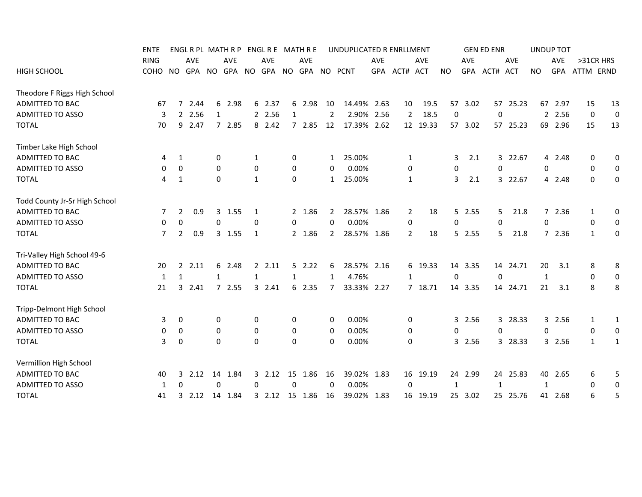|                               | ENTE           |                |                  |              |            |              |            |              | ENGLRPL MATHRP ENGLRE MATHRE |                | UNDUPLICATED R ENRLLMENT |            |                |            |              |            | <b>GEN ED ENR</b> |          |              | <b>UNDUP TOT</b> |              |                  |
|-------------------------------|----------------|----------------|------------------|--------------|------------|--------------|------------|--------------|------------------------------|----------------|--------------------------|------------|----------------|------------|--------------|------------|-------------------|----------|--------------|------------------|--------------|------------------|
|                               | <b>RING</b>    |                | AVE              |              | <b>AVE</b> |              | <b>AVE</b> |              | <b>AVE</b>                   |                |                          | <b>AVE</b> |                | <b>AVE</b> |              | <b>AVE</b> |                   | AVE      |              | <b>AVE</b>       | >31CR HRS    |                  |
| <b>HIGH SCHOOL</b>            | COHO           |                | NO GPA NO GPA NO |              |            |              |            |              | GPA NO GPA NO PCNT           |                |                          |            | GPA ACT# ACT   |            | <b>NO</b>    |            | GPA ACT#          | ACT      | <b>NO</b>    | <b>GPA</b>       | ATTM ERND    |                  |
| Theodore F Riggs High School  |                |                |                  |              |            |              |            |              |                              |                |                          |            |                |            |              |            |                   |          |              |                  |              |                  |
| ADMITTED TO BAC               | 67             | $\overline{7}$ | 2.44             |              | 6 2.98     |              | 6 2.37     |              | 6 2.98                       | 10             | 14.49% 2.63              |            | 10             | 19.5       |              | 57 3.02    |                   | 57 25.23 |              | 67 2.97          | 15           | 13               |
| <b>ADMITTED TO ASSO</b>       | 3              |                | 2 2.56           | 1            |            |              | 2 2.56     | 1            |                              | 2              | 2.90% 2.56               |            | $\overline{2}$ | 18.5       | 0            |            | 0                 |          |              | 2 2.56           | 0            | $\mathbf 0$      |
| <b>TOTAL</b>                  | 70             |                | 9 2.47           |              | 7 2.85     |              | 8 2.42     |              | 72.85                        | 12             | 17.39% 2.62              |            |                | 12 19.33   |              | 57 3.02    | 57                | 25.23    |              | 69 2.96          | 15           | 13               |
| Timber Lake High School       |                |                |                  |              |            |              |            |              |                              |                |                          |            |                |            |              |            |                   |          |              |                  |              |                  |
| ADMITTED TO BAC               | 4              | 1              |                  | 0            |            | 1            |            | 0            |                              | $\mathbf{1}$   | 25.00%                   |            | 1              |            | 3            | 2.1        |                   | 3 22.67  |              | 4 2.48           | 0            | 0                |
| <b>ADMITTED TO ASSO</b>       | 0              | 0              |                  | 0            |            | 0            |            | 0            |                              | 0              | 0.00%                    |            | 0              |            | 0            |            | 0                 |          | 0            |                  | 0            | $\boldsymbol{0}$ |
| <b>TOTAL</b>                  | 4              | 1              |                  | 0            |            | 1            |            | 0            |                              | $\mathbf{1}$   | 25.00%                   |            | 1              |            | 3            | 2.1        |                   | 3 22.67  |              | 4 2.48           | 0            | 0                |
| Todd County Jr-Sr High School |                |                |                  |              |            |              |            |              |                              |                |                          |            |                |            |              |            |                   |          |              |                  |              |                  |
| ADMITTED TO BAC               | 7              | $\overline{2}$ | 0.9              |              | 3 1.55     | 1            |            |              | 2 1.86                       | $\mathbf{2}$   | 28.57% 1.86              |            | 2              | 18         |              | $5$ 2.55   | 5                 | 21.8     |              | 72.36            | 1            | 0                |
| <b>ADMITTED TO ASSO</b>       | 0              | 0              |                  | $\Omega$     |            | $\Omega$     |            | 0            |                              | 0              | 0.00%                    |            | 0              |            | 0            |            | 0                 |          | $\mathbf{0}$ |                  | 0            | 0                |
| <b>TOTAL</b>                  | $\overline{7}$ | $\overline{2}$ | 0.9              |              | 3 1.55     | 1            |            |              | 2 1.86                       | $\mathbf{2}$   | 28.57% 1.86              |            | $\overline{2}$ | 18         |              | 52.55      | 5.                | 21.8     |              | 7 2.36           | $\mathbf{1}$ | $\mathbf 0$      |
| Tri-Valley High School 49-6   |                |                |                  |              |            |              |            |              |                              |                |                          |            |                |            |              |            |                   |          |              |                  |              |                  |
| ADMITTED TO BAC               | 20             |                | 22.11            |              | 6 2.48     |              | 2.11       |              | 52.22                        | 6              | 28.57% 2.16              |            |                | 6 19.33    |              | 14 3.35    |                   | 14 24.71 | 20           | 3.1              | 8            | 8                |
| <b>ADMITTED TO ASSO</b>       | 1              | $\mathbf{1}$   |                  | $\mathbf{1}$ |            | $\mathbf{1}$ |            | $\mathbf{1}$ |                              | 1              | 4.76%                    |            | $\mathbf{1}$   |            | 0            |            | $\Omega$          |          | $\mathbf{1}$ |                  | 0            | $\mathbf 0$      |
| <b>TOTAL</b>                  | 21             |                | 3 2.41           |              | 72.55      |              | $3$ 2.41   | 6            | 2.35                         | $\overline{7}$ | 33.33% 2.27              |            |                | 7 18.71    |              | 14 3.35    |                   | 14 24.71 | 21           | 3.1              | 8            | 8                |
| Tripp-Delmont High School     |                |                |                  |              |            |              |            |              |                              |                |                          |            |                |            |              |            |                   |          |              |                  |              |                  |
| ADMITTED TO BAC               | 3              | 0              |                  | 0            |            | 0            |            | 0            |                              | 0              | 0.00%                    |            | 0              |            |              | 3 2.56     |                   | 3 28.33  |              | 3 2.56           | 1            | 1                |
| ADMITTED TO ASSO              | 0              | 0              |                  | 0            |            | 0            |            | 0            |                              | 0              | 0.00%                    |            | 0              |            | 0            |            | 0                 |          | 0            |                  | 0            | $\boldsymbol{0}$ |
| <b>TOTAL</b>                  | 3              | 0              |                  | $\Omega$     |            | $\mathbf 0$  |            | 0            |                              | 0              | 0.00%                    |            | 0              |            |              | 3 2.56     |                   | 3 28.33  |              | 3 2.56           | $\mathbf{1}$ | $\mathbf{1}$     |
| Vermillion High School        |                |                |                  |              |            |              |            |              |                              |                |                          |            |                |            |              |            |                   |          |              |                  |              |                  |
| ADMITTED TO BAC               | 40             | 3              | 2.12             |              | 14 1.84    |              | $3$ 2.12   |              | 15 1.86                      | 16             | 39.02% 1.83              |            |                | 16 19.19   |              | 24 2.99    |                   | 24 25.83 |              | 40 2.65          | 6            | 5                |
| <b>ADMITTED TO ASSO</b>       | 1              | 0              |                  | 0            |            | 0            |            | 0            |                              | 0              | 0.00%                    |            | 0              |            | $\mathbf{1}$ |            | 1                 |          | 1            |                  | 0            | 0                |
| <b>TOTAL</b>                  | 41             | 3              | 2.12             |              | 14 1.84    |              |            |              | 3 2.12 15 1.86               | 16             | 39.02% 1.83              |            |                | 16 19.19   |              | 25 3.02    |                   | 25 25.76 |              | 41 2.68          | 6            | 5                |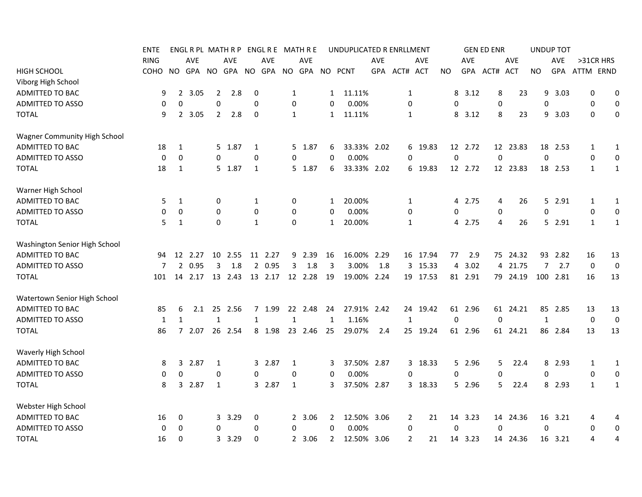|                                     | ENTE        |                |            |                  | ENGLRPL MATHRP ENGLRE MATHRE |                  |            |              |            |              | UNDUPLICATED R ENRLLMENT |            |                |          |             |            | <b>GEN ED ENR</b> |            |              | <b>UNDUP TOT</b> |              |                  |
|-------------------------------------|-------------|----------------|------------|------------------|------------------------------|------------------|------------|--------------|------------|--------------|--------------------------|------------|----------------|----------|-------------|------------|-------------------|------------|--------------|------------------|--------------|------------------|
|                                     | <b>RING</b> |                | <b>AVE</b> |                  | <b>AVE</b>                   |                  | <b>AVE</b> |              | <b>AVE</b> |              |                          | <b>AVE</b> |                | AVE      |             | AVE        |                   | <b>AVE</b> |              | AVE              | >31CR HRS    |                  |
| <b>HIGH SCHOOL</b>                  | <b>COHO</b> | NO.            | GPA        | NO.              | GPA                          |                  | NO GPA     |              | NO GPA     |              | NO PCNT                  | <b>GPA</b> | ACT# ACT       |          | NO.         | <b>GPA</b> | ACT#              | <b>ACT</b> | <b>NO</b>    | <b>GPA</b>       | ATTM ERND    |                  |
| Viborg High School                  |             |                |            |                  |                              |                  |            |              |            |              |                          |            |                |          |             |            |                   |            |              |                  |              |                  |
| ADMITTED TO BAC                     | 9           | $\overline{2}$ | 3.05       | 2                | 2.8                          | $\boldsymbol{0}$ |            | $\mathbf{1}$ |            | 1            | 11.11%                   |            | 1              |          | 8           | 3.12       | 8                 | 23         | 9            | 3.03             | 0            | 0                |
| <b>ADMITTED TO ASSO</b>             | 0           | 0              |            | $\boldsymbol{0}$ |                              | 0                |            | 0            |            | 0            | 0.00%                    |            | 0              |          | 0           |            | 0                 |            | 0            |                  | 0            | $\mathbf 0$      |
| <b>TOTAL</b>                        | 9           | $2^{\circ}$    | 3.05       | $\overline{2}$   | 2.8                          | $\mathbf 0$      |            | $\mathbf{1}$ |            | $\mathbf{1}$ | 11.11%                   |            | 1              |          | 8           | 3.12       | 8                 | 23         | 9            | 3.03             | $\mathbf 0$  | $\boldsymbol{0}$ |
| <b>Wagner Community High School</b> |             |                |            |                  |                              |                  |            |              |            |              |                          |            |                |          |             |            |                   |            |              |                  |              |                  |
| ADMITTED TO BAC                     | 18          | 1              |            |                  | 5 1.87                       | 1                |            | 5.           | 1.87       | 6            | 33.33% 2.02              |            |                | 6 19.83  |             | 12 2.72    |                   | 12 23.83   | 18           | 2.53             | 1            | $\mathbf{1}$     |
| <b>ADMITTED TO ASSO</b>             | 0           | 0              |            | $\Omega$         |                              | 0                |            | 0            |            | 0            | 0.00%                    |            | $\mathbf 0$    |          | $\pmb{0}$   |            | $\mathbf 0$       |            | $\mathbf 0$  |                  | 0            | 0                |
| <b>TOTAL</b>                        | 18          | 1              |            |                  | 5 1.87                       | 1                |            |              | 5 1.87     | 6            | 33.33% 2.02              |            |                | 6 19.83  |             | 12 2.72    |                   | 12 23.83   |              | 18 2.53          | $\mathbf{1}$ | 1                |
| Warner High School                  |             |                |            |                  |                              |                  |            |              |            |              |                          |            |                |          |             |            |                   |            |              |                  |              |                  |
| ADMITTED TO BAC                     | 5           | 1              |            | $\mathbf 0$      |                              | 1                |            | 0            |            | 1            | 20.00%                   |            | 1              |          | 4           | 2.75       | 4                 | 26         |              | 5 2.91           | 1            | 1                |
| ADMITTED TO ASSO                    | 0           | 0              |            | $\Omega$         |                              | $\mathbf 0$      |            | 0            |            | 0            | 0.00%                    |            | 0              |          | 0           |            | 0                 |            | $\mathbf 0$  |                  | 0            | 0                |
| <b>TOTAL</b>                        | 5           | $\mathbf{1}$   |            | 0                |                              | $\mathbf{1}$     |            | 0            |            | $\mathbf{1}$ | 20.00%                   |            | 1              |          |             | 4 2.75     | 4                 | 26         |              | 5 2.91           | 1            | 1                |
| Washington Senior High School       |             |                |            |                  |                              |                  |            |              |            |              |                          |            |                |          |             |            |                   |            |              |                  |              |                  |
| ADMITTED TO BAC                     | 94          | 12             | 2.27       |                  | 10 2.55                      |                  | 11 2.27    | 9            | 2.39       | 16           | 16.00%                   | 2.29       |                | 16 17.94 | 77          | 2.9        |                   | 75 24.32   |              | 93 2.82          | 16           | 13               |
| <b>ADMITTED TO ASSO</b>             | 7           | $\overline{2}$ | 0.95       | 3                | 1.8                          | $\overline{2}$   | 0.95       | 3            | 1.8        | 3            | 3.00%                    | 1.8        |                | 3 15.33  | 4           | 3.02       | 4                 | 21.75      | 7            | 2.7              | $\mathbf 0$  | $\mathbf 0$      |
| <b>TOTAL</b>                        | 101         | 14             | 2.17       |                  | 13 2.43                      |                  | 13 2.17    |              | 12 2.28    | 19           | 19.00% 2.24              |            |                | 19 17.53 |             | 81 2.91    |                   | 79 24.19   |              | 100 2.81         | 16           | 13               |
| <b>Watertown Senior High School</b> |             |                |            |                  |                              |                  |            |              |            |              |                          |            |                |          |             |            |                   |            |              |                  |              |                  |
| <b>ADMITTED TO BAC</b>              | 85          | 6              | 2.1        |                  | 25 2.56                      |                  | 7 1.99     |              | 22 2.48    | 24           | 27.91% 2.42              |            |                | 24 19.42 |             | 61 2.96    |                   | 61 24.21   |              | 85 2.85          | 13           | 13               |
| <b>ADMITTED TO ASSO</b>             | 1           | 1              |            | $\mathbf{1}$     |                              | 1                |            | 1            |            | 1            | 1.16%                    |            | 1              |          | $\mathbf 0$ |            | $\Omega$          |            | $\mathbf{1}$ |                  | 0            | $\overline{0}$   |
| <b>TOTAL</b>                        | 86          | 7              | 2.07       |                  | 26 2.54                      |                  | 8 1.98     |              | 23 2.46    | 25           | 29.07%                   | 2.4        |                | 25 19.24 |             | 61 2.96    |                   | 61 24.21   |              | 86 2.84          | 13           | 13               |
| Waverly High School                 |             |                |            |                  |                              |                  |            |              |            |              |                          |            |                |          |             |            |                   |            |              |                  |              |                  |
| ADMITTED TO BAC                     | 8           | 3              | 2.87       | 1                |                              |                  | 3 2.87     | $\mathbf{1}$ |            | 3            | 37.50% 2.87              |            |                | 3 18.33  |             | 5 2.96     | 5.                | 22.4       |              | 8 2.93           | $\mathbf{1}$ | $\mathbf{1}$     |
| <b>ADMITTED TO ASSO</b>             | 0           | $\Omega$       |            | 0                |                              | $\mathbf 0$      |            | 0            |            | 0            | 0.00%                    |            | 0              |          | 0           |            | 0                 |            | $\mathbf 0$  |                  | 0            | 0                |
| <b>TOTAL</b>                        | 8           |                | 3 2.87     | $\mathbf{1}$     |                              |                  | 3 2.87     | $\mathbf{1}$ |            | 3            | 37.50% 2.87              |            |                | 3 18.33  |             | 5 2.96     | 5.                | 22.4       |              | 8 2.93           | $\mathbf{1}$ | $\mathbf{1}$     |
| Webster High School                 |             |                |            |                  |                              |                  |            |              |            |              |                          |            |                |          |             |            |                   |            |              |                  |              |                  |
| ADMITTED TO BAC                     | 16          | 0              |            |                  | 3 3.29                       | 0                |            |              | 2 3.06     | 2            | 12.50% 3.06              |            | 2              | 21       |             | 14 3.23    |                   | 14 24.36   |              | 16 3.21          | 4            | 4                |
| <b>ADMITTED TO ASSO</b>             | 0           | 0              |            | 0                |                              | 0                |            | 0            |            | 0            | 0.00%                    |            | 0              |          | $\mathbf 0$ |            | $\Omega$          |            | $\mathbf 0$  |                  | 0            | $\mathbf 0$      |
| <b>TOTAL</b>                        | 16          | 0              |            |                  | 3 3.29                       | 0                |            |              | 2 3.06     | $\mathbf{2}$ | 12.50% 3.06              |            | $\overline{2}$ | 21       |             | 14 3.23    |                   | 14 24.36   |              | 16 3.21          | 4            | 4                |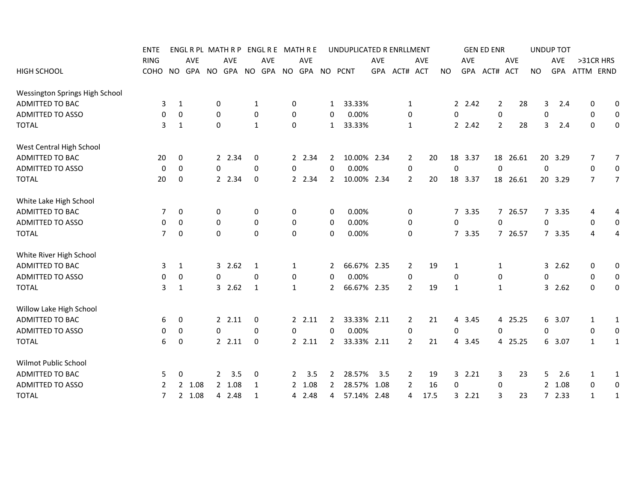|                                | <b>ENTE</b> |                               |                      |              | ENGLRPL MATHRP ENGLRE MATHRE |             |                    |              |        |                | UNDUPLICATED R ENRLLMENT |      |                |      |           |                        | <b>GEN ED ENR</b> |                |          | <b>UNDUP TOT</b> |         |                |                  |
|--------------------------------|-------------|-------------------------------|----------------------|--------------|------------------------------|-------------|--------------------|--------------|--------|----------------|--------------------------|------|----------------|------|-----------|------------------------|-------------------|----------------|----------|------------------|---------|----------------|------------------|
|                                | <b>RING</b> |                               | AVE                  |              | AVE                          |             | AVE                |              | AVE    |                |                          | AVE  |                | AVE  |           | AVE                    |                   |                | AVE      |                  | AVE     | >31CR HRS      |                  |
| <b>HIGH SCHOOL</b>             | COHO        | NO.                           |                      |              | GPA NO GPA NO                |             | GPA NO GPA NO PCNT |              |        |                |                          |      | GPA ACT# ACT   |      | <b>NO</b> |                        | GPA ACT#          |                | ACT      | <b>NO</b>        | GPA     | ATTM ERND      |                  |
| Wessington Springs High School |             |                               |                      |              |                              |             |                    |              |        |                |                          |      |                |      |           |                        |                   |                |          |                  |         |                |                  |
| <b>ADMITTED TO BAC</b>         |             | 3<br>1                        |                      | 0            |                              | 1           |                    | 0            |        | 1              | 33.33%                   |      | 1              |      |           | 2, 2.42                |                   | 2              | 28       | 3                | 2.4     | 0              | 0                |
| <b>ADMITTED TO ASSO</b>        |             | 0<br>0                        |                      | $\mathbf{0}$ |                              | 0           |                    | 0            |        | 0              | 0.00%                    |      | 0              |      |           | 0                      |                   | 0              |          | $\mathbf 0$      |         | 0              | $\boldsymbol{0}$ |
| <b>TOTAL</b>                   |             | 3<br>1                        |                      | $\Omega$     |                              | 1           |                    | 0            |        | $\mathbf{1}$   | 33.33%                   |      | 1              |      |           | 2.42                   |                   | $\overline{2}$ | 28       | 3                | 2.4     | $\mathbf 0$    | $\mathbf 0$      |
| West Central High School       |             |                               |                      |              |                              |             |                    |              |        |                |                          |      |                |      |           |                        |                   |                |          |                  |         |                |                  |
| <b>ADMITTED TO BAC</b>         |             | 20<br>0                       |                      |              | 2 2.34                       | 0           |                    |              | 2 2.34 | $\mathbf{2}$   | 10.00% 2.34              |      | 2              | 20   |           | 18 3.37                |                   | 18             | 26.61    |                  | 20 3.29 | 7              | $\overline{7}$   |
| <b>ADMITTED TO ASSO</b>        |             | $\mathbf 0$<br>0              |                      | $\mathbf 0$  |                              | $\mathbf 0$ |                    | 0            |        | 0              | 0.00%                    |      | 0              |      |           | 0                      |                   | 0              |          | $\mathbf 0$      |         | 0              | $\mathbf 0$      |
| <b>TOTAL</b>                   |             | $\mathbf 0$<br>20             |                      |              | 2 2.34                       | 0           |                    |              | 2 2.34 | $\overline{2}$ | 10.00% 2.34              |      | $\overline{2}$ | 20   |           | 18 3.37                |                   |                | 18 26.61 |                  | 20 3.29 | $\overline{7}$ | $\overline{7}$   |
| White Lake High School         |             |                               |                      |              |                              |             |                    |              |        |                |                          |      |                |      |           |                        |                   |                |          |                  |         |                |                  |
| ADMITTED TO BAC                |             | $\mathbf 0$<br>7              |                      | 0            |                              | 0           |                    | 0            |        | 0              | 0.00%                    |      | 0              |      |           | $7^{\circ}$<br>3.35    |                   |                | 7 26.57  |                  | 7 3.35  | 4              | 4                |
| <b>ADMITTED TO ASSO</b>        |             | 0<br>0                        |                      | $\mathbf 0$  |                              | 0           |                    | 0            |        | 0              | 0.00%                    |      | $\mathbf 0$    |      |           | 0                      |                   | 0              |          | $\Omega$         |         | 0              | 0                |
| <b>TOTAL</b>                   |             | $\overline{7}$<br>$\mathbf 0$ |                      | 0            |                              | 0           |                    | $\mathbf 0$  |        | 0              | 0.00%                    |      | 0              |      |           | 7 3.35                 |                   |                | 7 26.57  |                  | 7 3.35  | 4              | 4                |
| White River High School        |             |                               |                      |              |                              |             |                    |              |        |                |                          |      |                |      |           |                        |                   |                |          |                  |         |                |                  |
| ADMITTED TO BAC                |             | 3<br>1                        |                      |              | 32.62                        | 1           |                    | $\mathbf{1}$ |        | 2              | 66.67% 2.35              |      | $\overline{2}$ | 19   |           | 1                      |                   | 1              |          |                  | 32.62   | 0              | 0                |
| <b>ADMITTED TO ASSO</b>        |             | 0<br>0                        |                      | 0            |                              | 0           |                    | 0            |        | 0              | 0.00%                    |      | $\mathbf 0$    |      |           | 0                      |                   | 0              |          | $\mathbf 0$      |         | 0              | $\boldsymbol{0}$ |
| <b>TOTAL</b>                   |             | 3<br>1                        |                      |              | 32.62                        | 1           |                    | $\mathbf{1}$ |        | $\mathbf{2}$   | 66.67% 2.35              |      | $\overline{2}$ | 19   |           | 1                      |                   | 1              |          |                  | 3, 2.62 | 0              | 0                |
| Willow Lake High School        |             |                               |                      |              |                              |             |                    |              |        |                |                          |      |                |      |           |                        |                   |                |          |                  |         |                |                  |
| <b>ADMITTED TO BAC</b>         |             | 0<br>6                        |                      |              | 22.11                        | 0           |                    |              | 2.11   | 2              | 33.33% 2.11              |      | $\overline{2}$ | 21   |           | 3.45<br>4              |                   |                | 4 25.25  |                  | 6 3.07  | $\mathbf{1}$   | $\mathbf{1}$     |
| <b>ADMITTED TO ASSO</b>        |             | 0<br>0                        |                      | $\Omega$     |                              | 0           |                    | 0            |        | 0              | 0.00%                    |      | 0              |      |           | 0                      |                   | 0              |          | $\mathbf 0$      |         | 0              | $\boldsymbol{0}$ |
| <b>TOTAL</b>                   |             | 6<br>$\overline{0}$           |                      |              | 2.11                         | 0           |                    |              | 2.11   | $\overline{2}$ | 33.33% 2.11              |      | $\overline{2}$ | 21   |           | 3.45<br>$\overline{4}$ |                   |                | 4 25.25  |                  | 6 3.07  | $\mathbf{1}$   | $\mathbf{1}$     |
| Wilmot Public School           |             |                               |                      |              |                              |             |                    |              |        |                |                          |      |                |      |           |                        |                   |                |          |                  |         |                |                  |
| ADMITTED TO BAC                |             | 0<br>5                        |                      | $\mathbf{2}$ | 3.5                          | 0           |                    | 2            | 3.5    | 2              | 28.57%                   | 3.5  | 2              | 19   |           | 32.21                  |                   | 3              | 23       | 5                | 2.6     | $\mathbf{1}$   | $\mathbf{1}$     |
| <b>ADMITTED TO ASSO</b>        |             | 2                             | 2 1.08               |              | 2 1.08                       | 1           |                    |              | 2 1.08 | 2              | 28.57%                   | 1.08 | $\overline{2}$ | 16   |           | 0                      |                   | 0              |          | $\mathbf{2}$     | 1.08    | 0              | $\boldsymbol{0}$ |
| <b>TOTAL</b>                   |             | $\overline{7}$                | 1.08<br>$\mathbf{2}$ |              | 4 2.48                       | 1           |                    |              | 4 2.48 | 4              | 57.14%                   | 2.48 | 4              | 17.5 |           | 3<br>2.21              |                   | 3              | 23       | 7                | 2.33    | $\mathbf{1}$   | $\mathbf{1}$     |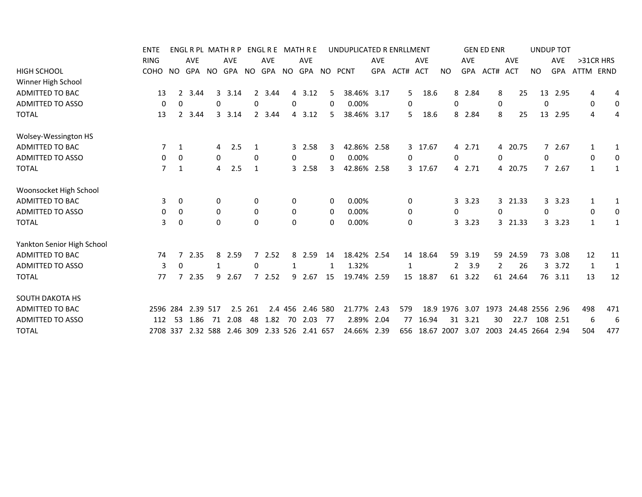| <b>ENTE</b>    |             |                 |                        |                          |                                                                          |                                                                                                                |                                                             |                               |                                                                 |                                                              |                                                                                                               |                                                    |                                                                                                                                                    |                                                                                                                  |                                                      |                                                                                                   |                                 |                                                                                                                  |                                                                                                            |                                                                                                               |              |
|----------------|-------------|-----------------|------------------------|--------------------------|--------------------------------------------------------------------------|----------------------------------------------------------------------------------------------------------------|-------------------------------------------------------------|-------------------------------|-----------------------------------------------------------------|--------------------------------------------------------------|---------------------------------------------------------------------------------------------------------------|----------------------------------------------------|----------------------------------------------------------------------------------------------------------------------------------------------------|------------------------------------------------------------------------------------------------------------------|------------------------------------------------------|---------------------------------------------------------------------------------------------------|---------------------------------|------------------------------------------------------------------------------------------------------------------|------------------------------------------------------------------------------------------------------------|---------------------------------------------------------------------------------------------------------------|--------------|
| <b>RING</b>    |             |                 |                        | <b>AVE</b>               |                                                                          | <b>AVE</b>                                                                                                     |                                                             | <b>AVE</b>                    |                                                                 |                                                              | <b>AVE</b>                                                                                                    |                                                    | <b>AVE</b>                                                                                                                                         |                                                                                                                  | <b>AVE</b>                                           |                                                                                                   | <b>AVE</b>                      |                                                                                                                  | <b>AVE</b>                                                                                                 | >31CR HRS                                                                                                     |              |
| COHO           |             |                 |                        |                          |                                                                          |                                                                                                                |                                                             |                               |                                                                 |                                                              |                                                                                                               |                                                    |                                                                                                                                                    | <b>NO</b>                                                                                                        |                                                      |                                                                                                   |                                 | <b>NO</b>                                                                                                        |                                                                                                            |                                                                                                               |              |
|                |             |                 |                        |                          |                                                                          |                                                                                                                |                                                             |                               |                                                                 |                                                              |                                                                                                               |                                                    |                                                                                                                                                    |                                                                                                                  |                                                      |                                                                                                   |                                 |                                                                                                                  |                                                                                                            |                                                                                                               |              |
| 13             | 2           | 3.44            |                        |                          |                                                                          |                                                                                                                |                                                             |                               |                                                                 |                                                              |                                                                                                               |                                                    |                                                                                                                                                    |                                                                                                                  |                                                      |                                                                                                   |                                 |                                                                                                                  | 2.95                                                                                                       | 4                                                                                                             | 4            |
| 0              | 0           |                 |                        |                          |                                                                          |                                                                                                                |                                                             |                               |                                                                 |                                                              |                                                                                                               |                                                    |                                                                                                                                                    | 0                                                                                                                |                                                      |                                                                                                   |                                 | 0                                                                                                                |                                                                                                            | 0                                                                                                             | 0            |
| 13             |             | 3.44            |                        |                          |                                                                          |                                                                                                                |                                                             |                               |                                                                 |                                                              |                                                                                                               |                                                    |                                                                                                                                                    |                                                                                                                  |                                                      |                                                                                                   |                                 |                                                                                                                  |                                                                                                            | 4                                                                                                             | 4            |
|                |             |                 |                        |                          |                                                                          |                                                                                                                |                                                             |                               |                                                                 |                                                              |                                                                                                               |                                                    |                                                                                                                                                    |                                                                                                                  |                                                      |                                                                                                   |                                 |                                                                                                                  |                                                                                                            |                                                                                                               |              |
| $\overline{7}$ | 1           |                 |                        |                          |                                                                          |                                                                                                                |                                                             |                               |                                                                 |                                                              |                                                                                                               |                                                    |                                                                                                                                                    |                                                                                                                  |                                                      |                                                                                                   |                                 |                                                                                                                  |                                                                                                            | $\mathbf{1}$                                                                                                  | 1            |
| 0              | 0           |                 |                        |                          |                                                                          |                                                                                                                |                                                             |                               |                                                                 |                                                              |                                                                                                               |                                                    |                                                                                                                                                    | 0                                                                                                                |                                                      |                                                                                                   |                                 | 0                                                                                                                |                                                                                                            | 0                                                                                                             | 0            |
| 7              | 1           |                 |                        |                          | 1                                                                        |                                                                                                                |                                                             |                               |                                                                 |                                                              |                                                                                                               |                                                    |                                                                                                                                                    |                                                                                                                  |                                                      |                                                                                                   |                                 |                                                                                                                  |                                                                                                            | $\mathbf{1}$                                                                                                  | 1            |
|                |             |                 |                        |                          |                                                                          |                                                                                                                |                                                             |                               |                                                                 |                                                              |                                                                                                               |                                                    |                                                                                                                                                    |                                                                                                                  |                                                      |                                                                                                   |                                 |                                                                                                                  |                                                                                                            |                                                                                                               |              |
| 3              | $\mathbf 0$ |                 |                        |                          |                                                                          |                                                                                                                |                                                             |                               |                                                                 |                                                              |                                                                                                               |                                                    |                                                                                                                                                    |                                                                                                                  |                                                      |                                                                                                   |                                 |                                                                                                                  |                                                                                                            | 1                                                                                                             | $\mathbf{1}$ |
| 0              | 0           |                 |                        |                          |                                                                          |                                                                                                                |                                                             |                               |                                                                 |                                                              |                                                                                                               |                                                    |                                                                                                                                                    | 0                                                                                                                |                                                      |                                                                                                   |                                 | 0                                                                                                                |                                                                                                            | 0                                                                                                             | 0            |
| 3              | 0           |                 |                        |                          |                                                                          |                                                                                                                |                                                             |                               |                                                                 |                                                              |                                                                                                               |                                                    |                                                                                                                                                    |                                                                                                                  |                                                      |                                                                                                   |                                 |                                                                                                                  |                                                                                                            | 1                                                                                                             | 1            |
|                |             |                 |                        |                          |                                                                          |                                                                                                                |                                                             |                               |                                                                 |                                                              |                                                                                                               |                                                    |                                                                                                                                                    |                                                                                                                  |                                                      |                                                                                                   |                                 |                                                                                                                  |                                                                                                            |                                                                                                               |              |
| 74             | 7           | 2.35            |                        |                          |                                                                          |                                                                                                                |                                                             |                               |                                                                 |                                                              |                                                                                                               |                                                    |                                                                                                                                                    |                                                                                                                  | 3.19                                                 |                                                                                                   |                                 |                                                                                                                  | 3.08                                                                                                       | 12                                                                                                            | 11           |
| 3              | 0           |                 |                        |                          | 0                                                                        |                                                                                                                |                                                             |                               | 1                                                               |                                                              |                                                                                                               |                                                    |                                                                                                                                                    | 2                                                                                                                |                                                      |                                                                                                   |                                 |                                                                                                                  | 3.72                                                                                                       | 1                                                                                                             | $\mathbf{1}$ |
| 77             |             |                 |                        | 2.67                     |                                                                          |                                                                                                                |                                                             |                               |                                                                 |                                                              |                                                                                                               |                                                    |                                                                                                                                                    |                                                                                                                  |                                                      |                                                                                                   |                                 |                                                                                                                  |                                                                                                            | 13                                                                                                            | 12           |
|                |             |                 |                        |                          |                                                                          |                                                                                                                |                                                             |                               |                                                                 |                                                              |                                                                                                               |                                                    |                                                                                                                                                    |                                                                                                                  |                                                      |                                                                                                   |                                 |                                                                                                                  |                                                                                                            |                                                                                                               |              |
|                |             |                 |                        |                          |                                                                          |                                                                                                                |                                                             |                               |                                                                 |                                                              |                                                                                                               |                                                    |                                                                                                                                                    |                                                                                                                  |                                                      |                                                                                                   |                                 |                                                                                                                  | 2.96                                                                                                       | 498                                                                                                           | 471          |
| 112            | -53         |                 |                        |                          |                                                                          |                                                                                                                | 70                                                          |                               | -77                                                             |                                                              |                                                                                                               |                                                    |                                                                                                                                                    | 31                                                                                                               | 3.21                                                 |                                                                                                   |                                 | 108                                                                                                              | -2.51                                                                                                      | 6                                                                                                             | 6            |
|                |             |                 |                        |                          |                                                                          |                                                                                                                |                                                             |                               |                                                                 |                                                              |                                                                                                               |                                                    |                                                                                                                                                    |                                                                                                                  |                                                      |                                                                                                   |                                 |                                                                                                                  | 2.94                                                                                                       | 504                                                                                                           | 477          |
|                |             | NO.<br>2596 284 | <b>AVE</b><br>2708 337 | 2.35<br>2.39 517<br>1.86 | 3<br>0<br>4<br>0<br>$\overline{4}$<br>0<br>0<br>$\Omega$<br>8<br>9<br>71 | ENGL R PL MATH R P<br>GPA NO GPA NO<br>3.14<br>0<br>3 3.14<br>2.5<br>0<br>2.5<br>0<br>$\Omega$<br>2.59<br>2.08 | 2<br>2 3.44<br>0<br>7<br>2.5 261<br>48<br>2.32 588 2.46 309 | 3.44<br>2.52<br>72.52<br>1.82 | ENGL R E MATH R E<br>0<br>0<br>0<br>0<br>0<br>8<br>9<br>2.4 456 | 4 3.12<br>4 3.12<br>3 2.58<br>3 2.58<br>2.59<br>2.67<br>2.03 | GPA NO GPA NO PCNT<br>5<br>0<br>5.<br>3<br>0<br>3<br>0<br>0<br>0<br>14<br>15<br>2.46 580<br>2.33 526 2.41 657 | 0.00%<br>0.00%<br>0.00%<br>0.00%<br>0.00%<br>1.32% | 38.46% 3.17<br>38.46% 3.17<br>42.86% 2.58<br>42.86% 2.58<br>18.42% 2.54<br>$\mathbf{1}$<br>19.74% 2.59<br>21.77% 2.43<br>2.89% 2.04<br>24.66% 2.39 | UNDUPLICATED R ENRLLMENT<br>GPA ACT# ACT<br>5<br>0<br>5.<br>0<br>3 17.67<br>0<br>0<br>0<br>15 18.87<br>579<br>77 | 18.6<br>18.6<br>3 17.67<br>14 18.64<br>18.9<br>16.94 | 8 2.84<br>8 2.84<br>4 2.71<br>4 2.71<br>3.23<br>3.23<br>3<br>59<br>3.9<br>61 3.22<br>1976<br>3.07 | GPA ACT#<br>656 18.67 2007 3.07 | <b>GEN ED ENR</b><br><b>ACT</b><br>8<br>0<br>8<br>$\mathbf 0$<br>0<br>59<br>$\overline{2}$<br>1973<br>30<br>2003 | 25<br>25<br>4 20.75<br>4 20.75<br>3 21.33<br>3 21.33<br>24.59<br>26<br>3<br>61 24.64<br>22.7<br>24.45 2664 | <b>UNDUP TOT</b><br>GPA<br>13<br>13 2.95<br>72.67<br>7 2.67<br>3, 3.23<br>3.23<br>73<br>76 3.11<br>24.48 2556 | ATTM ERND    |